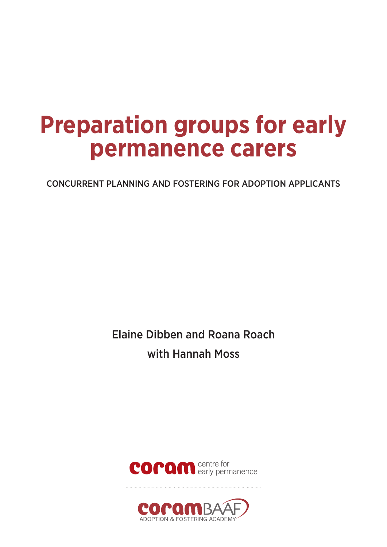# **Preparation groups for early permanence carers**

CONCURRENT PLANNING AND FOSTERING FOR ADOPTION APPLICANTS

Elaine Dibben and Roana Roach with Hannah Moss



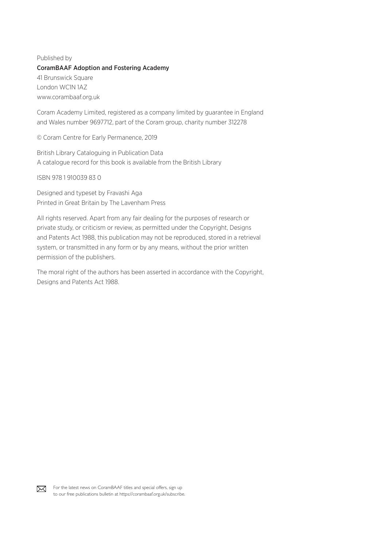# Published by CoramBAAF Adoption and Fostering Academy 41 Brunswick Square London WC1N 1AZ www.corambaaf.org.uk

Coram Academy Limited, registered as a company limited by guarantee in England and Wales number 9697712, part of the Coram group, charity number 312278

© Coram Centre for Early Permanence, 2019

British Library Cataloguing in Publication Data A catalogue record for this book is available from the British Library

ISBN 978 1 910039 83 0

Designed and typeset by Fravashi Aga Printed in Great Britain by The Lavenham Press

All rights reserved. Apart from any fair dealing for the purposes of research or private study, or criticism or review, as permitted under the Copyright, Designs and Patents Act 1988, this publication may not be reproduced, stored in a retrieval system, or transmitted in any form or by any means, without the prior written permission of the publishers.

The moral right of the authors has been asserted in accordance with the Copyright, Designs and Patents Act 1988.

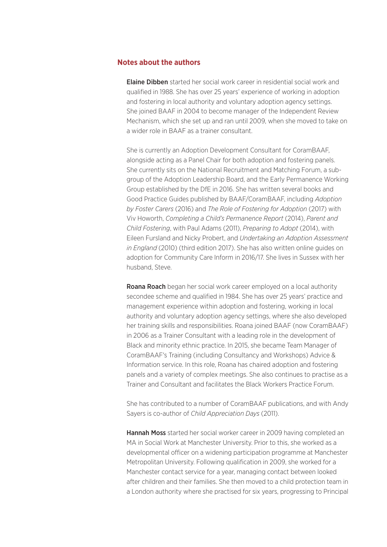#### **Notes about the authors**

Elaine Dibben started her social work career in residential social work and qualified in 1988. She has over 25 years' experience of working in adoption and fostering in local authority and voluntary adoption agency settings. She joined BAAF in 2004 to become manager of the Independent Review Mechanism, which she set up and ran until 2009, when she moved to take on a wider role in BAAF as a trainer consultant.

She is currently an Adoption Development Consultant for CoramBAAF, alongside acting as a Panel Chair for both adoption and fostering panels. She currently sits on the National Recruitment and Matching Forum, a subgroup of the Adoption Leadership Board, and the Early Permanence Working Group established by the DfE in 2016. She has written several books and Good Practice Guides published by BAAF/CoramBAAF, including *Adoption by Foster Carers* (2016) and *The Role of Fostering for Adoption* (2017) with Viv Howorth, *Completing a Child's Permanence Report* (2014), *Parent and Child Fostering*, with Paul Adams (2011), *Preparing to Adopt* (2014), with Eileen Fursland and Nicky Probert, and *Undertaking an Adoption Assessment in England* (2010) (third edition 2017). She has also written online guides on adoption for Community Care Inform in 2016/17. She lives in Sussex with her husband, Steve.

Roana Roach began her social work career employed on a local authority secondee scheme and qualified in 1984. She has over 25 years' practice and management experience within adoption and fostering, working in local authority and voluntary adoption agency settings, where she also developed her training skills and responsibilities. Roana joined BAAF (now CoramBAAF) in 2006 as a Trainer Consultant with a leading role in the development of Black and minority ethnic practice. In 2015, she became Team Manager of CoramBAAF's Training (including Consultancy and Workshops) Advice & Information service. In this role, Roana has chaired adoption and fostering panels and a variety of complex meetings. She also continues to practise as a Trainer and Consultant and facilitates the Black Workers Practice Forum.

She has contributed to a number of CoramBAAF publications, and with Andy Sayers is co-author of *Child Appreciation Days* (2011).

Hannah Moss started her social worker career in 2009 having completed an MA in Social Work at Manchester University. Prior to this, she worked as a developmental officer on a widening participation programme at Manchester Metropolitan University. Following qualification in 2009, she worked for a Manchester contact service for a year, managing contact between looked after children and their families. She then moved to a child protection team in a London authority where she practised for six years, progressing to Principal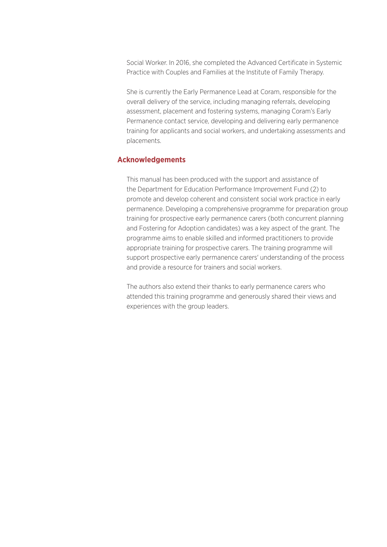Social Worker. In 2016, she completed the Advanced Certificate in Systemic Practice with Couples and Families at the Institute of Family Therapy.

She is currently the Early Permanence Lead at Coram, responsible for the overall delivery of the service, including managing referrals, developing assessment, placement and fostering systems, managing Coram's Early Permanence contact service, developing and delivering early permanence training for applicants and social workers, and undertaking assessments and placements.

## **Acknowledgements**

This manual has been produced with the support and assistance of the Department for Education Performance Improvement Fund (2) to promote and develop coherent and consistent social work practice in early permanence. Developing a comprehensive programme for preparation group training for prospective early permanence carers (both concurrent planning and Fostering for Adoption candidates) was a key aspect of the grant. The programme aims to enable skilled and informed practitioners to provide appropriate training for prospective carers. The training programme will support prospective early permanence carers' understanding of the process and provide a resource for trainers and social workers.

The authors also extend their thanks to early permanence carers who attended this training programme and generously shared their views and experiences with the group leaders.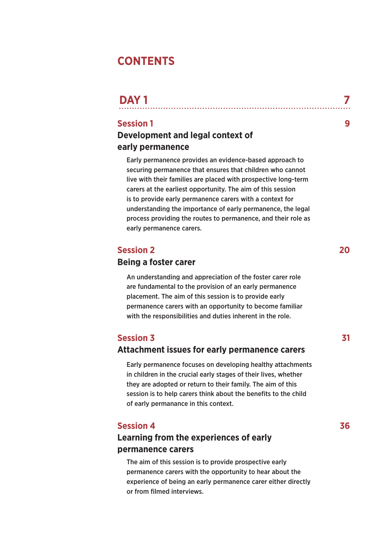# **CONTENTS**

| <b>DAY1</b> |  |  |  |  |
|-------------|--|--|--|--|
|             |  |  |  |  |

# **Session 1** 9

# **Development and legal context of early permanence**

Early permanence provides an evidence-based approach to securing permanence that ensures that children who cannot live with their families are placed with prospective long-term carers at the earliest opportunity. The aim of this session is to provide early permanence carers with a context for understanding the importance of early permanence, the legal process providing the routes to permanence, and their role as early permanence carers.

# **Session 2** 20

# **Being a foster carer**

An understanding and appreciation of the foster carer role are fundamental to the provision of an early permanence placement. The aim of this session is to provide early permanence carers with an opportunity to become familiar with the responsibilities and duties inherent in the role.

# **Session 3** 31

# **Attachment issues for early permanence carers**

Early permanence focuses on developing healthy attachments in children in the crucial early stages of their lives, whether they are adopted or return to their family. The aim of this session is to help carers think about the benefits to the child of early permanance in this context.

# **Session 4 36**

# **Learning from the experiences of early permanence carers**

The aim of this session is to provide prospective early permanence carers with the opportunity to hear about the experience of being an early permanence carer either directly or from filmed interviews.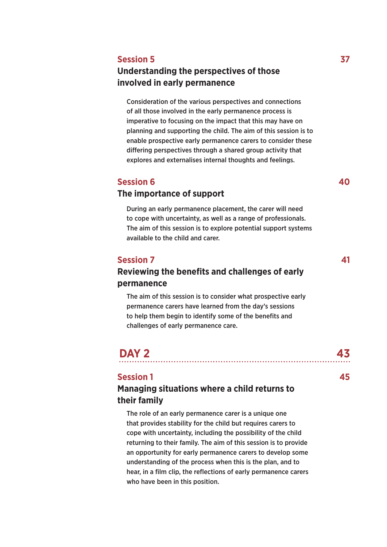# **Session 5 37**

# **Understanding the perspectives of those involved in early permanence**

Consideration of the various perspectives and connections of all those involved in the early permanence process is imperative to focusing on the impact that this may have on planning and supporting the child. The aim of this session is to enable prospective early permanence carers to consider these differing perspectives through a shared group activity that explores and externalises internal thoughts and feelings.

# **Session 6 40**

# **The importance of support**

During an early permanence placement, the carer will need to cope with uncertainty, as well as a range of professionals. The aim of this session is to explore potential support systems available to the child and carer.

# **Session 7 41**

# **Reviewing the benefits and challenges of early permanence**

The aim of this session is to consider what prospective early permanence carers have learned from the day's sessions to help them begin to identify some of the benefits and challenges of early permanence care.

# **DAY 2 43**

## **Session 1 45**

# **Managing situations where a child returns to their family**

The role of an early permanence carer is a unique one that provides stability for the child but requires carers to cope with uncertainty, including the possibility of the child returning to their family. The aim of this session is to provide an opportunity for early permanence carers to develop some understanding of the process when this is the plan, and to hear, in a film clip, the reflections of early permanence carers who have been in this position.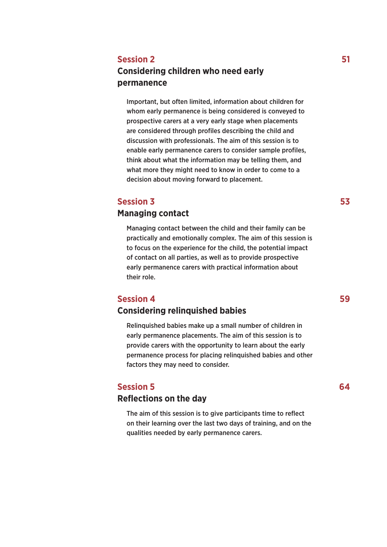# **Session 2** 51

# **Considering children who need early permanence**

Important, but often limited, information about children for whom early permanence is being considered is conveyed to prospective carers at a very early stage when placements are considered through profiles describing the child and discussion with professionals. The aim of this session is to enable early permanence carers to consider sample profiles, think about what the information may be telling them, and what more they might need to know in order to come to a decision about moving forward to placement.

# **Session 3 53**

# **Managing contact**

Managing contact between the child and their family can be practically and emotionally complex. The aim of this session is to focus on the experience for the child, the potential impact of contact on all parties, as well as to provide prospective early permanence carers with practical information about their role.

# **Session 4 59**

# **Considering relinquished babies**

Relinquished babies make up a small number of children in early permanence placements. The aim of this session is to provide carers with the opportunity to learn about the early permanence process for placing relinquished babies and other factors they may need to consider.

# **Session 5 64**

# **Reflections on the day**

The aim of this session is to give participants time to reflect on their learning over the last two days of training, and on the qualities needed by early permanence carers.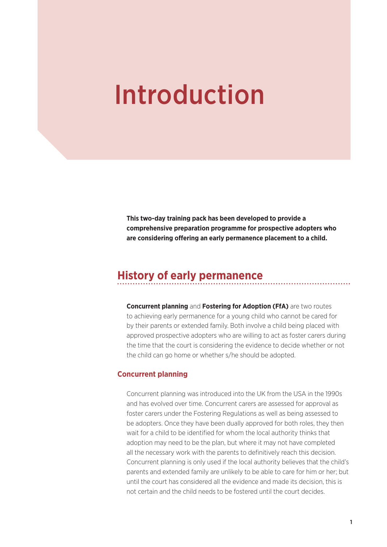# Introduction

**This two-day training pack has been developed to provide a comprehensive preparation programme for prospective adopters who are considering offering an early permanence placement to a child.**

# **History of early permanence**

**Concurrent planning** and **Fostering for Adoption (FfA)** are two routes to achieving early permanence for a young child who cannot be cared for by their parents or extended family. Both involve a child being placed with approved prospective adopters who are willing to act as foster carers during the time that the court is considering the evidence to decide whether or not the child can go home or whether s/he should be adopted.

## **Concurrent planning**

Concurrent planning was introduced into the UK from the USA in the 1990s and has evolved over time. Concurrent carers are assessed for approval as foster carers under the Fostering Regulations as well as being assessed to be adopters. Once they have been dually approved for both roles, they then wait for a child to be identified for whom the local authority thinks that adoption may need to be the plan, but where it may not have completed all the necessary work with the parents to definitively reach this decision. Concurrent planning is only used if the local authority believes that the child's parents and extended family are unlikely to be able to care for him or her; but until the court has considered all the evidence and made its decision, this is not certain and the child needs to be fostered until the court decides.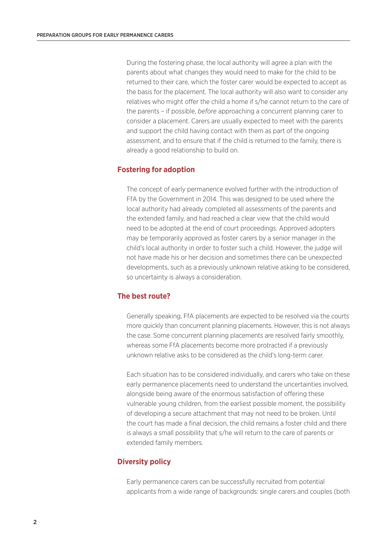During the fostering phase, the local authority will agree a plan with the parents about what changes they would need to make for the child to be returned to their care, which the foster carer would be expected to accept as the basis for the placement. The local authority will also want to consider any relatives who might offer the child a home if s/he cannot return to the care of the parents – if possible, *before* approaching a concurrent planning carer to consider a placement. Carers are usually expected to meet with the parents and support the child having contact with them as part of the ongoing assessment, and to ensure that if the child is returned to the family, there is already a good relationship to build on.

## **Fostering for adoption**

The concept of early permanence evolved further with the introduction of FfA by the Government in 2014. This was designed to be used where the local authority had already completed all assessments of the parents and the extended family, and had reached a clear view that the child would need to be adopted at the end of court proceedings. Approved adopters may be temporarily approved as foster carers by a senior manager in the child's local authority in order to foster such a child. However, the judge will not have made his or her decision and sometimes there can be unexpected developments, such as a previously unknown relative asking to be considered, so uncertainty is always a consideration.

# **The best route?**

Generally speaking, FfA placements are expected to be resolved via the courts more quickly than concurrent planning placements. However, this is not always the case. Some concurrent planning placements are resolved fairly smoothly, whereas some FfA placements become more protracted if a previously unknown relative asks to be considered as the child's long-term carer.

Each situation has to be considered individually, and carers who take on these early permanence placements need to understand the uncertainties involved, alongside being aware of the enormous satisfaction of offering these vulnerable young children, from the earliest possible moment, the possibility of developing a secure attachment that may not need to be broken. Until the court has made a final decision, the child remains a foster child and there is always a small possibility that s/he will return to the care of parents or extended family members.

## **Diversity policy**

Early permanence carers can be successfully recruited from potential applicants from a wide range of backgrounds: single carers and couples (both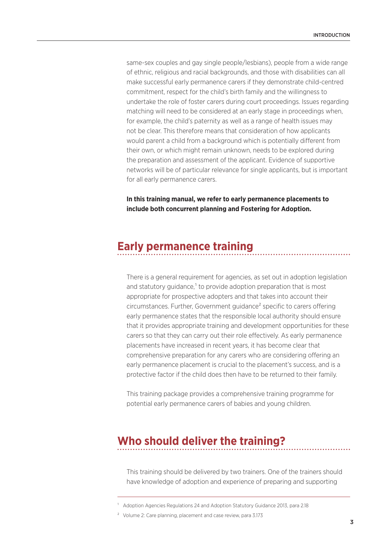same-sex couples and gay single people/lesbians), people from a wide range of ethnic, religious and racial backgrounds, and those with disabilities can all make successful early permanence carers if they demonstrate child-centred commitment, respect for the child's birth family and the willingness to undertake the role of foster carers during court proceedings. Issues regarding matching will need to be considered at an early stage in proceedings when, for example, the child's paternity as well as a range of health issues may not be clear. This therefore means that consideration of how applicants would parent a child from a background which is potentially different from their own, or which might remain unknown, needs to be explored during the preparation and assessment of the applicant. Evidence of supportive networks will be of particular relevance for single applicants, but is important for all early permanence carers.

**In this training manual, we refer to early permanence placements to include both concurrent planning and Fostering for Adoption.**

# **Early permanence training**

There is a general requirement for agencies, as set out in adoption legislation and statutory guidance, $1$  to provide adoption preparation that is most appropriate for prospective adopters and that takes into account their circumstances. Further, Government guidance² specific to carers offering early permanence states that the responsible local authority should ensure that it provides appropriate training and development opportunities for these carers so that they can carry out their role effectively. As early permanence placements have increased in recent years, it has become clear that comprehensive preparation for any carers who are considering offering an early permanence placement is crucial to the placement's success, and is a protective factor if the child does then have to be returned to their family.

This training package provides a comprehensive training programme for potential early permanence carers of babies and young children.

# **Who should deliver the training?**

This training should be delivered by two trainers. One of the trainers should have knowledge of adoption and experience of preparing and supporting

<sup>1</sup> Adoption Agencies Regulations 24 and Adoption Statutory Guidance 2013, para 2.18

² Volume 2: Care planning, placement and case review, para 3.173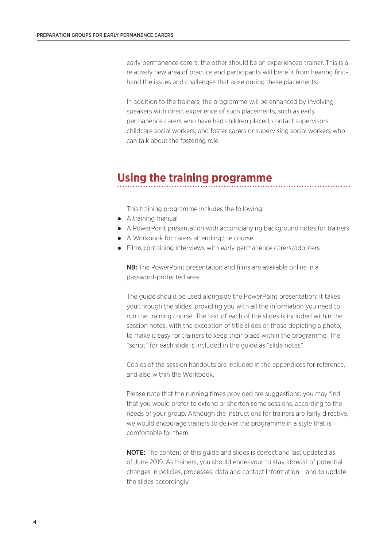early permanence carers; the other should be an experienced trainer. This is a relatively new area of practice and participants will benefit from hearing firsthand the issues and challenges that arise during these placements.

In addition to the trainers, the programme will be enhanced by involving speakers with direct experience of such placements, such as early permanence carers who have had children placed, contact supervisors, childcare social workers, and foster carers or supervising social workers who can talk about the fostering role.

# **Using the training programme**

This training programme includes the following:

- A training manual
- A PowerPoint presentation with accompanying background notes for trainers
- A Workbook for carers attending the course
- Films containing interviews with early permanence carers/adopters

NB: The PowerPoint presentation and films are available online in a password-protected area.

The guide should be used alongside the PowerPoint presentation: it takes you through the slides, providing you with all the information you need to run the training course. The text of each of the slides is included within the session notes, with the exception of title slides or those depicting a photo, to make it easy for trainers to keep their place within the programme. The "script" for each slide is included in the guide as "slide notes".

Copies of the session handouts are included in the appendices for reference, and also within the Workbook.

Please note that the running times provided are suggestions: you may find that you would prefer to extend or shorten some sessions, according to the needs of your group. Although the instructions for trainers are fairly directive, we would encourage trainers to deliver the programme in a style that is comfortable for them.

NOTE: The content of this guide and slides is correct and last updated as of June 2019. As trainers, you should endeavour to stay abreast of potential changes in policies, processes, data and contact information – and to update the slides accordingly.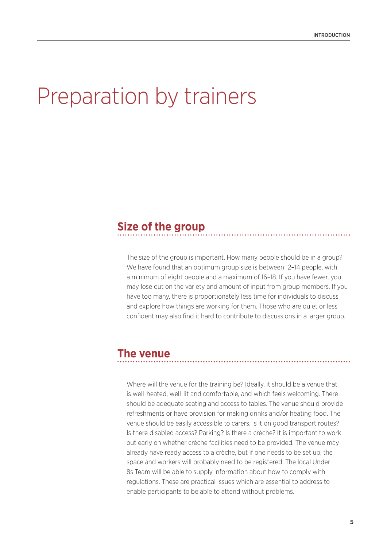# Preparation by trainers

# **Size of the group**

The size of the group is important. How many people should be in a group? We have found that an optimum group size is between 12–14 people, with a minimum of eight people and a maximum of 16–18. If you have fewer, you may lose out on the variety and amount of input from group members. If you have too many, there is proportionately less time for individuals to discuss and explore how things are working for them. Those who are quiet or less confident may also find it hard to contribute to discussions in a larger group.

# **The venue**

Where will the venue for the training be? Ideally, it should be a venue that is well-heated, well-lit and comfortable, and which feels welcoming. There should be adequate seating and access to tables. The venue should provide refreshments or have provision for making drinks and/or heating food. The venue should be easily accessible to carers. Is it on good transport routes? Is there disabled access? Parking? Is there a crèche? It is important to work out early on whether crèche facilities need to be provided. The venue may already have ready access to a crèche, but if one needs to be set up, the space and workers will probably need to be registered. The local Under 8s Team will be able to supply information about how to comply with regulations. These are practical issues which are essential to address to enable participants to be able to attend without problems.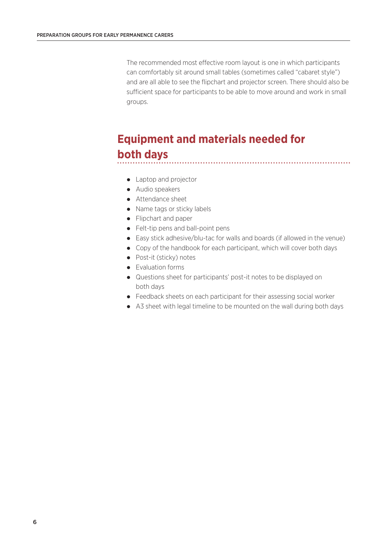The recommended most effective room layout is one in which participants can comfortably sit around small tables (sometimes called "cabaret style") and are all able to see the flipchart and projector screen. There should also be sufficient space for participants to be able to move around and work in small groups.

# **Equipment and materials needed for both days**

- Laptop and projector
- Audio speakers
- Attendance sheet
- Name tags or sticky labels
- Flipchart and paper
- Felt-tip pens and ball-point pens
- Easy stick adhesive/blu-tac for walls and boards (if allowed in the venue)
- Copy of the handbook for each participant, which will cover both days
- Post-it (sticky) notes
- Evaluation forms
- Questions sheet for participants' post-it notes to be displayed on both days
- Feedback sheets on each participant for their assessing social worker
- A3 sheet with legal timeline to be mounted on the wall during both days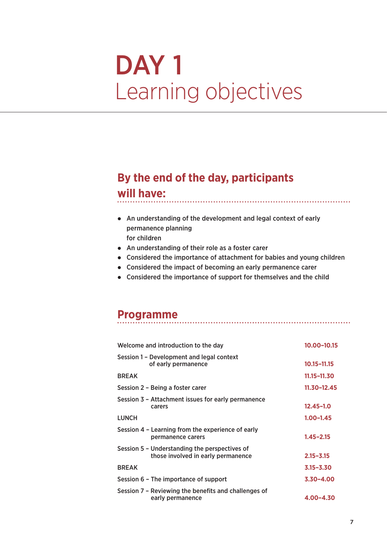# DAY<sub>1</sub> Learning objectives

# **By the end of the day, participants**

# **will have:**

- An understanding of the development and legal context of early permanence planning for children
- An understanding of their role as a foster carer
- Considered the importance of attachment for babies and young children

- Considered the impact of becoming an early permanence carer
- Considered the importance of support for themselves and the child

# **Programme**

| Welcome and introduction to the day                                                 | 10.00-10.15     |
|-------------------------------------------------------------------------------------|-----------------|
| Session 1 – Development and legal context<br>of early permanence                    | 10.15-11.15     |
| <b>BREAK</b>                                                                        | $11.15 - 11.30$ |
| Session 2 – Being a foster carer                                                    | $11.30 - 12.45$ |
| Session 3 - Attachment issues for early permanence<br>carers                        | $12.45 - 1.0$   |
| <b>LUNCH</b>                                                                        | $1.00 - 1.45$   |
| Session 4 - Learning from the experience of early<br>permanence carers              | $1.45 - 2.15$   |
| Session 5 - Understanding the perspectives of<br>those involved in early permanence | $2.15 - 3.15$   |
| <b>BREAK</b>                                                                        | $3.15 - 3.30$   |
| Session 6 - The importance of support                                               | $3.30 - 4.00$   |
| Session 7 - Reviewing the benefits and challenges of<br>early permanence            | 4.00-4.30       |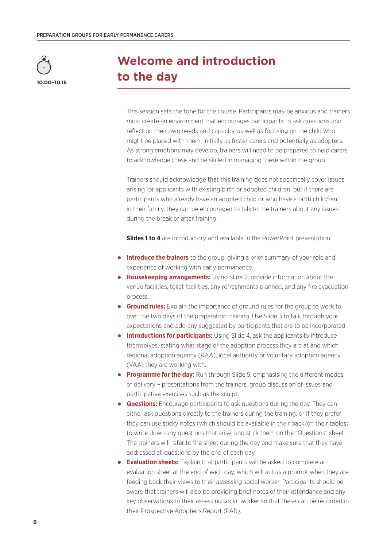

# **Welcome and introduction to the day**

This session sets the tone for the course. Participants may be anxious and trainers must create an environment that encourages participants to ask questions and reflect on their own needs and capacity, as well as focusing on the child who might be placed with them, initially as foster carers and potentially as adopters. As strong emotions may develop, trainers will need to be prepared to help carers to acknowledge these and be skilled in managing these within the group.

Trainers should acknowledge that this training does not specifically cover issues arising for applicants with existing birth or adopted children, but if there are participants who already have an adopted child or who have a birth child/ren in their family, they can be encouraged to talk to the trainers about any issues during the break or after training.

**Slides 1 to 4** are introductory and available in the PowerPoint presentation.

- **Introduce the trainers** to the group, giving a brief summary of your role and experience of working with early permanence.
- **Housekeeping arrangements:** Using Slide 2, provide information about the venue facilities, toilet facilities, any refreshments planned, and any fire evacuation process.
- **Ground rules:** Explain the importance of ground rules for the group to work to over the two days of the preparation training. Use Slide 3 to talk through your expectations and add any suggested by participants that are to be incorporated.
- **Introductions for participants:** Using Slide 4, ask the applicants to introduce themselves, stating what stage of the adoption process they are at and which regional adoption agency (RAA), local authority or voluntary adoption agency (VAA) they are working with.
- **Programme for the day:** Run through Slide 5, emphasising the different modes of delivery – presentations from the trainers, group discussion of issues and participative exercises such as the sculpt.
- **Questions:** Encourage participants to ask questions during the day. They can either ask questions directly to the trainers during the training, or if they prefer they can use sticky notes (which should be available in their pack/on their tables) to write down any questions that arise, and stick them on the "Questions" sheet. The trainers will refer to the sheet during the day and make sure that they have addressed all questions by the end of each day.
- **Evaluation sheets:** Explain that participants will be asked to complete an evaluation sheet at the end of each day, which will act as a prompt when they are feeding back their views to their assessing social worker. Participants should be aware that trainers will also be providing brief notes of their attendance and any key observations to their assessing social worker so that these can be recorded in their Prospective Adopter's Report (PAR).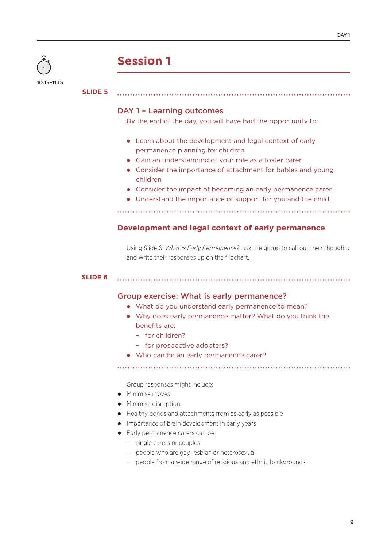

# **Session 1**

#### **SLIDE 5**

## DAY 1 – Learning outcomes

By the end of the day, you will have had the opportunity to:

- Learn about the development and legal context of early permanence planning for children
- Gain an understanding of your role as a foster carer
- Consider the importance of attachment for babies and young children
- Consider the impact of becoming an early permanence carer
- Understand the importance of support for you and the child

# **Development and legal context of early permanence**

Using Slide 6, *What is Early Permanence?*, ask the group to call out their thoughts and write their responses up on the flipchart.

#### **SLIDE 6**

# Group exercise: What is early permanence?

- What do you understand early permanence to mean?
- Why does early permanence matter? What do you think the benefits are:
	- for children?
	- for prospective adopters?
- Who can be an early permanence carer?

Group responses might include:

- Minimise moves
- Minimise disruption
- Healthy bonds and attachments from as early as possible
- Importance of brain development in early years
- Early permanence carers can be:
	- single carers or couples
	- people who are gay, lesbian or heterosexual
	- people from a wide range of religious and ethnic backgrounds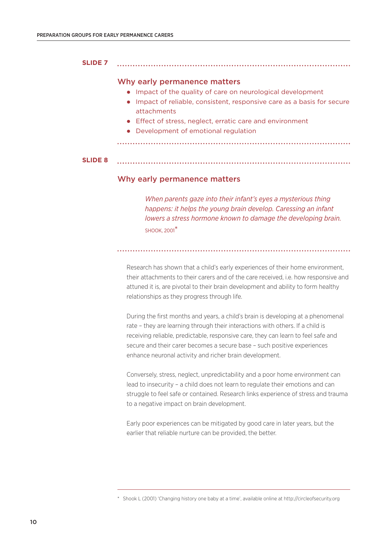#### **SLIDE 7**

#### Why early permanence matters

- Impact of the quality of care on neurological development
- Impact of reliable, consistent, responsive care as a basis for secure attachments
- Effect of stress, neglect, erratic care and environment
- Development of emotional regulation

#### **SLIDE 8**

## Why early permanence matters

*When parents gaze into their infant's eyes a mysterious thing happens: it helps the young brain develop. Caressing an infant lowers a stress hormone known to damage the developing brain.*  SHOOK, 2001\*

Research has shown that a child's early experiences of their home environment, their attachments to their carers and of the care received, i.e. how responsive and attuned it is, are pivotal to their brain development and ability to form healthy relationships as they progress through life.

During the first months and years, a child's brain is developing at a phenomenal rate – they are learning through their interactions with others. If a child is receiving reliable, predictable, responsive care, they can learn to feel safe and secure and their carer becomes a secure base – such positive experiences enhance neuronal activity and richer brain development.

Conversely, stress, neglect, unpredictability and a poor home environment can lead to insecurity – a child does not learn to regulate their emotions and can struggle to feel safe or contained. Research links experience of stress and trauma to a negative impact on brain development.

Early poor experiences can be mitigated by good care in later years, but the earlier that reliable nurture can be provided, the better.

<sup>\*</sup> Shook L (2001) 'Changing history one baby at a time', available online at http://circleofsecurity.org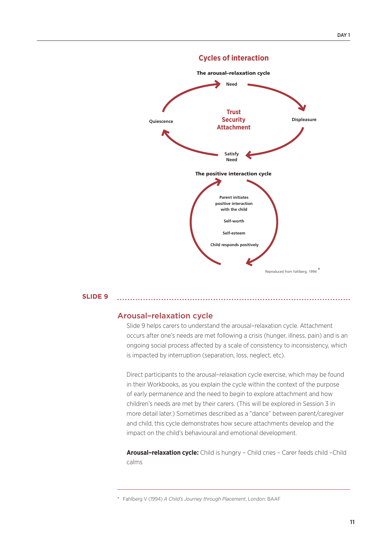

# Cycles of interaction **Cycles of interaction**

#### **SLIDE 9**

## Arousal-relaxation cycle **Exercise 2015**

Slide 9 helps carers to understand the arousal–relaxation cycle. Attachment occurs after one's needs are met following a crisis (hunger, illness, pain) and is an ongoing social process affected by a scale of consistency to inconsistency, which is impacted by interruption (separation, loss, neglect, etc).

Direct participants to the arousal–relaxation cycle exercise, which may be found in their Workbooks, as you explain the cycle within the context of the purpose of early permanence and the need to begin to explore attachment and how children's needs are met by their carers. (This will be explored in Session 3 in more detail later.) Sometimes described as a "dance" between parent/caregiver and child, this cycle demonstrates how secure attachments develop and the impact on the child's behavioural and emotional development.

**Arousal–relaxation cycle:** Child is hungry – Child cries – Carer feeds child –Child calms

\* Fahlberg V (1994) *A Child's Journey through Placement*, London: BAAF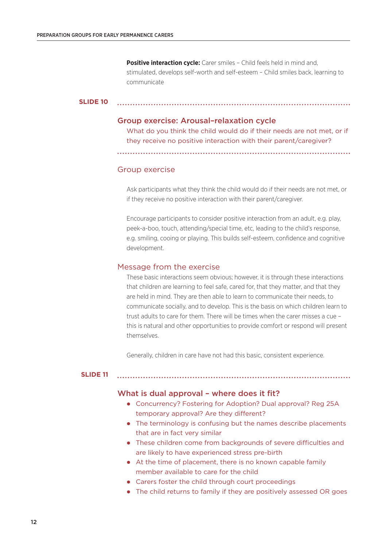**Positive interaction cycle:** Carer smiles - Child feels held in mind and, stimulated, develops self-worth and self-esteem – Child smiles back, learning to communicate

```
SLIDE 10
```
#### Group exercise: Arousal–relaxation cycle

What do you think the child would do if their needs are not met, or if they receive no positive interaction with their parent/caregiver?

Group exercise

Ask participants what they think the child would do if their needs are not met, or if they receive no positive interaction with their parent/caregiver.

Encourage participants to consider positive interaction from an adult, e.g. play, peek-a-boo, touch, attending/special time, etc, leading to the child's response, e.g. smiling, cooing or playing. This builds self-esteem, confidence and cognitive development.

#### Message from the exercise

These basic interactions seem obvious; however, it is through these interactions that children are learning to feel safe, cared for, that they matter, and that they are held in mind. They are then able to learn to communicate their needs, to communicate socially, and to develop. This is the basis on which children learn to trust adults to care for them. There will be times when the carer misses a cue – this is natural and other opportunities to provide comfort or respond will present themselves.

Generally, children in care have not had this basic, consistent experience.

#### **SLIDE 11**

#### What is dual approval - where does it fit?

- Concurrency? Fostering for Adoption? Dual approval? Reg 25A temporary approval? Are they different?
- The terminology is confusing but the names describe placements that are in fact very similar
- These children come from backgrounds of severe difficulties and are likely to have experienced stress pre-birth
- At the time of placement, there is no known capable family member available to care for the child
- Carers foster the child through court proceedings
- The child returns to family if they are positively assessed OR goes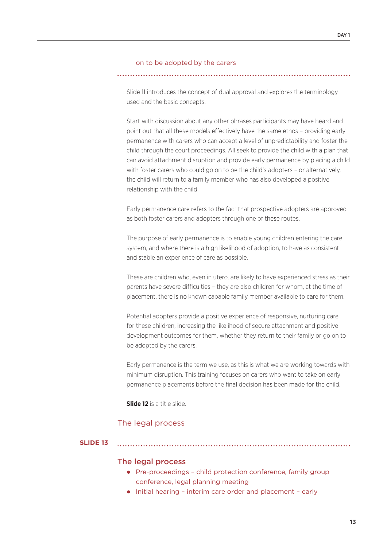#### on to be adopted by the carers

Slide 11 introduces the concept of dual approval and explores the terminology used and the basic concepts.

Start with discussion about any other phrases participants may have heard and point out that all these models effectively have the same ethos – providing early permanence with carers who can accept a level of unpredictability and foster the child through the court proceedings. All seek to provide the child with a plan that can avoid attachment disruption and provide early permanence by placing a child with foster carers who could go on to be the child's adopters - or alternatively, the child will return to a family member who has also developed a positive relationship with the child.

Early permanence care refers to the fact that prospective adopters are approved as both foster carers and adopters through one of these routes.

The purpose of early permanence is to enable young children entering the care system, and where there is a high likelihood of adoption, to have as consistent and stable an experience of care as possible.

These are children who, even in utero, are likely to have experienced stress as their parents have severe difficulties – they are also children for whom, at the time of placement, there is no known capable family member available to care for them.

Potential adopters provide a positive experience of responsive, nurturing care for these children, increasing the likelihood of secure attachment and positive development outcomes for them, whether they return to their family or go on to be adopted by the carers.

Early permanence is the term we use, as this is what we are working towards with minimum disruption. This training focuses on carers who want to take on early permanence placements before the final decision has been made for the child.

**Slide 12** is a title slide.

## The legal process

#### **SLIDE 13**

# The legal process

- Pre-proceedings child protection conference, family group conference, legal planning meeting
- Initial hearing interim care order and placement early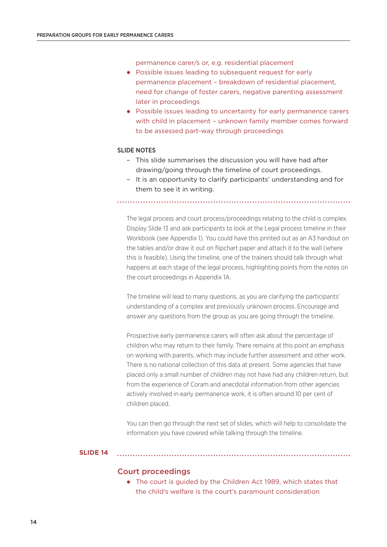permanence carer/s or, e.g. residential placement

- Possible issues leading to subsequent request for early permanence placement – breakdown of residential placement, need for change of foster carers, negative parenting assessment later in proceedings
- Possible issues leading to uncertainty for early permanence carers with child in placement – unknown family member comes forward to be assessed part-way through proceedings

#### SLIDE NOTES

- This slide summarises the discussion you will have had after drawing/going through the timeline of court proceedings.
- It is an opportunity to clarify participants' understanding and for them to see it in writing.

The legal process and court process/proceedings relating to the child is complex. Display Slide 13 and ask participants to look at the Legal process timeline in their Workbook (see Appendix 1). You could have this printed out as an A3 handout on the tables and/or draw it out on flipchart paper and attach it to the wall (where this is feasible). Using the timeline, one of the trainers should talk through what happens at each stage of the legal process, highlighting points from the notes on the court proceedings in Appendix 1A.

The timeline will lead to many questions, as you are clarifying the participants' understanding of a complex and previously unknown process. Encourage and answer any questions from the group as you are going through the timeline.

Prospective early permanence carers will often ask about the percentage of children who may return to their family. There remains at this point an emphasis on working with parents, which may include further assessment and other work. There is no national collection of this data at present. Some agencies that have placed only a small number of children may not have had any children return, but from the experience of Coram and anecdotal information from other agencies actively involved in early permanence work, it is often around 10 per cent of children placed.

You can then go through the next set of slides, which will help to consolidate the information you have covered while talking through the timeline.

#### **SLIDE 14**

#### Court proceedings

 The court is guided by the Children Act 1989, which states that the child's welfare is the court's paramount consideration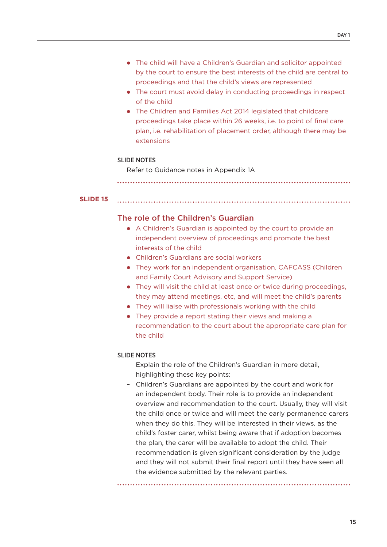- The child will have a Children's Guardian and solicitor appointed by the court to ensure the best interests of the child are central to proceedings and that the child's views are represented
- The court must avoid delay in conducting proceedings in respect of the child
- The Children and Families Act 2014 legislated that childcare proceedings take place within 26 weeks, i.e. to point of final care plan, i.e. rehabilitation of placement order, although there may be extensions

#### SLIDE NOTES

Refer to Guidance notes in Appendix 1A

## **SLIDE 15**

## The role of the Children's Guardian

- A Children's Guardian is appointed by the court to provide an independent overview of proceedings and promote the best interests of the child
- Children's Guardians are social workers
- They work for an independent organisation, CAFCASS (Children and Family Court Advisory and Support Service)
- They will visit the child at least once or twice during proceedings, they may attend meetings, etc, and will meet the child's parents
- They will liaise with professionals working with the child
- They provide a report stating their views and making a recommendation to the court about the appropriate care plan for the child

#### SLIDE NOTES

Explain the role of the Children's Guardian in more detail, highlighting these key points:

– Children's Guardians are appointed by the court and work for an independent body. Their role is to provide an independent overview and recommendation to the court. Usually, they will visit the child once or twice and will meet the early permanence carers when they do this. They will be interested in their views, as the child's foster carer, whilst being aware that if adoption becomes the plan, the carer will be available to adopt the child. Their recommendation is given significant consideration by the judge and they will not submit their final report until they have seen all the evidence submitted by the relevant parties.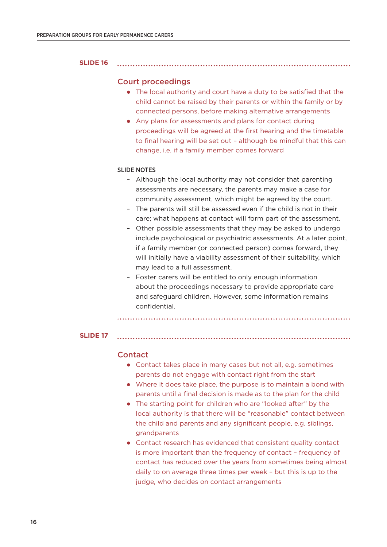#### **SLIDE 16**

#### Court proceedings

 The local authority and court have a duty to be satisfied that the child cannot be raised by their parents or within the family or by connected persons, before making alternative arrangements

 Any plans for assessments and plans for contact during proceedings will be agreed at the first hearing and the timetable to final hearing will be set out – although be mindful that this can change, i.e. if a family member comes forward

#### SLIDE NOTES

- Although the local authority may not consider that parenting assessments are necessary, the parents may make a case for community assessment, which might be agreed by the court.
- The parents will still be assessed even if the child is not in their care; what happens at contact will form part of the assessment.
- Other possible assessments that they may be asked to undergo include psychological or psychiatric assessments. At a later point, if a family member (or connected person) comes forward, they will initially have a viability assessment of their suitability, which may lead to a full assessment.
- Foster carers will be entitled to only enough information about the proceedings necessary to provide appropriate care and safeguard children. However, some information remains confidential.

**SLIDE 17**

#### Contact

- Contact takes place in many cases but not all, e.g. sometimes parents do not engage with contact right from the start
- Where it does take place, the purpose is to maintain a bond with parents until a final decision is made as to the plan for the child
- The starting point for children who are "looked after" by the local authority is that there will be "reasonable" contact between the child and parents and any significant people, e.g. siblings, grandparents
- Contact research has evidenced that consistent quality contact is more important than the frequency of contact – frequency of contact has reduced over the years from sometimes being almost daily to on average three times per week – but this is up to the judge, who decides on contact arrangements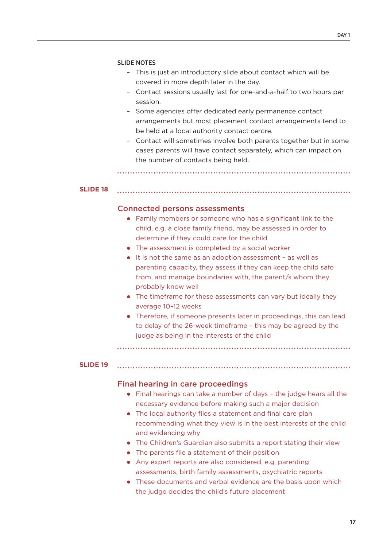#### SLIDE NOTES

- This is just an introductory slide about contact which will be covered in more depth later in the day.
- Contact sessions usually last for one-and-a-half to two hours per session.
- Some agencies offer dedicated early permanence contact arrangements but most placement contact arrangements tend to be held at a local authority contact centre.
- Contact will sometimes involve both parents together but in some cases parents will have contact separately, which can impact on the number of contacts being held.

**SLIDE 18**

## Connected persons assessments

- Family members or someone who has a significant link to the child, e.g. a close family friend, may be assessed in order to determine if they could care for the child
- The assessment is completed by a social worker
- It is not the same as an adoption assessment as well as parenting capacity, they assess if they can keep the child safe from, and manage boundaries with, the parent/s whom they probably know well
- The timeframe for these assessments can vary but ideally they average 10–12 weeks
- Therefore, if someone presents later in proceedings, this can lead to delay of the 26-week timeframe – this may be agreed by the judge as being in the interests of the child

#### **SLIDE 19**

#### Final hearing in care proceedings

- Final hearings can take a number of days the judge hears all the necessary evidence before making such a major decision
- The local authority files a statement and final care plan recommending what they view is in the best interests of the child and evidencing why
- The Children's Guardian also submits a report stating their view
- The parents file a statement of their position
- Any expert reports are also considered, e.g. parenting assessments, birth family assessments, psychiatric reports
- These documents and verbal evidence are the basis upon which the judge decides the child's future placement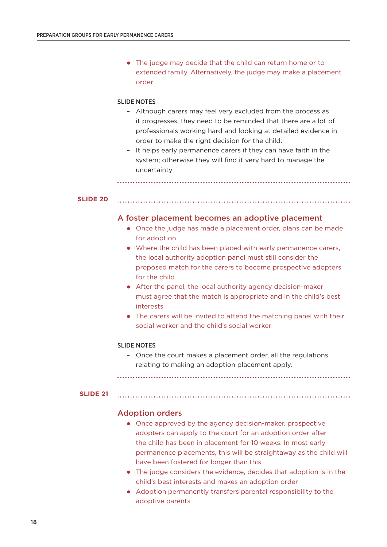• The judge may decide that the child can return home or to extended family. Alternatively, the judge may make a placement order

#### SLIDE NOTES

- Although carers may feel very excluded from the process as it progresses, they need to be reminded that there are a lot of professionals working hard and looking at detailed evidence in order to make the right decision for the child.
- It helps early permanence carers if they can have faith in the system; otherwise they will find it very hard to manage the uncertainty.

#### **SLIDE 20**

#### A foster placement becomes an adoptive placement

- Once the judge has made a placement order, plans can be made for adoption
- Where the child has been placed with early permanence carers, the local authority adoption panel must still consider the proposed match for the carers to become prospective adopters for the child
- After the panel, the local authority agency decision-maker must agree that the match is appropriate and in the child's best interests
- The carers will be invited to attend the matching panel with their social worker and the child's social worker

#### SLIDE NOTES

– Once the court makes a placement order, all the regulations relating to making an adoption placement apply.

#### **SLIDE 21**

#### Adoption orders

- Once approved by the agency decision-maker, prospective adopters can apply to the court for an adoption order after the child has been in placement for 10 weeks. In most early permanence placements, this will be straightaway as the child will have been fostered for longer than this
- The judge considers the evidence, decides that adoption is in the child's best interests and makes an adoption order
- Adoption permanently transfers parental responsibility to the adoptive parents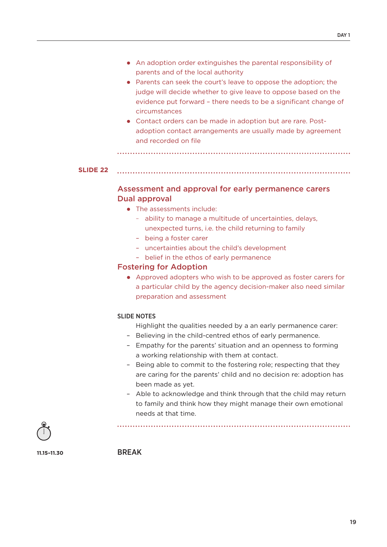- An adoption order extinguishes the parental responsibility of parents and of the local authority
- Parents can seek the court's leave to oppose the adoption; the judge will decide whether to give leave to oppose based on the evidence put forward – there needs to be a significant change of circumstances
- Contact orders can be made in adoption but are rare. Postadoption contact arrangements are usually made by agreement and recorded on file

```
SLIDE 22
```
# Assessment and approval for early permanence carers Dual approval

- The assessments include:
	- ability to manage a multitude of uncertainties, delays, unexpected turns, i.e. the child returning to family
	- being a foster carer
	- uncertainties about the child's development
	- belief in the ethos of early permanence

## Fostering for Adoption

 Approved adopters who wish to be approved as foster carers for a particular child by the agency decision-maker also need similar preparation and assessment

#### SLIDE NOTES

Highlight the qualities needed by a an early permanence carer:

- Believing in the child-centred ethos of early permanence.
- Empathy for the parents' situation and an openness to forming a working relationship with them at contact.
- Being able to commit to the fostering role; respecting that they are caring for the parents' child and no decision re: adoption has been made as yet.
- Able to acknowledge and think through that the child may return to family and think how they might manage their own emotional needs at that time.



**11.15–11.30**

BREAK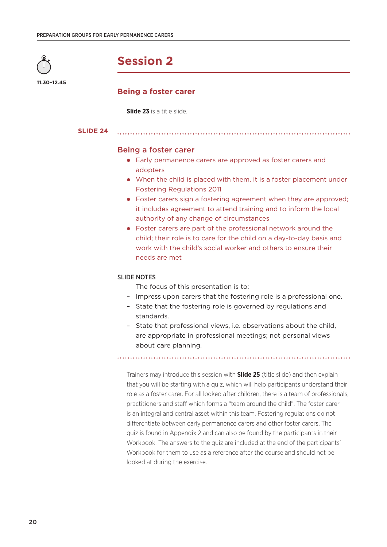

**11.30–12.45**

**Session 2**

# **Being a foster carer**

**Slide 23** is a title slide.

**SLIDE 24**

## Being a foster carer

 Early permanence carers are approved as foster carers and adopters

- When the child is placed with them, it is a foster placement under Fostering Regulations 2011
- Foster carers sign a fostering agreement when they are approved; it includes agreement to attend training and to inform the local authority of any change of circumstances
- Foster carers are part of the professional network around the child; their role is to care for the child on a day-to-day basis and work with the child's social worker and others to ensure their needs are met

#### SLIDE NOTES

- The focus of this presentation is to:
- Impress upon carers that the fostering role is a professional one.
- State that the fostering role is governed by regulations and standards.
- State that professional views, i.e. observations about the child, are appropriate in professional meetings; not personal views about care planning.

Trainers may introduce this session with **Slide 25** (title slide) and then explain that you will be starting with a quiz, which will help participants understand their role as a foster carer. For all looked after children, there is a team of professionals, practitioners and staff which forms a "team around the child". The foster carer is an integral and central asset within this team. Fostering regulations do not differentiate between early permanence carers and other foster carers. The quiz is found in Appendix 2 and can also be found by the participants in their Workbook. The answers to the quiz are included at the end of the participants' Workbook for them to use as a reference after the course and should not be looked at during the exercise.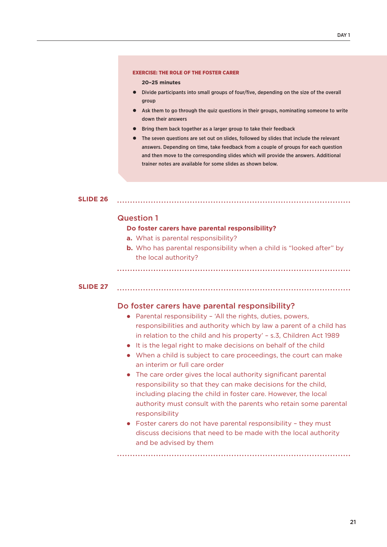#### EXERCISE: THE ROLE OF THE FOSTER CARER

**20–25 minutes**

- Divide participants into small groups of four/five, depending on the size of the overall group
- Ask them to go through the quiz questions in their groups, nominating someone to write down their answers
- Bring them back together as a larger group to take their feedback
- The seven questions are set out on slides, followed by slides that include the relevant answers. Depending on time, take feedback from a couple of groups for each question and then move to the corresponding slides which will provide the answers. Additional trainer notes are available for some slides as shown below.

**SLIDE 26**

#### Question 1

#### **Do foster carers have parental responsibility?**

- **a.** What is parental responsibility?
- **b.** Who has parental responsibility when a child is "looked after" by the local authority?

**SLIDE 27**

#### Do foster carers have parental responsibility?

- Parental responsibility 'All the rights, duties, powers, responsibilities and authority which by law a parent of a child has in relation to the child and his property' – s.3, Children Act 1989
- It is the legal right to make decisions on behalf of the child
- When a child is subject to care proceedings, the court can make an interim or full care order
- The care order gives the local authority significant parental responsibility so that they can make decisions for the child, including placing the child in foster care. However, the local authority must consult with the parents who retain some parental responsibility
- Foster carers do not have parental responsibility they must discuss decisions that need to be made with the local authority and be advised by them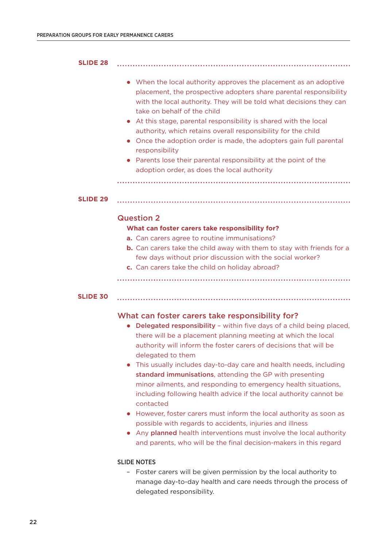| <b>SLIDE 28</b> |                                                                                                                                                                                                                                                                                                                                                                                                                                                                                                                                                                                                                                                                                                                                                                                                                                                                               |
|-----------------|-------------------------------------------------------------------------------------------------------------------------------------------------------------------------------------------------------------------------------------------------------------------------------------------------------------------------------------------------------------------------------------------------------------------------------------------------------------------------------------------------------------------------------------------------------------------------------------------------------------------------------------------------------------------------------------------------------------------------------------------------------------------------------------------------------------------------------------------------------------------------------|
|                 | When the local authority approves the placement as an adoptive<br>placement, the prospective adopters share parental responsibility<br>with the local authority. They will be told what decisions they can<br>take on behalf of the child<br>At this stage, parental responsibility is shared with the local<br>authority, which retains overall responsibility for the child<br>Once the adoption order is made, the adopters gain full parental<br>responsibility<br>Parents lose their parental responsibility at the point of the<br>adoption order, as does the local authority                                                                                                                                                                                                                                                                                          |
| <b>SLIDE 29</b> |                                                                                                                                                                                                                                                                                                                                                                                                                                                                                                                                                                                                                                                                                                                                                                                                                                                                               |
|                 | <b>Question 2</b><br>What can foster carers take responsibility for?<br><b>a.</b> Can carers agree to routine immunisations?<br><b>b.</b> Can carers take the child away with them to stay with friends for a<br>few days without prior discussion with the social worker?<br>c. Can carers take the child on holiday abroad?                                                                                                                                                                                                                                                                                                                                                                                                                                                                                                                                                 |
| <b>SLIDE 30</b> |                                                                                                                                                                                                                                                                                                                                                                                                                                                                                                                                                                                                                                                                                                                                                                                                                                                                               |
|                 | What can foster carers take responsibility for?<br>Delegated responsibility - within five days of a child being placed,<br>there will be a placement planning meeting at which the local<br>authority will inform the foster carers of decisions that will be<br>delegated to them<br>This usually includes day-to-day care and health needs, including<br>$\bullet$<br>standard immunisations, attending the GP with presenting<br>minor ailments, and responding to emergency health situations,<br>including following health advice if the local authority cannot be<br>contacted<br>However, foster carers must inform the local authority as soon as<br>$\bullet$<br>possible with regards to accidents, injuries and illness<br>Any planned health interventions must involve the local authority<br>and parents, who will be the final decision-makers in this regard |

# SLIDE NOTES

– Foster carers will be given permission by the local authority to manage day-to-day health and care needs through the process of delegated responsibility.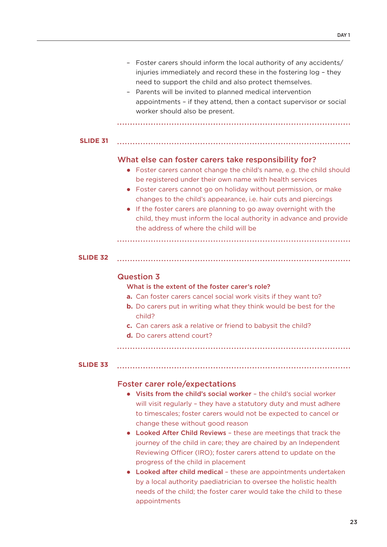|                 | Foster carers should inform the local authority of any accidents/<br>-<br>injuries immediately and record these in the fostering log - they<br>need to support the child and also protect themselves.<br>Parents will be invited to planned medical intervention<br>-<br>appointments - if they attend, then a contact supervisor or social<br>worker should also be present.                                                                                                                                                                         |
|-----------------|-------------------------------------------------------------------------------------------------------------------------------------------------------------------------------------------------------------------------------------------------------------------------------------------------------------------------------------------------------------------------------------------------------------------------------------------------------------------------------------------------------------------------------------------------------|
| <b>SLIDE 31</b> |                                                                                                                                                                                                                                                                                                                                                                                                                                                                                                                                                       |
|                 | What else can foster carers take responsibility for?<br>Foster carers cannot change the child's name, e.g. the child should<br>$\bullet$<br>be registered under their own name with health services<br>Foster carers cannot go on holiday without permission, or make<br>$\bullet$<br>changes to the child's appearance, i.e. hair cuts and piercings<br>If the foster carers are planning to go away overnight with the<br>$\bullet$<br>child, they must inform the local authority in advance and provide<br>the address of where the child will be |
| <b>SLIDE 32</b> |                                                                                                                                                                                                                                                                                                                                                                                                                                                                                                                                                       |
|                 | <b>Question 3</b><br>What is the extent of the foster carer's role?<br>a. Can foster carers cancel social work visits if they want to?<br><b>b.</b> Do carers put in writing what they think would be best for the<br>child?<br>c. Can carers ask a relative or friend to babysit the child?<br>d. Do carers attend court?                                                                                                                                                                                                                            |

## **SLIDE 33**

# Foster carer role/expectations

 Visits from the child's social worker – the child's social worker will visit regularly – they have a statutory duty and must adhere to timescales; foster carers would not be expected to cancel or change these without good reason

- Looked After Child Reviews these are meetings that track the journey of the child in care; they are chaired by an Independent Reviewing Officer (IRO); foster carers attend to update on the progress of the child in placement
- Looked after child medical these are appointments undertaken by a local authority paediatrician to oversee the holistic health needs of the child; the foster carer would take the child to these appointments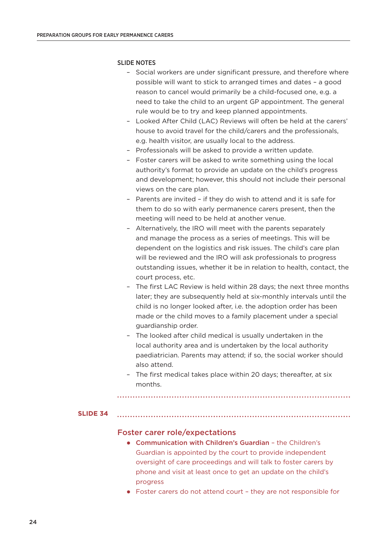#### SLIDE NOTES

- Social workers are under significant pressure, and therefore where possible will want to stick to arranged times and dates – a good reason to cancel would primarily be a child-focused one, e.g. a need to take the child to an urgent GP appointment. The general rule would be to try and keep planned appointments.
- Looked After Child (LAC) Reviews will often be held at the carers' house to avoid travel for the child/carers and the professionals, e.g. health visitor, are usually local to the address.
- Professionals will be asked to provide a written update.
- Foster carers will be asked to write something using the local authority's format to provide an update on the child's progress and development; however, this should not include their personal views on the care plan.
- Parents are invited if they do wish to attend and it is safe for them to do so with early permanence carers present, then the meeting will need to be held at another venue.
- Alternatively, the IRO will meet with the parents separately and manage the process as a series of meetings. This will be dependent on the logistics and risk issues. The child's care plan will be reviewed and the IRO will ask professionals to progress outstanding issues, whether it be in relation to health, contact, the court process, etc.
- The first LAC Review is held within 28 days; the next three months later; they are subsequently held at six-monthly intervals until the child is no longer looked after, i.e. the adoption order has been made or the child moves to a family placement under a special guardianship order.
- The looked after child medical is usually undertaken in the local authority area and is undertaken by the local authority paediatrician. Parents may attend; if so, the social worker should also attend.
- The first medical takes place within 20 days; thereafter, at six months.

#### **SLIDE 34**

#### Foster carer role/expectations

- Communication with Children's Guardian the Children's Guardian is appointed by the court to provide independent oversight of care proceedings and will talk to foster carers by phone and visit at least once to get an update on the child's progress
- Foster carers do not attend court they are not responsible for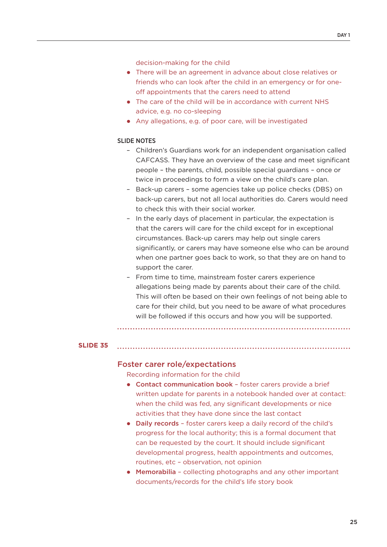decision-making for the child

- There will be an agreement in advance about close relatives or friends who can look after the child in an emergency or for oneoff appointments that the carers need to attend
- The care of the child will be in accordance with current NHS advice, e.g. no co-sleeping
- Any allegations, e.g. of poor care, will be investigated

#### SLIDE NOTES

- Children's Guardians work for an independent organisation called CAFCASS. They have an overview of the case and meet significant people – the parents, child, possible special guardians – once or twice in proceedings to form a view on the child's care plan.
- Back-up carers some agencies take up police checks (DBS) on back-up carers, but not all local authorities do. Carers would need to check this with their social worker.
- In the early days of placement in particular, the expectation is that the carers will care for the child except for in exceptional circumstances. Back-up carers may help out single carers significantly, or carers may have someone else who can be around when one partner goes back to work, so that they are on hand to support the carer.
- From time to time, mainstream foster carers experience allegations being made by parents about their care of the child. This will often be based on their own feelings of not being able to care for their child, but you need to be aware of what procedures will be followed if this occurs and how you will be supported.

#### **SLIDE 35**

#### Foster carer role/expectations

Recording information for the child

- Contact communication book foster carers provide a brief written update for parents in a notebook handed over at contact: when the child was fed, any significant developments or nice activities that they have done since the last contact
- Daily records foster carers keep a daily record of the child's progress for the local authority; this is a formal document that can be requested by the court. It should include significant developmental progress, health appointments and outcomes, routines, etc – observation, not opinion
- Memorabilia collecting photographs and any other important documents/records for the child's life story book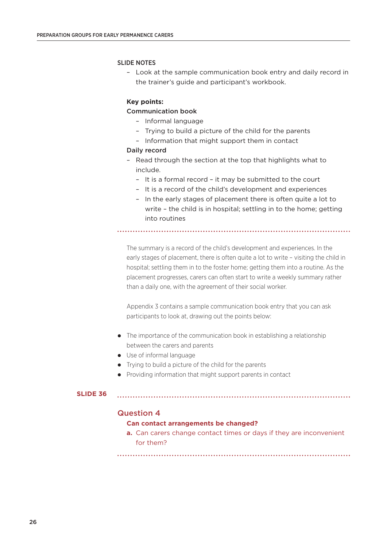#### SLIDE NOTES

– Look at the sample communication book entry and daily record in the trainer's guide and participant's workbook.

#### **Key points:**

#### Communication book

- Informal language
- Trying to build a picture of the child for the parents
- Information that might support them in contact

#### Daily record

- Read through the section at the top that highlights what to include.
	- It is a formal record it may be submitted to the court
	- It is a record of the child's development and experiences
	- In the early stages of placement there is often quite a lot to write – the child is in hospital; settling in to the home; getting into routines

The summary is a record of the child's development and experiences. In the early stages of placement, there is often quite a lot to write – visiting the child in hospital; settling them in to the foster home; getting them into a routine. As the placement progresses, carers can often start to write a weekly summary rather than a daily one, with the agreement of their social worker.

Appendix 3 contains a sample communication book entry that you can ask participants to look at, drawing out the points below:

- The importance of the communication book in establishing a relationship between the carers and parents
- Use of informal language
- Trying to build a picture of the child for the parents
- Providing information that might support parents in contact

#### **SLIDE 36**

#### Question 4

#### **Can contact arrangements be changed?**

**a.** Can carers change contact times or days if they are inconvenient for them?

26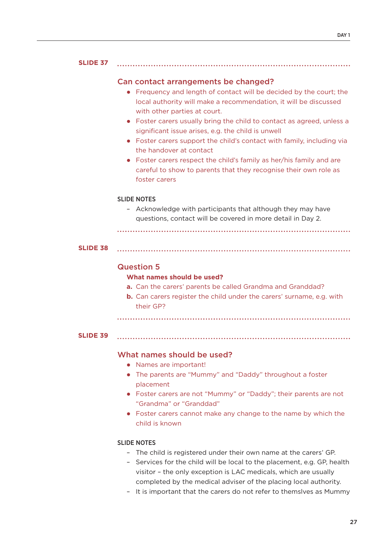#### **SLIDE 37**

#### Can contact arrangements be changed?

 Frequency and length of contact will be decided by the court; the local authority will make a recommendation, it will be discussed with other parties at court.

- Foster carers usually bring the child to contact as agreed, unless a significant issue arises, e.g. the child is unwell
- Foster carers support the child's contact with family, including via the handover at contact
- Foster carers respect the child's family as her/his family and are careful to show to parents that they recognise their own role as foster carers

#### SLIDE NOTES

– Acknowledge with participants that although they may have questions, contact will be covered in more detail in Day 2.

```
SLIDE 38
```
## Question 5

#### **What names should be used?**

- **a.** Can the carers' parents be called Grandma and Granddad?
- **b.** Can carers register the child under the carers' surname, e.g. with their GP?

#### **SLIDE 39**

## What names should be used?

- Names are important!
- The parents are "Mummy" and "Daddy" throughout a foster placement
- Foster carers are not "Mummy" or "Daddy"; their parents are not "Grandma" or "Granddad"
- Foster carers cannot make any change to the name by which the child is known

#### SLIDE NOTES

- The child is registered under their own name at the carers' GP.
- Services for the child will be local to the placement, e.g. GP, health visitor – the only exception is LAC medicals, which are usually completed by the medical adviser of the placing local authority.
- It is important that the carers do not refer to themslves as Mummy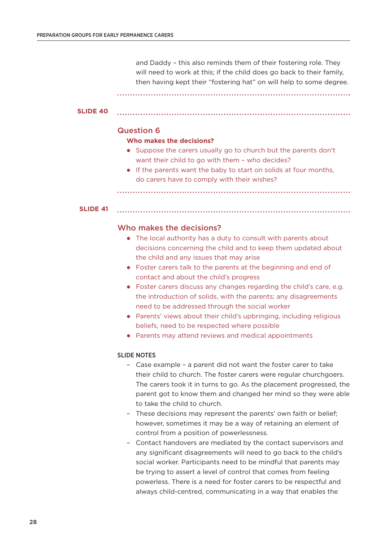and Daddy – this also reminds them of their fostering role. They will need to work at this; if the child does go back to their family, then having kept their "fostering hat" on will help to some degree.

#### **SLIDE 40**

#### Question 6

#### **Who makes the decisions?**

 Suppose the carers usually go to church but the parents don't want their child to go with them – who decides?

• If the parents want the baby to start on solids at four months, do carers have to comply with their wishes?

#### **SLIDE 41**

#### Who makes the decisions?

- The local authority has a duty to consult with parents about decisions concerning the child and to keep them updated about the child and any issues that may arise
- Foster carers talk to the parents at the beginning and end of contact and about the child's progress
- Foster carers discuss any changes regarding the child's care, e.g. the introduction of solids, with the parents; any disagreements need to be addressed through the social worker
- Parents' views about their child's upbringing, including religious beliefs, need to be respected where possible
- Parents may attend reviews and medical appointments

#### SLIDE NOTES

- Case example a parent did not want the foster carer to take their child to church. The foster carers were regular churchgoers. The carers took it in turns to go. As the placement progressed, the parent got to know them and changed her mind so they were able to take the child to church.
- These decisions may represent the parents' own faith or belief; however, sometimes it may be a way of retaining an element of control from a position of powerlessness.
- Contact handovers are mediated by the contact supervisors and any significant disagreements will need to go back to the child's social worker. Participants need to be mindful that parents may be trying to assert a level of control that comes from feeling powerless. There is a need for foster carers to be respectful and always child-centred, communicating in a way that enables the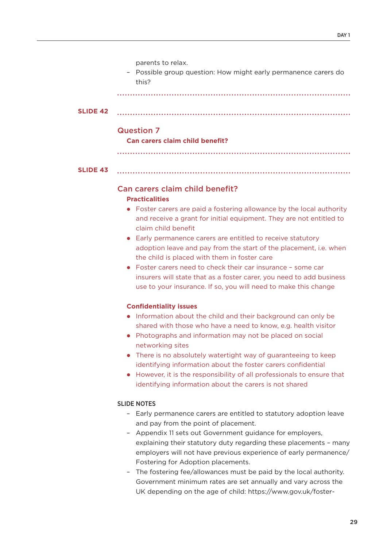parents to relax.

– Possible group question: How might early permanence carers do this?

| <b>SLIDE 42</b> |  |
|-----------------|--|
|                 |  |

### Question 7

**Can carers claim child benefit?**

| 31. | ID. | - |  |  |
|-----|-----|---|--|--|
|     |     |   |  |  |

# Can carers claim child benefit?

#### **Practicalities**

 Foster carers are paid a fostering allowance by the local authority and receive a grant for initial equipment. They are not entitled to claim child benefit

- Early permanence carers are entitled to receive statutory adoption leave and pay from the start of the placement, i.e. when the child is placed with them in foster care
- Foster carers need to check their car insurance some car insurers will state that as a foster carer, you need to add business use to your insurance. If so, you will need to make this change

### **Confidentiality issues**

- Information about the child and their background can only be shared with those who have a need to know, e.g. health visitor
- Photographs and information may not be placed on social networking sites
- There is no absolutely watertight way of guaranteeing to keep identifying information about the foster carers confidential
- However, it is the responsibility of all professionals to ensure that identifying information about the carers is not shared

# SLIDE NOTES

- Early permanence carers are entitled to statutory adoption leave and pay from the point of placement.
- Appendix 11 sets out Government guidance for employers, explaining their statutory duty regarding these placements – many employers will not have previous experience of early permanence/ Fostering for Adoption placements.
- The fostering fee/allowances must be paid by the local authority. Government minimum rates are set annually and vary across the UK depending on the age of child: https://www.gov.uk/foster-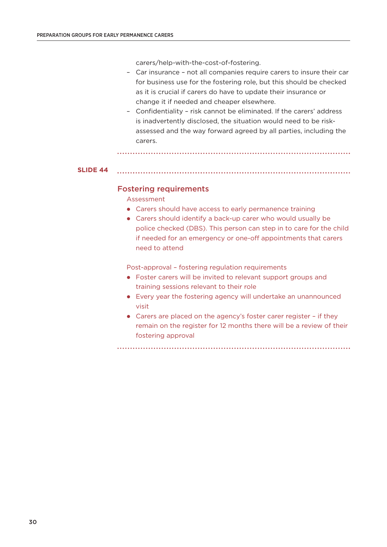carers/help-with-the-cost-of-fostering.

- Car insurance not all companies require carers to insure their car for business use for the fostering role, but this should be checked as it is crucial if carers do have to update their insurance or change it if needed and cheaper elsewhere.
- Confidentiality risk cannot be eliminated. If the carers' address is inadvertently disclosed, the situation would need to be riskassessed and the way forward agreed by all parties, including the carers.

```
SLIDE 44
```
### Fostering requirements

Assessment

- Carers should have access to early permanence training
- Carers should identify a back-up carer who would usually be police checked (DBS). This person can step in to care for the child if needed for an emergency or one-off appointments that carers need to attend

Post-approval – fostering regulation requirements

- Foster carers will be invited to relevant support groups and training sessions relevant to their role
- Every year the fostering agency will undertake an unannounced visit
- Carers are placed on the agency's foster carer register if they remain on the register for 12 months there will be a review of their fostering approval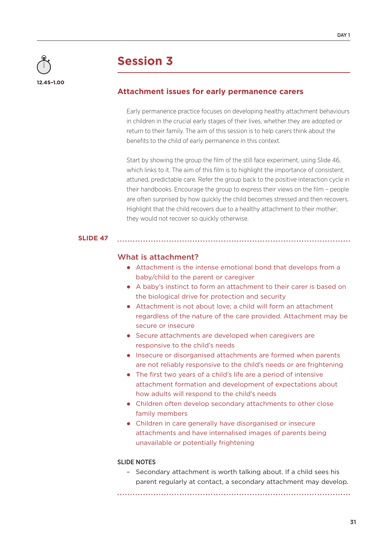

# **Attachment issues for early permanence carers**

Early permanence practice focuses on developing healthy attachment behaviours in children in the crucial early stages of their lives, whether they are adopted or return to their family. The aim of this session is to help carers think about the benefits to the child of early permanence in this context.

Start by showing the group the film of the still face experiment, using Slide 46, which links to it. The aim of this film is to highlight the importance of consistent, attuned, predictable care. Refer the group back to the positive interaction cycle in their handbooks. Encourage the group to express their views on the film – people are often surprised by how quickly the child becomes stressed and then recovers. Highlight that the child recovers due to a healthy attachment to their mother; they would not recover so quickly otherwise.

#### **SLIDE 47**

### What is attachment?

- Attachment is the intense emotional bond that develops from a baby/child to the parent or caregiver
- A baby's instinct to form an attachment to their carer is based on the biological drive for protection and security
- Attachment is not about love; a child will form an attachment regardless of the nature of the care provided. Attachment may be secure or insecure
- Secure attachments are developed when caregivers are responsive to the child's needs
- Insecure or disorganised attachments are formed when parents are not reliably responsive to the child's needs or are frightening
- The first two years of a child's life are a period of intensive attachment formation and development of expectations about how adults will respond to the child's needs
- Children often develop secondary attachments to other close family members
- Children in care generally have disorganised or insecure attachments and have internalised images of parents being unavailable or potentially frightening

#### SLIDE NOTES

– Secondary attachment is worth talking about. If a child sees his parent regularly at contact, a secondary attachment may develop.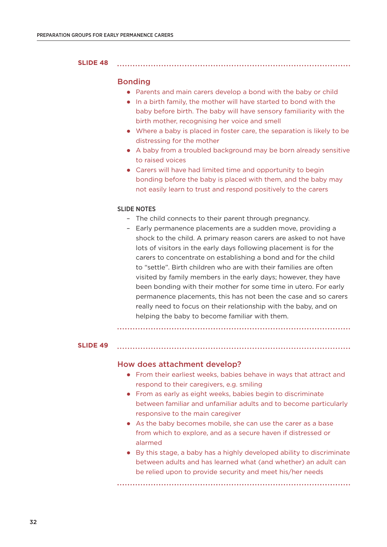#### **SLIDE 48**

### Bonding

Parents and main carers develop a bond with the baby or child

- In a birth family, the mother will have started to bond with the baby before birth. The baby will have sensory familiarity with the birth mother, recognising her voice and smell
- Where a baby is placed in foster care, the separation is likely to be distressing for the mother
- A baby from a troubled background may be born already sensitive to raised voices
- Carers will have had limited time and opportunity to begin bonding before the baby is placed with them, and the baby may not easily learn to trust and respond positively to the carers

#### SLIDE NOTES

- The child connects to their parent through pregnancy.
- Early permanence placements are a sudden move, providing a shock to the child. A primary reason carers are asked to not have lots of visitors in the early days following placement is for the carers to concentrate on establishing a bond and for the child to "settle". Birth children who are with their families are often visited by family members in the early days; however, they have been bonding with their mother for some time in utero. For early permanence placements, this has not been the case and so carers really need to focus on their relationship with the baby, and on helping the baby to become familiar with them.

#### **SLIDE 49**

#### How does attachment develop?

 From their earliest weeks, babies behave in ways that attract and respond to their caregivers, e.g. smiling

- From as early as eight weeks, babies begin to discriminate between familiar and unfamiliar adults and to become particularly responsive to the main caregiver
- As the baby becomes mobile, she can use the carer as a base from which to explore, and as a secure haven if distressed or alarmed
- By this stage, a baby has a highly developed ability to discriminate between adults and has learned what (and whether) an adult can be relied upon to provide security and meet his/her needs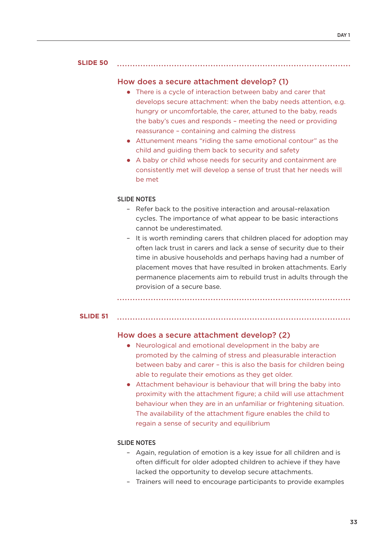#### **SLIDE 50**

#### How does a secure attachment develop? (1)

- There is a cycle of interaction between baby and carer that develops secure attachment: when the baby needs attention, e.g. hungry or uncomfortable, the carer, attuned to the baby, reads the baby's cues and responds – meeting the need or providing reassurance – containing and calming the distress
- Attunement means "riding the same emotional contour" as the child and guiding them back to security and safety
- A baby or child whose needs for security and containment are consistently met will develop a sense of trust that her needs will be met

#### SLIDE NOTES

- Refer back to the positive interaction and arousal–relaxation cycles. The importance of what appear to be basic interactions cannot be underestimated.
- It is worth reminding carers that children placed for adoption may often lack trust in carers and lack a sense of security due to their time in abusive households and perhaps having had a number of placement moves that have resulted in broken attachments. Early permanence placements aim to rebuild trust in adults through the provision of a secure base.

### **SLIDE 51**

# How does a secure attachment develop? (2)

 Neurological and emotional development in the baby are promoted by the calming of stress and pleasurable interaction between baby and carer – this is also the basis for children being able to regulate their emotions as they get older.

 Attachment behaviour is behaviour that will bring the baby into proximity with the attachment figure; a child will use attachment behaviour when they are in an unfamiliar or frightening situation. The availability of the attachment figure enables the child to regain a sense of security and equilibrium

#### SLIDE NOTES

- Again, regulation of emotion is a key issue for all children and is often difficult for older adopted children to achieve if they have lacked the opportunity to develop secure attachments.
- Trainers will need to encourage participants to provide examples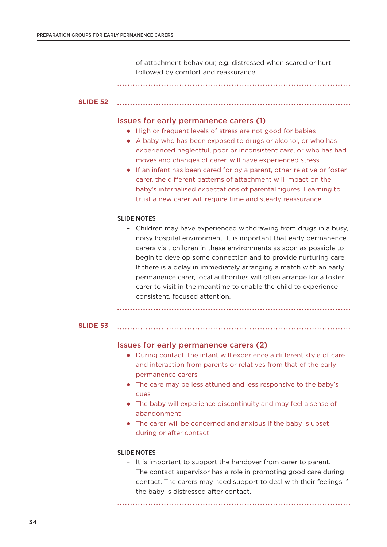of attachment behaviour, e.g. distressed when scared or hurt followed by comfort and reassurance.

#### **SLIDE 52**

#### Issues for early permanence carers (1)

- High or frequent levels of stress are not good for babies
- A baby who has been exposed to drugs or alcohol, or who has experienced neglectful, poor or inconsistent care, or who has had moves and changes of carer, will have experienced stress
- If an infant has been cared for by a parent, other relative or foster carer, the different patterns of attachment will impact on the baby's internalised expectations of parental figures. Learning to trust a new carer will require time and steady reassurance.

#### SLIDE NOTES

– Children may have experienced withdrawing from drugs in a busy, noisy hospital environment. It is important that early permanence carers visit children in these environments as soon as possible to begin to develop some connection and to provide nurturing care. If there is a delay in immediately arranging a match with an early permanence carer, local authorities will often arrange for a foster carer to visit in the meantime to enable the child to experience consistent, focused attention.

#### **SLIDE 53**

#### Issues for early permanence carers (2)

- During contact, the infant will experience a different style of care and interaction from parents or relatives from that of the early permanence carers
- The care may be less attuned and less responsive to the baby's cues
- The baby will experience discontinuity and may feel a sense of abandonment
- The carer will be concerned and anxious if the baby is upset during or after contact

#### SLIDE NOTES

– It is important to support the handover from carer to parent. The contact supervisor has a role in promoting good care during contact. The carers may need support to deal with their feelings if the baby is distressed after contact.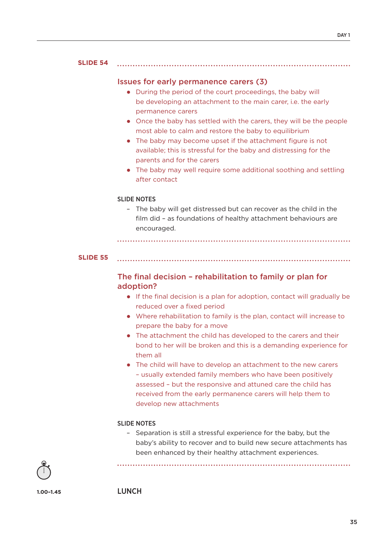#### **SLIDE 54**

# Issues for early permanence carers (3)

- During the period of the court proceedings, the baby will be developing an attachment to the main carer, i.e. the early permanence carers
- Once the baby has settled with the carers, they will be the people most able to calm and restore the baby to equilibrium

- The baby may become upset if the attachment figure is not available; this is stressful for the baby and distressing for the parents and for the carers
- The baby may well require some additional soothing and settling after contact

## SLIDE NOTES

– The baby will get distressed but can recover as the child in the film did – as foundations of healthy attachment behaviours are encouraged.

**SLIDE 55**

# The final decision – rehabilitation to family or plan for adoption?

- If the final decision is a plan for adoption, contact will gradually be reduced over a fixed period
- Where rehabilitation to family is the plan, contact will increase to prepare the baby for a move
- The attachment the child has developed to the carers and their bond to her will be broken and this is a demanding experience for them all
- The child will have to develop an attachment to the new carers – usually extended family members who have been positively assessed – but the responsive and attuned care the child has received from the early permanence carers will help them to develop new attachments

# SLIDE NOTES

– Separation is still a stressful experience for the baby, but the baby's ability to recover and to build new secure attachments has been enhanced by their healthy attachment experiences.



**1.00–1.45**

LUNCH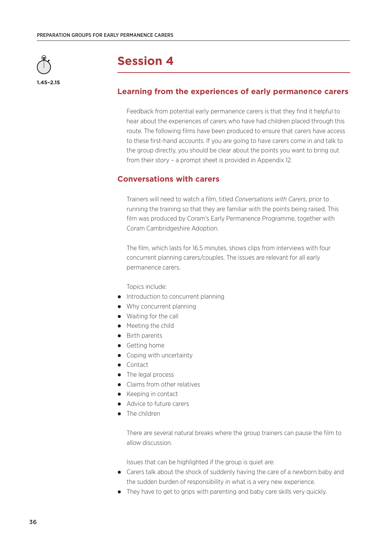

#### **1.45–2.15**

# **Session 4**

# **Learning from the experiences of early permanence carers**

Feedback from potential early permanence carers is that they find it helpful to hear about the experiences of carers who have had children placed through this route. The following films have been produced to ensure that carers have access to these first-hand accounts. If you are going to have carers come in and talk to the group directly, you should be clear about the points you want to bring out from their story – a prompt sheet is provided in Appendix 12.

# **Conversations with carers**

Trainers will need to watch a film, titled *Conversations with Carers*, prior to running the training so that they are familiar with the points being raised. This film was produced by Coram's Early Permanence Programme, together with Coram Cambridgeshire Adoption.

The film, which lasts for 16.5 minutes, shows clips from interviews with four concurrent planning carers/couples. The issues are relevant for all early permanence carers.

Topics include:

- Introduction to concurrent planning
- Why concurrent planning
- Waiting for the call
- Meeting the child
- Birth parents
- Getting home
- Coping with uncertainty
- Contact
- The legal process
- Claims from other relatives
- Keeping in contact
- Advice to future carers
- The children

There are several natural breaks where the group trainers can pause the film to allow discussion.

Issues that can be highlighted if the group is quiet are:

- Carers talk about the shock of suddenly having the care of a newborn baby and the sudden burden of responsibility in what is a very new experience.
- They have to get to grips with parenting and baby care skills very quickly.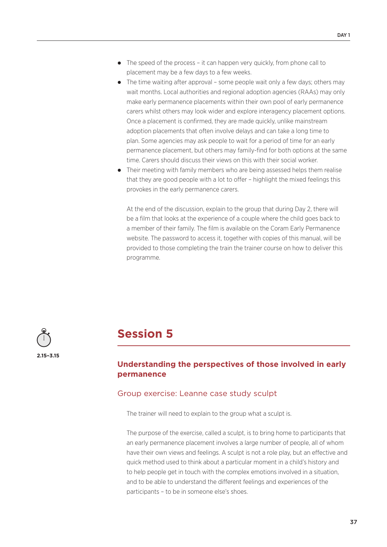- The speed of the process it can happen very quickly, from phone call to placement may be a few days to a few weeks.
- The time waiting after approval some people wait only a few days; others may wait months. Local authorities and regional adoption agencies (RAAs) may only make early permanence placements within their own pool of early permanence carers whilst others may look wider and explore interagency placement options. Once a placement is confirmed, they are made quickly, unlike mainstream adoption placements that often involve delays and can take a long time to plan. Some agencies may ask people to wait for a period of time for an early permanence placement, but others may family-find for both options at the same time. Carers should discuss their views on this with their social worker.
- Their meeting with family members who are being assessed helps them realise that they are good people with a lot to offer – highlight the mixed feelings this provokes in the early permanence carers.

At the end of the discussion, explain to the group that during Day 2, there will be a film that looks at the experience of a couple where the child goes back to a member of their family. The film is available on the Coram Early Permanence website. The password to access it, together with copies of this manual, will be provided to those completing the train the trainer course on how to deliver this programme.



# **Session 5**

# **Understanding the perspectives of those involved in early permanence**

# Group exercise: Leanne case study sculpt

The trainer will need to explain to the group what a sculpt is.

The purpose of the exercise, called a sculpt, is to bring home to participants that an early permanence placement involves a large number of people, all of whom have their own views and feelings. A sculpt is not a role play, but an effective and quick method used to think about a particular moment in a child's history and to help people get in touch with the complex emotions involved in a situation, and to be able to understand the different feelings and experiences of the participants – to be in someone else's shoes.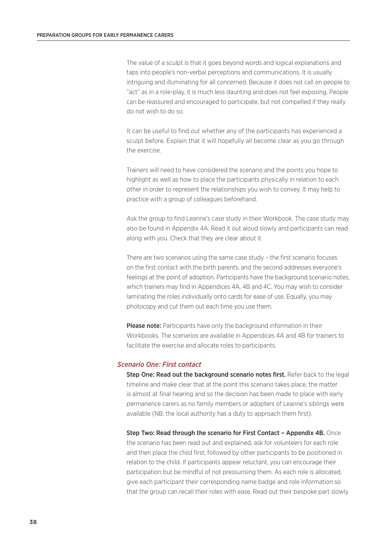The value of a sculpt is that it goes beyond words and logical explanations and taps into people's non-verbal perceptions and communications. It is usually intriguing and illuminating for all concerned. Because it does not call on people to "act" as in a role-play, it is much less daunting and does not feel exposing. People can be reassured and encouraged to participate, but not compelled if they really do not wish to do so.

It can be useful to find out whether any of the participants has experienced a sculpt before. Explain that it will hopefully all become clear as you go through the exercise.

Trainers will need to have considered the scenario and the points you hope to highlight as well as how to place the participants physically in relation to each other in order to represent the relationships you wish to convey. It may help to practice with a group of colleagues beforehand.

Ask the group to find Leanne's case study in their Workbook. The case study may also be found in Appendix 4A. Read it out aloud slowly and participants can read along with you. Check that they are clear about it.

There are two scenarios using the same case study – the first scenario focuses on the first contact with the birth parents, and the second addresses everyone's feelings at the point of adoption. Participants have the background scenario notes, which trainers may find in Appendices 4A, 4B and 4C. You may wish to consider laminating the roles individually onto cards for ease of use. Equally, you may photocopy and cut them out each time you use them.

**Please note:** Participants have only the background information in their Workbooks. The scenarios are available in Appendices 4A and 4B for trainers to facilitate the exercise and allocate roles to participants.

#### *Scenario One: First contact*

Step One: Read out the background scenario notes first. Refer back to the legal timeline and make clear that at the point this scenario takes place, the matter is almost at final hearing and so the decision has been made to place with early permanence carers as no family members or adopters of Leanne's siblings were available (NB. the local authority has a duty to approach them first).

Step Two: Read through the scenario for First Contact – Appendix 4B. Once the scenario has been read out and explained, ask for volunteers for each role and then place the child first, followed by other participants to be positioned in relation to the child. If participants appear reluctant, you can encourage their participation but be mindful of not pressurising them. As each role is allocated, give each participant their corresponding name badge and role information so that the group can recall their roles with ease. Read out their bespoke part slowly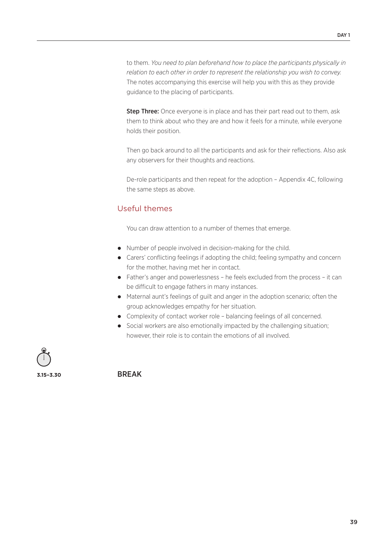to them. *You need to plan beforehand how to place the participants physically in relation to each other in order to represent the relationship you wish to convey.* The notes accompanying this exercise will help you with this as they provide guidance to the placing of participants.

**Step Three:** Once everyone is in place and has their part read out to them, ask them to think about who they are and how it feels for a minute, while everyone holds their position.

Then go back around to all the participants and ask for their reflections. Also ask any observers for their thoughts and reactions.

De-role participants and then repeat for the adoption – Appendix 4C, following the same steps as above.

# Useful themes

You can draw attention to a number of themes that emerge.

- Number of people involved in decision-making for the child.
- Carers' conflicting feelings if adopting the child; feeling sympathy and concern for the mother, having met her in contact.
- Father's anger and powerlessness he feels excluded from the process it can be difficult to engage fathers in many instances.
- Maternal aunt's feelings of guilt and anger in the adoption scenario; often the group acknowledges empathy for her situation.
- Complexity of contact worker role balancing feelings of all concerned.
- Social workers are also emotionally impacted by the challenging situation; however, their role is to contain the emotions of all involved.

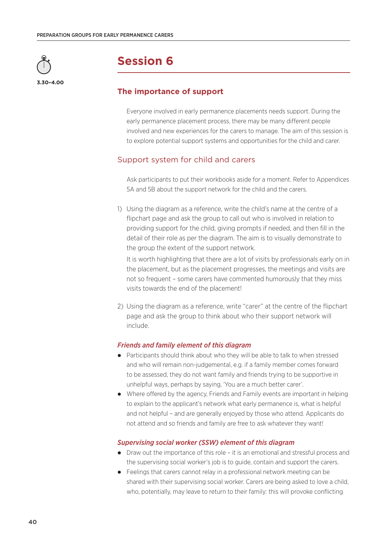

# **The importance of support**

Everyone involved in early permanence placements needs support. During the early permanence placement process, there may be many different people involved and new experiences for the carers to manage. The aim of this session is to explore potential support systems and opportunities for the child and carer.

# Support system for child and carers

Ask participants to put their workbooks aside for a moment. Refer to Appendices 5A and 5B about the support network for the child and the carers.

1) Using the diagram as a reference, write the child's name at the centre of a flipchart page and ask the group to call out who is involved in relation to providing support for the child, giving prompts if needed, and then fill in the detail of their role as per the diagram. The aim is to visually demonstrate to the group the extent of the support network.

It is worth highlighting that there are a lot of visits by professionals early on in the placement, but as the placement progresses, the meetings and visits are not so frequent – some carers have commented humorously that they miss visits towards the end of the placement!

2) Using the diagram as a reference, write "carer" at the centre of the flipchart page and ask the group to think about who their support network will include.

# *Friends and family element of this diagram*

- Participants should think about who they will be able to talk to when stressed and who will remain non-judgemental, e.g. if a family member comes forward to be assessed, they do not want family and friends trying to be supportive in unhelpful ways, perhaps by saying, 'You are a much better carer'.
- Where offered by the agency, Friends and Family events are important in helping to explain to the applicant's network what early permanence is, what is helpful and not helpful – and are generally enjoyed by those who attend. Applicants do not attend and so friends and family are free to ask whatever they want!

# *Supervising social worker (SSW) element of this diagram*

- Draw out the importance of this role it is an emotional and stressful process and the supervising social worker's job is to guide, contain and support the carers.
- Feelings that carers cannot relay in a professional network meeting can be shared with their supervising social worker. Carers are being asked to love a child, who, potentially, may leave to return to their family: this will provoke conflicting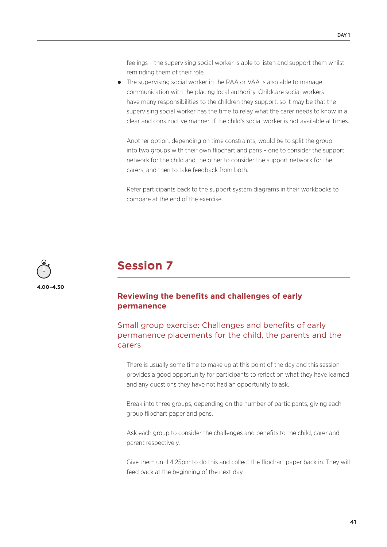feelings – the supervising social worker is able to listen and support them whilst reminding them of their role.

 The supervising social worker in the RAA or VAA is also able to manage communication with the placing local authority. Childcare social workers have many responsibilities to the children they support, so it may be that the supervising social worker has the time to relay what the carer needs to know in a clear and constructive manner, if the child's social worker is not available at times.

Another option, depending on time constraints, would be to split the group into two groups with their own flipchart and pens – one to consider the support network for the child and the other to consider the support network for the carers, and then to take feedback from both.

Refer participants back to the support system diagrams in their workbooks to compare at the end of the exercise.



# **Session 7**

# **Reviewing the benefits and challenges of early permanence**

# Small group exercise: Challenges and benefits of early permanence placements for the child, the parents and the carers

There is usually some time to make up at this point of the day and this session provides a good opportunity for participants to reflect on what they have learned and any questions they have not had an opportunity to ask.

Break into three groups, depending on the number of participants, giving each group flipchart paper and pens.

Ask each group to consider the challenges and benefits to the child, carer and parent respectively.

Give them until 4.25pm to do this and collect the flipchart paper back in. They will feed back at the beginning of the next day.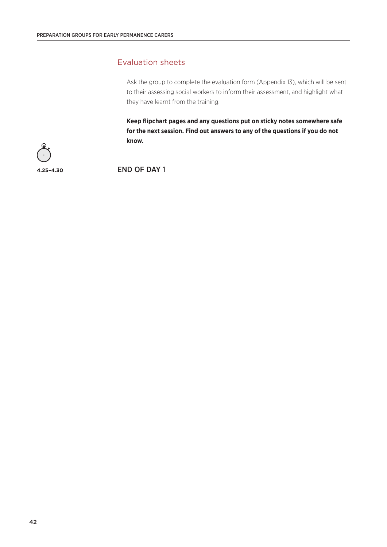# Evaluation sheets

Ask the group to complete the evaluation form (Appendix 13), which will be sent to their assessing social workers to inform their assessment, and highlight what they have learnt from the training.

**Keep flipchart pages and any questions put on sticky notes somewhere safe for the next session. Find out answers to any of the questions if you do not know.** 



**4.25–4.30** END OF DAY 1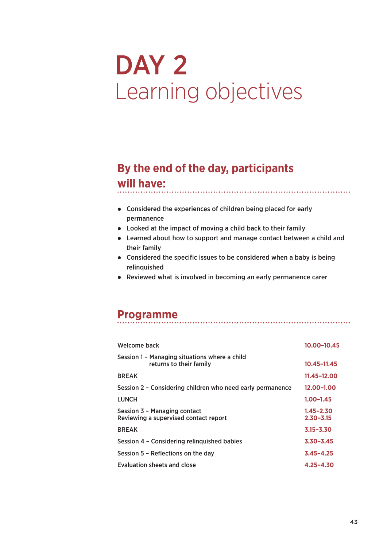# DAY 2 Learning objectives

# **By the end of the day, participants**

# **will have:**

- Considered the experiences of children being placed for early permanence
- Looked at the impact of moving a child back to their family
- Learned about how to support and manage contact between a child and their family

- Considered the specific issues to be considered when a baby is being relinquished
- Reviewed what is involved in becoming an early permanence carer

# **Programme**

| Welcome back                                                             | 10.00-10.45                    |
|--------------------------------------------------------------------------|--------------------------------|
| Session 1 - Managing situations where a child<br>returns to their family | 10.45-11.45                    |
| <b>BREAK</b>                                                             | 11.45-12.00                    |
| Session 2 – Considering children who need early permanence               | 12.00–1.00                     |
| <b>LUNCH</b>                                                             | 1.00–1.45                      |
| Session 3 - Managing contact<br>Reviewing a supervised contact report    | $1.45 - 2.30$<br>$2.30 - 3.15$ |
| <b>BREAK</b>                                                             | $3.15 - 3.30$                  |
| Session 4 - Considering relinguished babies                              | $3.30 - 3.45$                  |
| Session 5 - Reflections on the day                                       | $3.45 - 4.25$                  |
| Evaluation sheets and close                                              | $4.25 - 4.30$                  |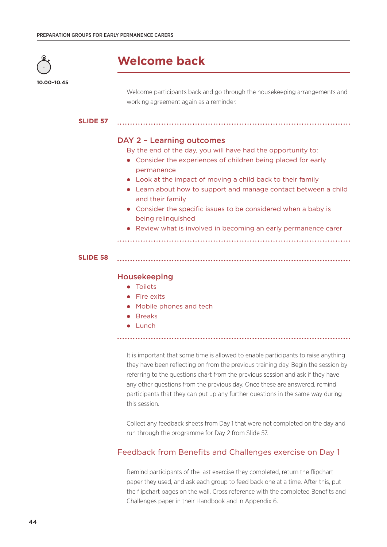

**10.00–10.45**

# **Welcome back**

Welcome participants back and go through the housekeeping arrangements and working agreement again as a reminder.

#### **SLIDE 57**

# DAY 2 – Learning outcomes

By the end of the day, you will have had the opportunity to:

- Consider the experiences of children being placed for early permanence
- Look at the impact of moving a child back to their family
- Learn about how to support and manage contact between a child and their family
- Consider the specific issues to be considered when a baby is being relinquished
- Review what is involved in becoming an early permanence carer

#### **SLIDE 58**

#### Housekeeping

- Toilets
- Fire exits
- Mobile phones and tech
- **•** Breaks
- Lunch

It is important that some time is allowed to enable participants to raise anything they have been reflecting on from the previous training day. Begin the session by referring to the questions chart from the previous session and ask if they have any other questions from the previous day. Once these are answered, remind participants that they can put up any further questions in the same way during this session.

Collect any feedback sheets from Day 1 that were not completed on the day and run through the programme for Day 2 from Slide 57.

# Feedback from Benefits and Challenges exercise on Day 1

Remind participants of the last exercise they completed, return the flipchart paper they used, and ask each group to feed back one at a time. After this, put the flipchart pages on the wall. Cross reference with the completed Benefits and Challenges paper in their Handbook and in Appendix 6.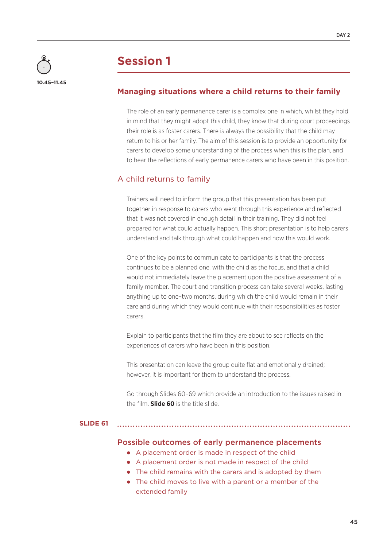

# **Managing situations where a child returns to their family**

The role of an early permanence carer is a complex one in which, whilst they hold in mind that they might adopt this child, they know that during court proceedings their role is as foster carers. There is always the possibility that the child may return to his or her family. The aim of this session is to provide an opportunity for carers to develop some understanding of the process when this is the plan, and to hear the reflections of early permanence carers who have been in this position.

# A child returns to family

Trainers will need to inform the group that this presentation has been put together in response to carers who went through this experience and reflected that it was not covered in enough detail in their training. They did not feel prepared for what could actually happen. This short presentation is to help carers understand and talk through what could happen and how this would work.

One of the key points to communicate to participants is that the process continues to be a planned one, with the child as the focus, and that a child would not immediately leave the placement upon the positive assessment of a family member. The court and transition process can take several weeks, lasting anything up to one–two months, during which the child would remain in their care and during which they would continue with their responsibilities as foster carers.

Explain to participants that the film they are about to see reflects on the experiences of carers who have been in this position.

This presentation can leave the group quite flat and emotionally drained; however, it is important for them to understand the process.

Go through Slides 60–69 which provide an introduction to the issues raised in the film. **Slide 60** is the title slide.

#### **SLIDE 61**

- Possible outcomes of early permanence placements A placement order is made in respect of the child
	- A placement order is not made in respect of the child
	- The child remains with the carers and is adopted by them
	- The child moves to live with a parent or a member of the extended family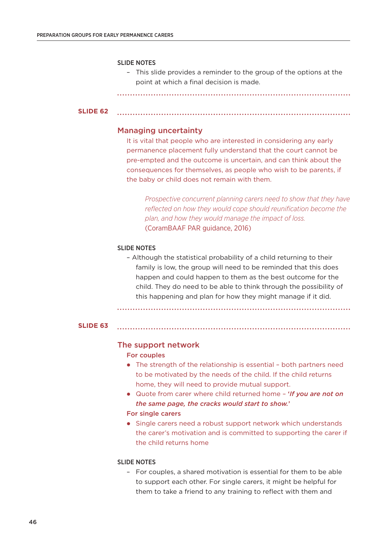#### SLIDE NOTES

– This slide provides a reminder to the group of the options at the point at which a final decision is made.

#### **SLIDE 62**

### Managing uncertainty

It is vital that people who are interested in considering any early permanence placement fully understand that the court cannot be pre-empted and the outcome is uncertain, and can think about the consequences for themselves, as people who wish to be parents, if the baby or child does not remain with them.

*Prospective concurrent planning carers need to show that they have reflected on how they would cope should reunification become the plan, and how they would manage the impact of loss.* (CoramBAAF PAR guidance, 2016)

#### SLIDE NOTES

– Although the statistical probability of a child returning to their family is low, the group will need to be reminded that this does happen and could happen to them as the best outcome for the child. They do need to be able to think through the possibility of this happening and plan for how they might manage if it did.

**SLIDE 63**

#### The support network

#### For couples

- The strength of the relationship is essential both partners need to be motivated by the needs of the child. If the child returns home, they will need to provide mutual support.
- Quote from carer where child returned home '*If you are not on the same page, the cracks would start to show.*'

# For single carers

• Single carers need a robust support network which understands the carer's motivation and is committed to supporting the carer if the child returns home

#### SLIDE NOTES

– For couples, a shared motivation is essential for them to be able to support each other. For single carers, it might be helpful for them to take a friend to any training to reflect with them and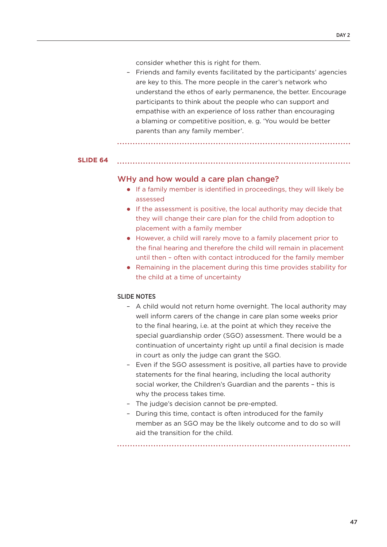consider whether this is right for them.

– Friends and family events facilitated by the participants' agencies are key to this. The more people in the carer's network who understand the ethos of early permanence, the better. Encourage participants to think about the people who can support and empathise with an experience of loss rather than encouraging a blaming or competitive position, e. g. 'You would be better parents than any family member'.

#### **SLIDE 64**

# WHy and how would a care plan change?

- If a family member is identified in proceedings, they will likely be assessed
- If the assessment is positive, the local authority may decide that they will change their care plan for the child from adoption to placement with a family member
- However, a child will rarely move to a family placement prior to the final hearing and therefore the child will remain in placement until then – often with contact introduced for the family member
- Remaining in the placement during this time provides stability for the child at a time of uncertainty

#### SLIDE NOTES

- A child would not return home overnight. The local authority may well inform carers of the change in care plan some weeks prior to the final hearing, i.e. at the point at which they receive the special guardianship order (SGO) assessment. There would be a continuation of uncertainty right up until a final decision is made in court as only the judge can grant the SGO.
- Even if the SGO assessment is positive, all parties have to provide statements for the final hearing, including the local authority social worker, the Children's Guardian and the parents – this is why the process takes time.
- The judge's decision cannot be pre-empted.
- During this time, contact is often introduced for the family member as an SGO may be the likely outcome and to do so will aid the transition for the child.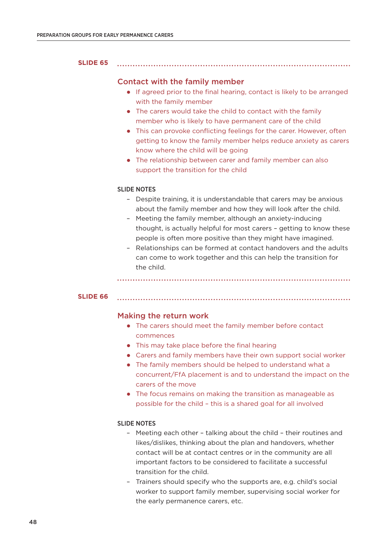#### **SLIDE 65**

# Contact with the family member

 If agreed prior to the final hearing, contact is likely to be arranged with the family member

- The carers would take the child to contact with the family member who is likely to have permanent care of the child
- This can provoke conflicting feelings for the carer. However, often getting to know the family member helps reduce anxiety as carers know where the child will be going
- The relationship between carer and family member can also support the transition for the child

#### SLIDE NOTES

- Despite training, it is understandable that carers may be anxious about the family member and how they will look after the child.
- Meeting the family member, although an anxiety-inducing thought, is actually helpful for most carers – getting to know these people is often more positive than they might have imagined.
- Relationships can be formed at contact handovers and the adults can come to work together and this can help the transition for the child.

#### **SLIDE 66**

#### Making the return work

- The carers should meet the family member before contact commences
- This may take place before the final hearing
- Carers and family members have their own support social worker
- The family members should be helped to understand what a concurrent/FfA placement is and to understand the impact on the carers of the move
- The focus remains on making the transition as manageable as possible for the child – this is a shared goal for all involved

### SLIDE NOTES

- Meeting each other talking about the child their routines and likes/dislikes, thinking about the plan and handovers, whether contact will be at contact centres or in the community are all important factors to be considered to facilitate a successful transition for the child.
- Trainers should specify who the supports are, e.g. child's social worker to support family member, supervising social worker for the early permanence carers, etc.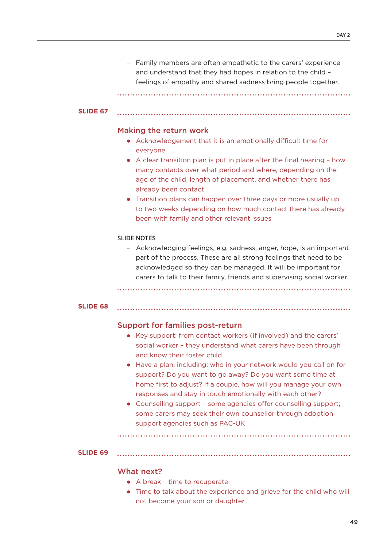– Family members are often empathetic to the carers' experience and understand that they had hopes in relation to the child – feelings of empathy and shared sadness bring people together.

#### **SLIDE 67**

#### Making the return work

- Acknowledgement that it is an emotionally difficult time for everyone
- A clear transition plan is put in place after the final hearing how many contacts over what period and where, depending on the age of the child, length of placement, and whether there has already been contact
- Transition plans can happen over three days or more usually up to two weeks depending on how much contact there has already been with family and other relevant issues

#### SLIDE NOTES

– Acknowledging feelings, e.g. sadness, anger, hope, is an important part of the process. These are all strong feelings that need to be acknowledged so they can be managed. It will be important for carers to talk to their family, friends and supervising social worker.

#### **SLIDE 68**

#### Support for families post-return

- Key support: from contact workers (if involved) and the carers' social worker – they understand what carers have been through and know their foster child
- Have a plan, including: who in your network would you call on for support? Do you want to go away? Do you want some time at home first to adjust? If a couple, how will you manage your own responses and stay in touch emotionally with each other?
- Counselling support some agencies offer counselling support; some carers may seek their own counsellor through adoption support agencies such as PAC-UK

#### **SLIDE 69**

#### What next?

- A break time to recuperate
- Time to talk about the experience and grieve for the child who will not become your son or daughter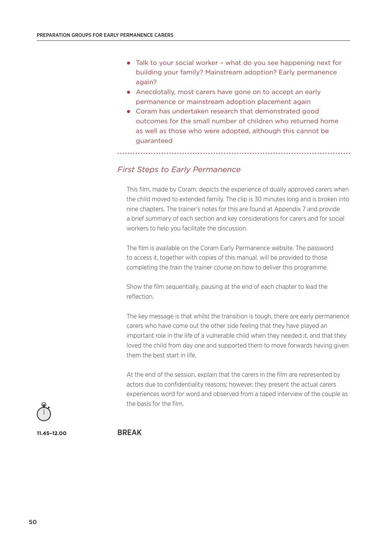- Talk to your social worker what do you see happening next for building your family? Mainstream adoption? Early permanence again?
- Anecdotally, most carers have gone on to accept an early permanence or mainstream adoption placement again
- Coram has undertaken research that demonstrated good outcomes for the small number of children who returned home as well as those who were adopted, although this cannot be guaranteed

# *First Steps to Early Permanence*

This film, made by Coram, depicts the experience of dually approved carers when the child moved to extended family. The clip is 30 minutes long and is broken into nine chapters. The trainer's notes for this are found at Appendix 7 and provide a brief summary of each section and key considerations for carers and for social workers to help you facilitate the discussion.

The film is available on the Coram Early Permanence website. The password to access it, together with copies of this manual, will be provided to those completing the train the trainer course on how to deliver this programme.

Show the film sequentially, pausing at the end of each chapter to lead the reflection.

The key message is that whilst the transition is tough, there are early permanence carers who have come out the other side feeling that they have played an important role in the life of a vulnerable child when they needed it, and that they loved the child from day one and supported them to move forwards having given them the best start in life.

At the end of the session, explain that the carers in the film are represented by actors due to confidentiality reasons; however, they present the actual carers experiences word for word and observed from a taped interview of the couple as the basis for the film.



**11.45–12.00** BREAK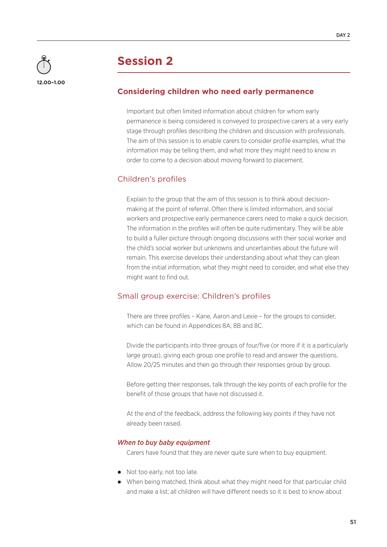

# **Considering children who need early permanence**

Important but often limited information about children for whom early permanence is being considered is conveyed to prospective carers at a very early stage through profiles describing the children and discussion with professionals. The aim of this session is to enable carers to consider profile examples, what the information may be telling them, and what more they might need to know in order to come to a decision about moving forward to placement.

# Children's profiles

Explain to the group that the aim of this session is to think about decisionmaking at the point of referral. Often there is limited information, and social workers and prospective early permanence carers need to make a quick decision. The information in the profiles will often be quite rudimentary. They will be able to build a fuller picture through ongoing discussions with their social worker and the child's social worker but unknowns and uncertainties about the future will remain. This exercise develops their understanding about what they can glean from the initial information, what they might need to consider, and what else they might want to find out.

# Small group exercise: Children's profiles

There are three profiles – Kane, Aaron and Lexie – for the groups to consider, which can be found in Appendices 8A, 8B and 8C.

Divide the participants into three groups of four/five (or more if it is a particularly large group), giving each group one profile to read and answer the questions. Allow 20/25 minutes and then go through their responses group by group.

Before getting their responses, talk through the key points of each profile for the benefit of those groups that have not discussed it.

At the end of the feedback, address the following key points if they have not already been raised.

#### *When to buy baby equipment*

Carers have found that they are never quite sure when to buy equipment.

- Not too early, not too late.
- When being matched, think about what they might need for that particular child and make a list; all children will have different needs so it is best to know about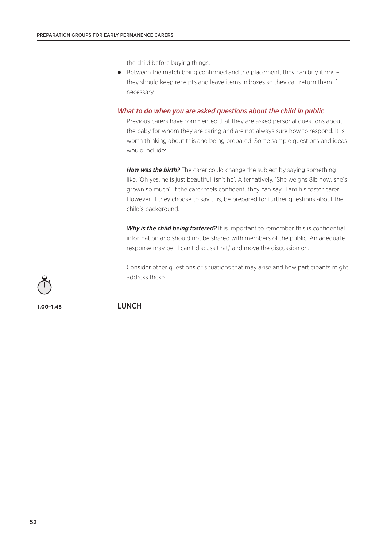the child before buying things.

• Between the match being confirmed and the placement, they can buy items they should keep receipts and leave items in boxes so they can return them if necessary.

### *What to do when you are asked questions about the child in public*

Previous carers have commented that they are asked personal questions about the baby for whom they are caring and are not always sure how to respond. It is worth thinking about this and being prepared. Some sample questions and ideas would include:

*How was the birth?* The carer could change the subject by saying something like, 'Oh yes, he is just beautiful, isn't he'. Alternatively, 'She weighs 8lb now, she's grown so much'. If the carer feels confident, they can say, 'I am his foster carer'. However, if they choose to say this, be prepared for further questions about the child's background.

**Why is the child being fostered?** It is important to remember this is confidential information and should not be shared with members of the public. An adequate response may be, 'I can't discuss that,' and move the discussion on.

Consider other questions or situations that may arise and how participants might address these.

**1.00–1.45** LUNCH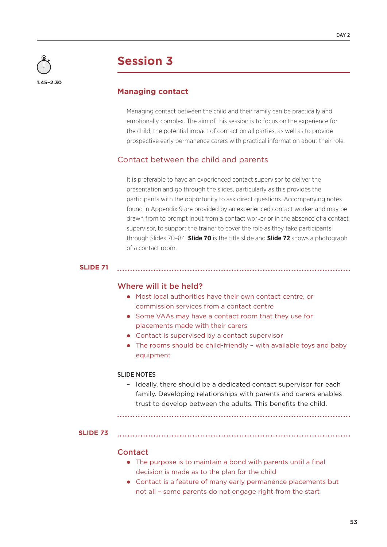

# **Managing contact**

Managing contact between the child and their family can be practically and emotionally complex. The aim of this session is to focus on the experience for the child, the potential impact of contact on all parties, as well as to provide prospective early permanence carers with practical information about their role.

# Contact between the child and parents

It is preferable to have an experienced contact supervisor to deliver the presentation and go through the slides, particularly as this provides the participants with the opportunity to ask direct questions. Accompanying notes found in Appendix 9 are provided by an experienced contact worker and may be drawn from to prompt input from a contact worker or in the absence of a contact supervisor, to support the trainer to cover the role as they take participants through Slides 70–84. **Slide 70** is the title slide and **Slide 72** shows a photograph of a contact room.

# **SLIDE 71**

# Where will it be held?

- Most local authorities have their own contact centre, or commission services from a contact centre
- Some VAAs may have a contact room that they use for placements made with their carers
- Contact is supervised by a contact supervisor
- The rooms should be child-friendly with available toys and baby equipment

### SLIDE NOTES

– Ideally, there should be a dedicated contact supervisor for each family. Developing relationships with parents and carers enables trust to develop between the adults. This benefits the child.

**SLIDE 73**

#### **Contact**

- The purpose is to maintain a bond with parents until a final decision is made as to the plan for the child
- Contact is a feature of many early permanence placements but not all – some parents do not engage right from the start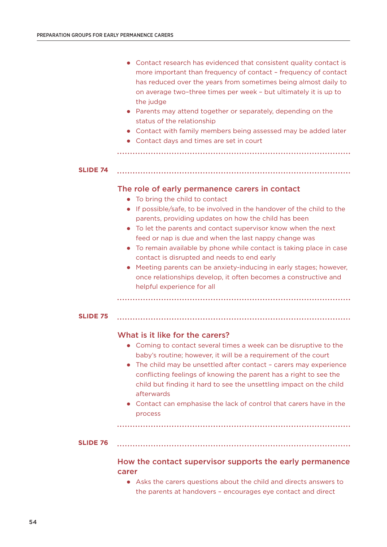|                 | Contact research has evidenced that consistent quality contact is<br>more important than frequency of contact - frequency of contact<br>has reduced over the years from sometimes being almost daily to<br>on average two-three times per week - but ultimately it is up to<br>the judge<br>Parents may attend together or separately, depending on the<br>status of the relationship<br>Contact with family members being assessed may be added later<br>• Contact days and times are set in court |
|-----------------|-----------------------------------------------------------------------------------------------------------------------------------------------------------------------------------------------------------------------------------------------------------------------------------------------------------------------------------------------------------------------------------------------------------------------------------------------------------------------------------------------------|
| <b>SLIDE 74</b> |                                                                                                                                                                                                                                                                                                                                                                                                                                                                                                     |
|                 |                                                                                                                                                                                                                                                                                                                                                                                                                                                                                                     |
|                 | The role of early permanence carers in contact                                                                                                                                                                                                                                                                                                                                                                                                                                                      |
|                 | • To bring the child to contact<br>• If possible/safe, to be involved in the handover of the child to the                                                                                                                                                                                                                                                                                                                                                                                           |
|                 | parents, providing updates on how the child has been                                                                                                                                                                                                                                                                                                                                                                                                                                                |
|                 | To let the parents and contact supervisor know when the next<br>feed or nap is due and when the last nappy change was                                                                                                                                                                                                                                                                                                                                                                               |
|                 | To remain available by phone while contact is taking place in case                                                                                                                                                                                                                                                                                                                                                                                                                                  |
|                 | contact is disrupted and needs to end early                                                                                                                                                                                                                                                                                                                                                                                                                                                         |
|                 | Meeting parents can be anxiety-inducing in early stages; however,<br>once relationships develop, it often becomes a constructive and<br>helpful experience for all                                                                                                                                                                                                                                                                                                                                  |
|                 |                                                                                                                                                                                                                                                                                                                                                                                                                                                                                                     |
| <b>SLIDE 75</b> |                                                                                                                                                                                                                                                                                                                                                                                                                                                                                                     |
|                 | What is it like for the carers?                                                                                                                                                                                                                                                                                                                                                                                                                                                                     |
|                 | • Coming to contact several times a week can be disruptive to the                                                                                                                                                                                                                                                                                                                                                                                                                                   |
|                 | baby's routine; however, it will be a requirement of the court                                                                                                                                                                                                                                                                                                                                                                                                                                      |
|                 | The child may be unsettled after contact - carers may experience<br>conflicting feelings of knowing the parent has a right to see the                                                                                                                                                                                                                                                                                                                                                               |
|                 | child but finding it hard to see the unsettling impact on the child<br>afterwards                                                                                                                                                                                                                                                                                                                                                                                                                   |
|                 | • Contact can emphasise the lack of control that carers have in the                                                                                                                                                                                                                                                                                                                                                                                                                                 |
|                 | process                                                                                                                                                                                                                                                                                                                                                                                                                                                                                             |
|                 |                                                                                                                                                                                                                                                                                                                                                                                                                                                                                                     |
| <b>SLIDE 76</b> |                                                                                                                                                                                                                                                                                                                                                                                                                                                                                                     |
|                 | How the contact supervisor supports the early permanence<br>carer                                                                                                                                                                                                                                                                                                                                                                                                                                   |
|                 | • Asks the carers questions about the child and directs answers to                                                                                                                                                                                                                                                                                                                                                                                                                                  |

the parents at handovers – encourages eye contact and direct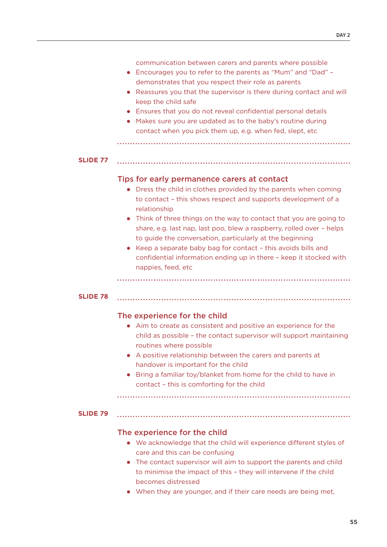|                 | communication between carers and parents where possible<br>Encourages you to refer to the parents as "Mum" and "Dad" -<br>demonstrates that you respect their role as parents<br>Reassures you that the supervisor is there during contact and will<br>$\bullet$<br>keep the child safe<br>Ensures that you do not reveal confidential personal details<br>Makes sure you are updated as to the baby's routine during<br>contact when you pick them up, e.g. when fed, slept, etc                                                                                    |
|-----------------|----------------------------------------------------------------------------------------------------------------------------------------------------------------------------------------------------------------------------------------------------------------------------------------------------------------------------------------------------------------------------------------------------------------------------------------------------------------------------------------------------------------------------------------------------------------------|
| <b>SLIDE 77</b> |                                                                                                                                                                                                                                                                                                                                                                                                                                                                                                                                                                      |
|                 | Tips for early permanence carers at contact<br>Dress the child in clothes provided by the parents when coming<br>to contact - this shows respect and supports development of a<br>relationship<br>Think of three things on the way to contact that you are going to<br>share, e.g. last nap, last poo, blew a raspberry, rolled over - helps<br>to guide the conversation, particularly at the beginning<br>Keep a separate baby bag for contact - this avoids bills and<br>confidential information ending up in there - keep it stocked with<br>nappies, feed, etc |
| <b>SLIDE 78</b> |                                                                                                                                                                                                                                                                                                                                                                                                                                                                                                                                                                      |
|                 | The experience for the child<br>Aim to create as consistent and positive an experience for the<br>child as possible - the contact supervisor will support maintaining<br>routines where possible<br>A positive relationship between the carers and parents at<br>handover is important for the child<br>Bring a familiar toy/blanket from home for the child to have in<br>contact - this is comforting for the child                                                                                                                                                |
| <b>SLIDE 79</b> |                                                                                                                                                                                                                                                                                                                                                                                                                                                                                                                                                                      |
|                 |                                                                                                                                                                                                                                                                                                                                                                                                                                                                                                                                                                      |
|                 | The experience for the child<br>• We acknowledge that the child will experience different styles of<br>care and this can be confusing<br>The contact supervisor will aim to support the parents and child<br>to minimise the impact of this - they will intervene if the child<br>becomes distressed<br>When they are younger, and if their care needs are being met,                                                                                                                                                                                                |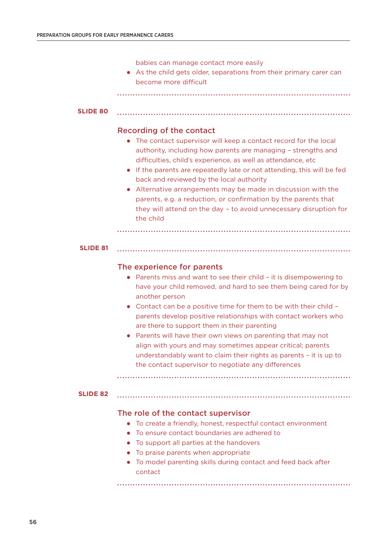babies can manage contact more easily

 As the child gets older, separations from their primary carer can become more difficult

```
SLIDE 80
```
# Recording of the contact

- The contact supervisor will keep a contact record for the local authority, including how parents are managing – strengths and difficulties, child's experience, as well as attendance, etc
- If the parents are repeatedly late or not attending, this will be fed back and reviewed by the local authority
- Alternative arrangements may be made in discussion with the parents, e.g. a reduction, or confirmation by the parents that they will attend on the day – to avoid unnecessary disruption for the child

#### **SLIDE 81**

# The experience for parents

- Parents miss and want to see their child it is disempowering to have your child removed, and hard to see them being cared for by another person
- Contact can be a positive time for them to be with their child parents develop positive relationships with contact workers who are there to support them in their parenting
- Parents will have their own views on parenting that may not align with yours and may sometimes appear critical; parents understandably want to claim their rights as parents – it is up to the contact supervisor to negotiate any differences

#### **SLIDE 82**

# The role of the contact supervisor

- To create a friendly, honest, respectful contact environment
- To ensure contact boundaries are adhered to
- To support all parties at the handovers
- To praise parents when appropriate
- To model parenting skills during contact and feed back after contact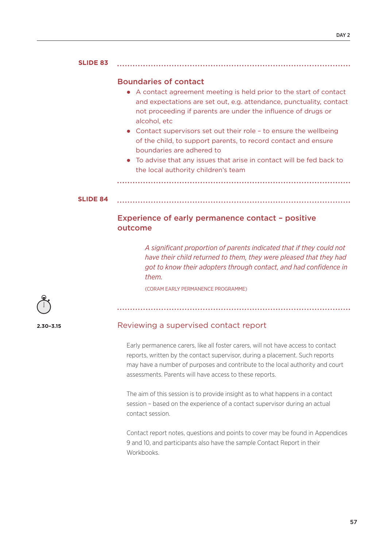#### **SLIDE 83**

# Boundaries of contact

- A contact agreement meeting is held prior to the start of contact and expectations are set out, e.g. attendance, punctuality, contact not proceeding if parents are under the influence of drugs or alcohol, etc
- Contact supervisors set out their role to ensure the wellbeing of the child, to support parents, to record contact and ensure boundaries are adhered to
- To advise that any issues that arise in contact will be fed back to the local authority children's team

**SLIDE 84**

# Experience of early permanence contact – positive outcome

*A significant proportion of parents indicated that if they could not have their child returned to them, they were pleased that they had got to know their adopters through contact, and had confidence in them.* 

(CORAM EARLY PERMANENCE PROGRAMME)



**2.30–3.15**

#### Reviewing a supervised contact report

Early permanence carers, like all foster carers, will not have access to contact reports, written by the contact supervisor, during a placement. Such reports may have a number of purposes and contribute to the local authority and court assessments. Parents will have access to these reports.

The aim of this session is to provide insight as to what happens in a contact session – based on the experience of a contact supervisor during an actual contact session.

Contact report notes, questions and points to cover may be found in Appendices 9 and 10, and participants also have the sample Contact Report in their **Workbooks**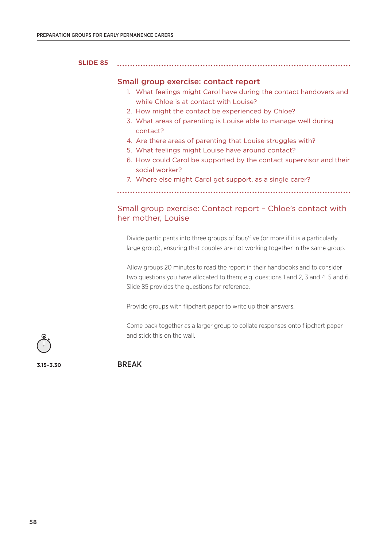#### **SLIDE 85**

#### Small group exercise: contact report

- 1. What feelings might Carol have during the contact handovers and while Chloe is at contact with Louise?
- 2. How might the contact be experienced by Chloe?
- 3. What areas of parenting is Louise able to manage well during contact?
- 4. Are there areas of parenting that Louise struggles with?
- 5. What feelings might Louise have around contact?
- 6. How could Carol be supported by the contact supervisor and their social worker?
- 7. Where else might Carol get support, as a single carer?

# Small group exercise: Contact report – Chloe's contact with her mother, Louise

Divide participants into three groups of four/five (or more if it is a particularly large group), ensuring that couples are not working together in the same group.

Allow groups 20 minutes to read the report in their handbooks and to consider two questions you have allocated to them; e.g. questions 1 and 2, 3 and 4, 5 and 6. Slide 85 provides the questions for reference.

Provide groups with flipchart paper to write up their answers.

Come back together as a larger group to collate responses onto flipchart paper and stick this on the wall.

**3.15–3.30** BREAK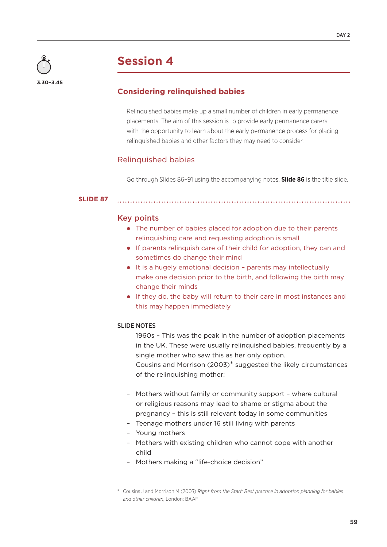

# **Considering relinquished babies**

Relinquished babies make up a small number of children in early permanence placements. The aim of this session is to provide early permanence carers with the opportunity to learn about the early permanence process for placing relinquished babies and other factors they may need to consider.

# Relinquished babies

Go through Slides 86–91 using the accompanying notes. **Slide 86** is the title slide.

#### **SLIDE 87**

### Key points

 The number of babies placed for adoption due to their parents relinquishing care and requesting adoption is small

- If parents relinquish care of their child for adoption, they can and sometimes do change their mind
- It is a hugely emotional decision parents may intellectually make one decision prior to the birth, and following the birth may change their minds
- If they do, the baby will return to their care in most instances and this may happen immediately

#### SLIDE NOTES

1960s – This was the peak in the number of adoption placements in the UK. These were usually relinquished babies, frequently by a single mother who saw this as her only option.

Cousins and Morrison (2003)\* suggested the likely circumstances of the relinquishing mother:

- Mothers without family or community support where cultural or religious reasons may lead to shame or stigma about the pregnancy – this is still relevant today in some communities
- Teenage mothers under 16 still living with parents
- Young mothers
- Mothers with existing children who cannot cope with another child
- Mothers making a "life-choice decision"

<sup>\*</sup> Cousins J and Morrison M (2003) *Right from the Start: Best practice in adoption planning for babies and other children*, London: BAAF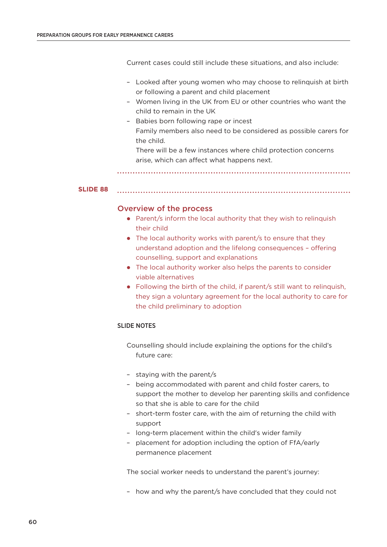Current cases could still include these situations, and also include:

- Looked after young women who may choose to relinquish at birth or following a parent and child placement
- Women living in the UK from EU or other countries who want the child to remain in the UK
- Babies born following rape or incest Family members also need to be considered as possible carers for the child.

There will be a few instances where child protection concerns arise, which can affect what happens next.

**SLIDE 88**

# Overview of the process

- Parent/s inform the local authority that they wish to relinquish their child
- The local authority works with parent/s to ensure that they understand adoption and the lifelong consequences – offering counselling, support and explanations
- The local authority worker also helps the parents to consider viable alternatives
- Following the birth of the child, if parent/s still want to relinquish, they sign a voluntary agreement for the local authority to care for the child preliminary to adoption

# SLIDE NOTES

Counselling should include explaining the options for the child's future care:

- staying with the parent/s
- being accommodated with parent and child foster carers, to support the mother to develop her parenting skills and confidence so that she is able to care for the child
- short-term foster care, with the aim of returning the child with support
- long-term placement within the child's wider family
- placement for adoption including the option of FfA/early permanence placement

The social worker needs to understand the parent's journey:

– how and why the parent/s have concluded that they could not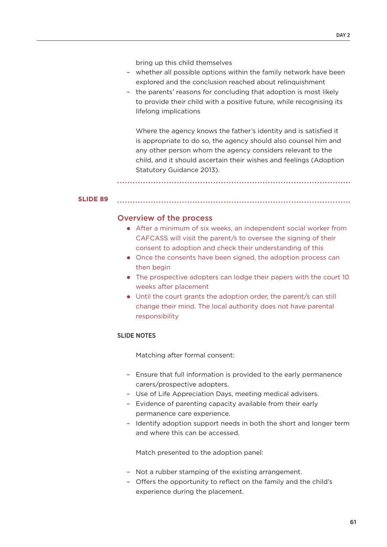bring up this child themselves

- whether all possible options within the family network have been explored and the conclusion reached about relinquishment
- the parents' reasons for concluding that adoption is most likely to provide their child with a positive future, while recognising its lifelong implications

Where the agency knows the father's identity and is satisfied it is appropriate to do so, the agency should also counsel him and any other person whom the agency considers relevant to the child, and it should ascertain their wishes and feelings (Adoption Statutory Guidance 2013).

#### **SLIDE 89**

#### Overview of the process

- After a minimum of six weeks, an independent social worker from CAFCASS will visit the parent/s to oversee the signing of their consent to adoption and check their understanding of this
- Once the consents have been signed, the adoption process can then begin
- The prospective adopters can lodge their papers with the court 10 weeks after placement
- Until the court grants the adoption order, the parent/s can still change their mind. The local authority does not have parental responsibility

#### SLIDE NOTES

Matching after formal consent:

- Ensure that full information is provided to the early permanence carers/prospective adopters.
- Use of Life Appreciation Days, meeting medical advisers.
- Evidence of parenting capacity available from their early permanence care experience.
- Identify adoption support needs in both the short and longer term and where this can be accessed.

Match presented to the adoption panel:

- Not a rubber stamping of the existing arrangement.
- Offers the opportunity to reflect on the family and the child's experience during the placement.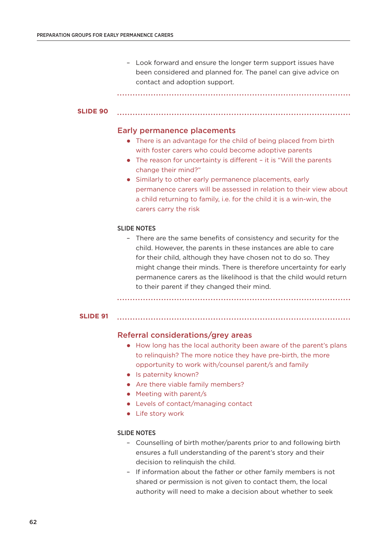– Look forward and ensure the longer term support issues have been considered and planned for. The panel can give advice on contact and adoption support.

#### **SLIDE 90**

### Early permanence placements

- There is an advantage for the child of being placed from birth with foster carers who could become adoptive parents
- The reason for uncertainty is different it is "Will the parents change their mind?"
- Similarly to other early permanence placements, early permanence carers will be assessed in relation to their view about a child returning to family, i.e. for the child it is a win-win, the carers carry the risk

#### SLIDE NOTES

– There are the same benefits of consistency and security for the child. However, the parents in these instances are able to care for their child, although they have chosen not to do so. They might change their minds. There is therefore uncertainty for early permanence carers as the likelihood is that the child would return to their parent if they changed their mind.

#### **SLIDE 91**

# Referral considerations/grey areas

- How long has the local authority been aware of the parent's plans to relinquish? The more notice they have pre-birth, the more opportunity to work with/counsel parent/s and family
- Is paternity known?
- Are there viable family members?
- Meeting with parent/s
- Levels of contact/managing contact
- Life story work

#### SLIDE NOTES

- Counselling of birth mother/parents prior to and following birth ensures a full understanding of the parent's story and their decision to relinquish the child.
- If information about the father or other family members is not shared or permission is not given to contact them, the local authority will need to make a decision about whether to seek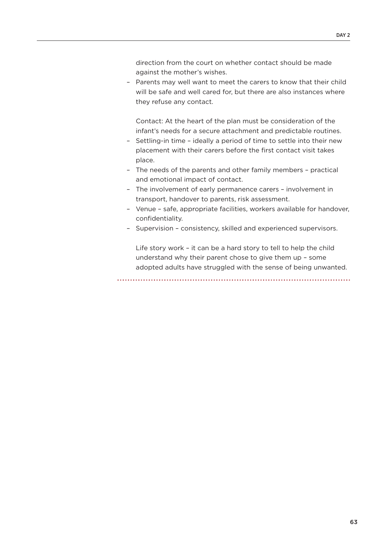direction from the court on whether contact should be made against the mother's wishes.

– Parents may well want to meet the carers to know that their child will be safe and well cared for, but there are also instances where they refuse any contact.

Contact: At the heart of the plan must be consideration of the infant's needs for a secure attachment and predictable routines.

- Settling-in time ideally a period of time to settle into their new placement with their carers before the first contact visit takes place.
- The needs of the parents and other family members practical and emotional impact of contact.
- The involvement of early permanence carers involvement in transport, handover to parents, risk assessment.
- Venue safe, appropriate facilities, workers available for handover, confidentiality.
- Supervision consistency, skilled and experienced supervisors.

Life story work – it can be a hard story to tell to help the child understand why their parent chose to give them up – some adopted adults have struggled with the sense of being unwanted.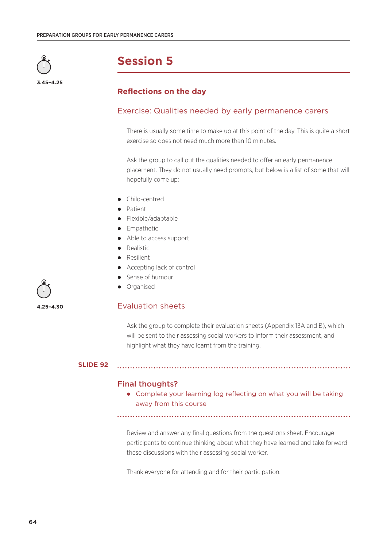

# **Reflections on the day**

# Exercise: Qualities needed by early permanence carers

There is usually some time to make up at this point of the day. This is quite a short exercise so does not need much more than 10 minutes.

Ask the group to call out the qualities needed to offer an early permanence placement. They do not usually need prompts, but below is a list of some that will hopefully come up:

- Child-centred
- Patient
- Flexible/adaptable
- **•** Empathetic
- Able to access support
- Realistic
- Resilient
- Accepting lack of control
- Sense of humour
- **•** Organised

# Evaluation sheets

Ask the group to complete their evaluation sheets (Appendix 13A and B), which will be sent to their assessing social workers to inform their assessment, and highlight what they have learnt from the training.

#### **SLIDE 92**

#### Final thoughts?

 Complete your learning log reflecting on what you will be taking away from this course

Review and answer any final questions from the questions sheet. Encourage participants to continue thinking about what they have learned and take forward these discussions with their assessing social worker.

Thank everyone for attending and for their participation.

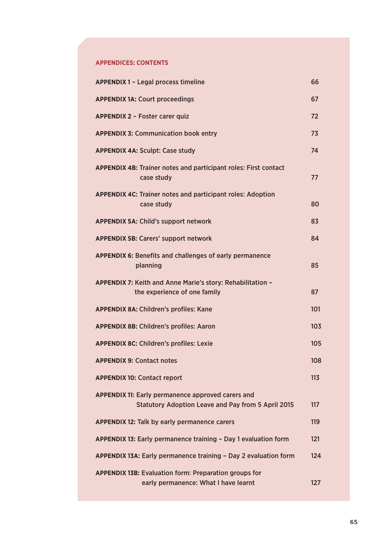### **APPENDICES: CONTENTS**

| <b>APPENDIX 1 - Legal process timeline</b>                                                                            | 66  |
|-----------------------------------------------------------------------------------------------------------------------|-----|
| <b>APPENDIX 1A: Court proceedings</b>                                                                                 | 67  |
| <b>APPENDIX 2 - Foster carer quiz</b>                                                                                 | 72  |
| <b>APPENDIX 3: Communication book entry</b>                                                                           | 73  |
| <b>APPENDIX 4A: Sculpt: Case study</b>                                                                                | 74  |
| <b>APPENDIX 4B: Trainer notes and participant roles: First contact</b><br>case study                                  | 77  |
| <b>APPENDIX 4C: Trainer notes and participant roles: Adoption</b><br>case study                                       | 80  |
| <b>APPENDIX 5A: Child's support network</b>                                                                           | 83  |
| <b>APPENDIX 5B: Carers' support network</b>                                                                           | 84  |
| <b>APPENDIX 6: Benefits and challenges of early permanence</b><br>planning                                            | 85  |
| APPENDIX 7: Keith and Anne Marie's story: Rehabilitation -<br>the experience of one family                            | 87  |
| <b>APPENDIX 8A: Children's profiles: Kane</b>                                                                         | 101 |
| <b>APPENDIX 8B: Children's profiles: Aaron</b>                                                                        | 103 |
| <b>APPENDIX 8C: Children's profiles: Lexie</b>                                                                        | 105 |
| <b>APPENDIX 9: Contact notes</b>                                                                                      | 108 |
| <b>APPENDIX 10: Contact report</b>                                                                                    | 113 |
| <b>APPENDIX 11: Early permanence approved carers and</b><br><b>Statutory Adoption Leave and Pay from 5 April 2015</b> | 117 |
| <b>APPENDIX 12: Talk by early permanence carers</b>                                                                   | 119 |
| APPENDIX 13: Early permanence training - Day 1 evaluation form                                                        | 121 |
| APPENDIX 13A: Early permanence training - Day 2 evaluation form                                                       | 124 |
| <b>APPENDIX 13B: Evaluation form: Preparation groups for</b><br>early permanence: What I have learnt                  | 127 |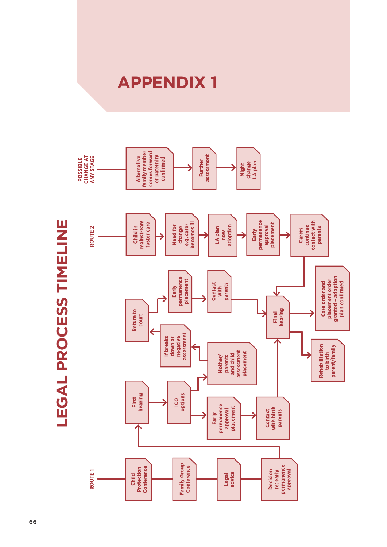

**LEGAL PROCESS TIMELINE LEGAL PROCESS TIMELINE**

# **APPENDIX 1**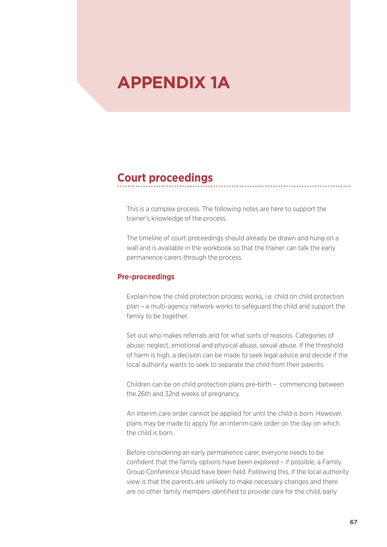# **APPENDIX 1A**

# **Court proceedings**

This is a complex process. The following notes are here to support the trainer's knowledge of the process.

The timeline of court proceedings should already be drawn and hung on a wall and is available in the workbook so that the trainer can talk the early permanence carers through the process.

# **Pre-proceedings**

Explain how the child protection process works, i.e. child on child protection plan – a multi-agency network works to safeguard the child and support the family to be together.

Set out who makes referrals and for what sorts of reasons. Categories of abuse: neglect, emotional and physical abuse, sexual abuse. If the threshold of harm is high, a decision can be made to seek legal advice and decide if the local authority wants to seek to separate the child from their parents.

Children can be on child protection plans pre-birth – commencing between the 26th and 32nd weeks of pregnancy.

An interim care order cannot be applied for until the child is born. However, plans may be made to apply for an interim care order on the day on which the child is born.

Before considering an early permanence carer, everyone needs to be confident that the family options have been explored – if possible, a Family Group Conference should have been held. Following this, if the local authority view is that the parents are unlikely to make necessary changes and there are no other family members identified to provide care for the child, early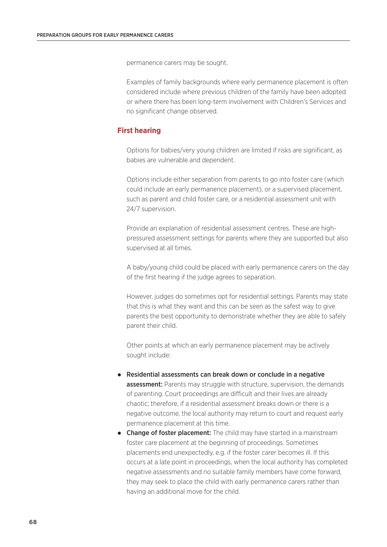permanence carers may be sought.

Examples of family backgrounds where early permanence placement is often considered include where previous children of the family have been adopted or where there has been long-term involvement with Children's Services and no significant change observed.

# **First hearing**

Options for babies/very young children are limited if risks are significant, as babies are vulnerable and dependent.

Options include either separation from parents to go into foster care (which could include an early permanence placement), or a supervised placement, such as parent and child foster care, or a residential assessment unit with 24/7 supervision.

Provide an explanation of residential assessment centres. These are highpressured assessment settings for parents where they are supported but also supervised at all times.

A baby/young child could be placed with early permanence carers on the day of the first hearing if the judge agrees to separation.

However, judges do sometimes opt for residential settings. Parents may state that this is what they want and this can be seen as the safest way to give parents the best opportunity to demonstrate whether they are able to safely parent their child.

Other points at which an early permanence placement may be actively sought include:

- Residential assessments can break down or conclude in a negative **assessment:** Parents may struggle with structure, supervision, the demands of parenting. Court proceedings are difficult and their lives are already chaotic; therefore, if a residential assessment breaks down or there is a negative outcome, the local authority may return to court and request early permanence placement at this time.
- Change of foster placement: The child may have started in a mainstream foster care placement at the beginning of proceedings. Sometimes placements end unexpectedly, e.g. if the foster carer becomes ill. If this occurs at a late point in proceedings, when the local authority has completed negative assessments and no suitable family members have come forward, they may seek to place the child with early permanence carers rather than having an additional move for the child.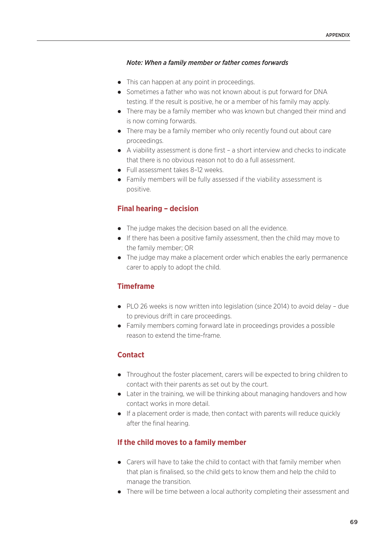## *Note: When a family member or father comes forwards*

- This can happen at any point in proceedings.
- Sometimes a father who was not known about is put forward for DNA testing. If the result is positive, he or a member of his family may apply.
- There may be a family member who was known but changed their mind and is now coming forwards.
- There may be a family member who only recently found out about care proceedings.
- A viability assessment is done first a short interview and checks to indicate that there is no obvious reason not to do a full assessment.
- Full assessment takes 8-12 weeks.
- Family members will be fully assessed if the viability assessment is positive.

# **Final hearing – decision**

- The judge makes the decision based on all the evidence.
- If there has been a positive family assessment, then the child may move to the family member; OR
- The judge may make a placement order which enables the early permanence carer to apply to adopt the child.

# **Timeframe**

- PLO 26 weeks is now written into legislation (since 2014) to avoid delay due to previous drift in care proceedings.
- Family members coming forward late in proceedings provides a possible reason to extend the time-frame.

# **Contact**

- Throughout the foster placement, carers will be expected to bring children to contact with their parents as set out by the court.
- Later in the training, we will be thinking about managing handovers and how contact works in more detail.
- If a placement order is made, then contact with parents will reduce quickly after the final hearing.

# **If the child moves to a family member**

- Carers will have to take the child to contact with that family member when that plan is finalised, so the child gets to know them and help the child to manage the transition.
- There will be time between a local authority completing their assessment and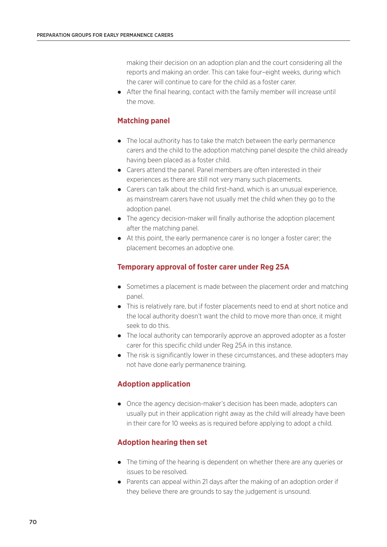making their decision on an adoption plan and the court considering all the reports and making an order. This can take four–eight weeks, during which the carer will continue to care for the child as a foster carer.

 After the final hearing, contact with the family member will increase until the move.

# **Matching panel**

- The local authority has to take the match between the early permanence carers and the child to the adoption matching panel despite the child already having been placed as a foster child.
- Carers attend the panel. Panel members are often interested in their experiences as there are still not very many such placements.
- Carers can talk about the child first-hand, which is an unusual experience, as mainstream carers have not usually met the child when they go to the adoption panel.
- The agency decision-maker will finally authorise the adoption placement after the matching panel.
- At this point, the early permanence carer is no longer a foster carer; the placement becomes an adoptive one.

# **Temporary approval of foster carer under Reg 25A**

- Sometimes a placement is made between the placement order and matching panel.
- This is relatively rare, but if foster placements need to end at short notice and the local authority doesn't want the child to move more than once, it might seek to do this.
- The local authority can temporarily approve an approved adopter as a foster carer for this specific child under Reg 25A in this instance.
- The risk is significantly lower in these circumstances, and these adopters may not have done early permanence training.

# **Adoption application**

 Once the agency decision-maker's decision has been made, adopters can usually put in their application right away as the child will already have been in their care for 10 weeks as is required before applying to adopt a child.

# **Adoption hearing then set**

- The timing of the hearing is dependent on whether there are any queries or issues to be resolved.
- Parents can appeal within 21 days after the making of an adoption order if they believe there are grounds to say the judgement is unsound.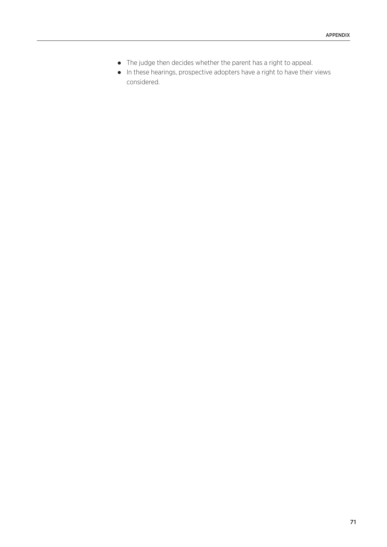- The judge then decides whether the parent has a right to appeal.
- In these hearings, prospective adopters have a right to have their views considered.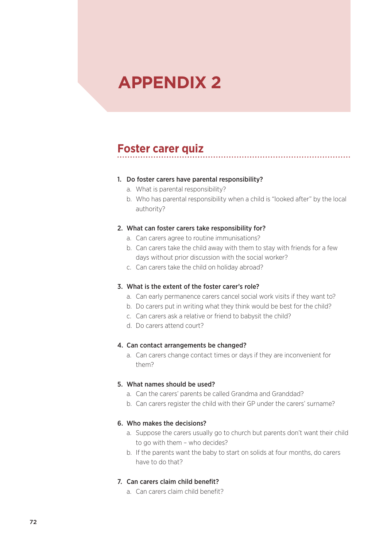# **APPENDIX 2**

# **Foster carer quiz**

## 1. Do foster carers have parental responsibility?

- a. What is parental responsibility?
- b. Who has parental responsibility when a child is "looked after" by the local authority?

## 2. What can foster carers take responsibility for?

- a. Can carers agree to routine immunisations?
- b. Can carers take the child away with them to stay with friends for a few days without prior discussion with the social worker?
- c. Can carers take the child on holiday abroad?

# 3. What is the extent of the foster carer's role?

- a. Can early permanence carers cancel social work visits if they want to?
- b. Do carers put in writing what they think would be best for the child?
- c. Can carers ask a relative or friend to babysit the child?
- d. Do carers attend court?

### 4. Can contact arrangements be changed?

a. Can carers change contact times or days if they are inconvenient for them?

### 5. What names should be used?

- a. Can the carers' parents be called Grandma and Granddad?
- b. Can carers register the child with their GP under the carers' surname?

### 6. Who makes the decisions?

- a. Suppose the carers usually go to church but parents don't want their child to go with them – who decides?
- b. If the parents want the baby to start on solids at four months, do carers have to do that?

# 7. Can carers claim child benefit?

a. Can carers claim child benefit?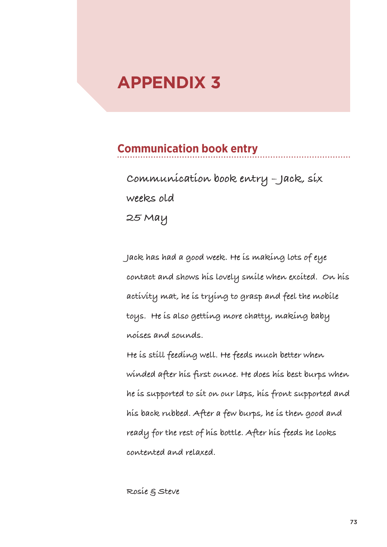# **APPENDIX 3**

# **Communication book entry**

**Communication book entry – Jack, six weeks old 25 May** 

**Jack has had a good week. He is making lots of eye contact and shows his lovely smile when excited. On his activity mat, he is trying to grasp and feel the mobile toys. He is also getting more chatty, making baby noises and sounds.**

**He is still feeding well. He feeds much better when winded after his first ounce. He does his best burps when he is supported to sit on our laps, his front supported and his back rubbed. After a few burps, he is then good and ready for the rest of his bottle. After his feeds he looks contented and relaxed.**

**Rosie & Steve**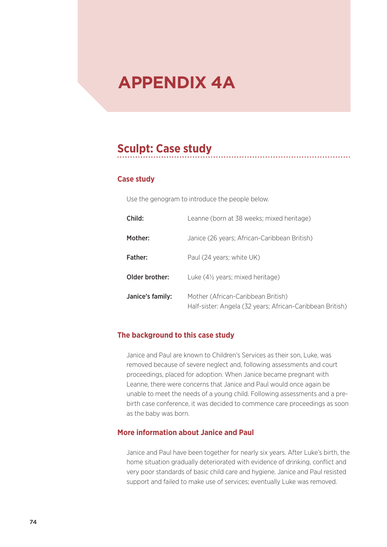# **APPENDIX 4A**

# **Sculpt: Case study**

# **Case study**

Use the genogram to introduce the people below.

| Child:           | Leanne (born at 38 weeks; mixed heritage)                                                       |
|------------------|-------------------------------------------------------------------------------------------------|
| Mother:          | Janice (26 years; African-Caribbean British)                                                    |
| Father:          | Paul (24 years; white UK)                                                                       |
| Older brother:   | Luke (4 <sup>1/2</sup> years; mixed heritage)                                                   |
| Janice's family: | Mother (African-Caribbean British)<br>Half-sister: Angela (32 years; African-Caribbean British) |

# **The background to this case study**

Janice and Paul are known to Children's Services as their son, Luke, was removed because of severe neglect and, following assessments and court proceedings, placed for adoption. When Janice became pregnant with Leanne, there were concerns that Janice and Paul would once again be unable to meet the needs of a young child. Following assessments and a prebirth case conference, it was decided to commence care proceedings as soon as the baby was born.

# **More information about Janice and Paul**

Janice and Paul have been together for nearly six years. After Luke's birth, the home situation gradually deteriorated with evidence of drinking, conflict and very poor standards of basic child care and hygiene. Janice and Paul resisted support and failed to make use of services; eventually Luke was removed.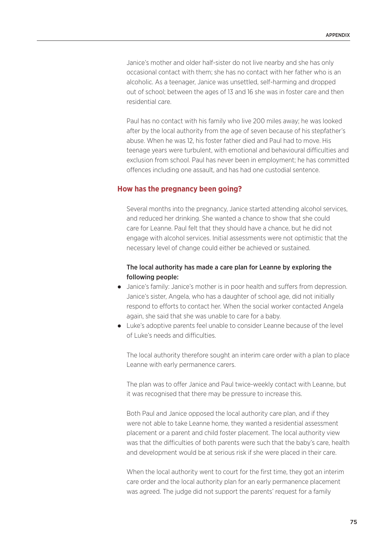Janice's mother and older half-sister do not live nearby and she has only occasional contact with them; she has no contact with her father who is an alcoholic. As a teenager, Janice was unsettled, self-harming and dropped out of school; between the ages of 13 and 16 she was in foster care and then residential care.

Paul has no contact with his family who live 200 miles away; he was looked after by the local authority from the age of seven because of his stepfather's abuse. When he was 12, his foster father died and Paul had to move. His teenage years were turbulent, with emotional and behavioural difficulties and exclusion from school. Paul has never been in employment; he has committed offences including one assault, and has had one custodial sentence.

## **How has the pregnancy been going?**

Several months into the pregnancy, Janice started attending alcohol services, and reduced her drinking. She wanted a chance to show that she could care for Leanne. Paul felt that they should have a chance, but he did not engage with alcohol services. Initial assessments were not optimistic that the necessary level of change could either be achieved or sustained.

# The local authority has made a care plan for Leanne by exploring the following people:

- Janice's family: Janice's mother is in poor health and suffers from depression. Janice's sister, Angela, who has a daughter of school age, did not initially respond to efforts to contact her. When the social worker contacted Angela again, she said that she was unable to care for a baby.
- Luke's adoptive parents feel unable to consider Leanne because of the level of Luke's needs and difficulties.

The local authority therefore sought an interim care order with a plan to place Leanne with early permanence carers.

The plan was to offer Janice and Paul twice-weekly contact with Leanne, but it was recognised that there may be pressure to increase this.

Both Paul and Janice opposed the local authority care plan, and if they were not able to take Leanne home, they wanted a residential assessment placement or a parent and child foster placement. The local authority view was that the difficulties of both parents were such that the baby's care, health and development would be at serious risk if she were placed in their care.

When the local authority went to court for the first time, they got an interim care order and the local authority plan for an early permanence placement was agreed. The judge did not support the parents' request for a family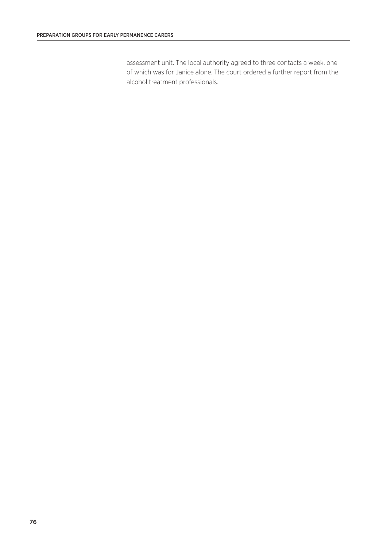assessment unit. The local authority agreed to three contacts a week, one of which was for Janice alone. The court ordered a further report from the alcohol treatment professionals.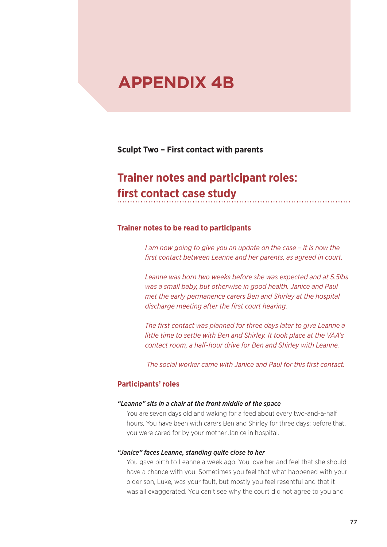# **APPENDIX 4B**

**Sculpt Two – First contact with parents**

# **Trainer notes and participant roles: first contact case study**

# **Trainer notes to be read to participants**

*I am now going to give you an update on the case – it is now the first contact between Leanne and her parents, as agreed in court.*

*Leanne was born two weeks before she was expected and at 5.5lbs was a small baby, but otherwise in good health. Janice and Paul met the early permanence carers Ben and Shirley at the hospital discharge meeting after the first court hearing.* 

*The first contact was planned for three days later to give Leanne a little time to settle with Ben and Shirley. It took place at the VAA's contact room, a half-hour drive for Ben and Shirley with Leanne.*

 *The social worker came with Janice and Paul for this first contact.*

# **Participants' roles**

### *"Leanne" sits in a chair at the front middle of the space*

You are seven days old and waking for a feed about every two-and-a-half hours. You have been with carers Ben and Shirley for three days; before that, you were cared for by your mother Janice in hospital.

### *"Janice" faces Leanne, standing quite close to her*

You gave birth to Leanne a week ago. You love her and feel that she should have a chance with you. Sometimes you feel that what happened with your older son, Luke, was your fault, but mostly you feel resentful and that it was all exaggerated. You can't see why the court did not agree to you and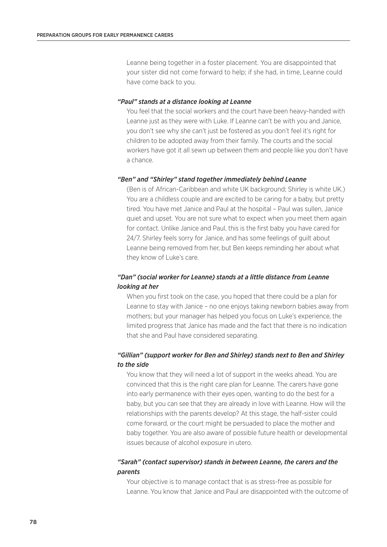Leanne being together in a foster placement. You are disappointed that your sister did not come forward to help; if she had, in time, Leanne could have come back to you.

### *"Paul" stands at a distance looking at Leanne*

You feel that the social workers and the court have been heavy-handed with Leanne just as they were with Luke. If Leanne can't be with you and Janice, you don't see why she can't just be fostered as you don't feel it's right for children to be adopted away from their family. The courts and the social workers have got it all sewn up between them and people like you don't have a chance.

### *"Ben" and "Shirley" stand together immediately behind Leanne*

(Ben is of African-Caribbean and white UK background; Shirley is white UK.) You are a childless couple and are excited to be caring for a baby, but pretty tired. You have met Janice and Paul at the hospital – Paul was sullen, Janice quiet and upset. You are not sure what to expect when you meet them again for contact. Unlike Janice and Paul, this is the first baby you have cared for 24/7. Shirley feels sorry for Janice, and has some feelings of guilt about Leanne being removed from her, but Ben keeps reminding her about what they know of Luke's care.

# *"Dan" (social worker for Leanne) stands at a little distance from Leanne looking at her*

When you first took on the case, you hoped that there could be a plan for Leanne to stay with Janice – no one enjoys taking newborn babies away from mothers; but your manager has helped you focus on Luke's experience, the limited progress that Janice has made and the fact that there is no indication that she and Paul have considered separating.

# *"Gillian" (support worker for Ben and Shirley) stands next to Ben and Shirley to the side*

You know that they will need a lot of support in the weeks ahead. You are convinced that this is the right care plan for Leanne. The carers have gone into early permanence with their eyes open, wanting to do the best for a baby, but you can see that they are already in love with Leanne. How will the relationships with the parents develop? At this stage, the half-sister could come forward, or the court might be persuaded to place the mother and baby together. You are also aware of possible future health or developmental issues because of alcohol exposure in utero.

## *"Sarah" (contact supervisor) stands in between Leanne, the carers and the parents*

Your objective is to manage contact that is as stress-free as possible for Leanne. You know that Janice and Paul are disappointed with the outcome of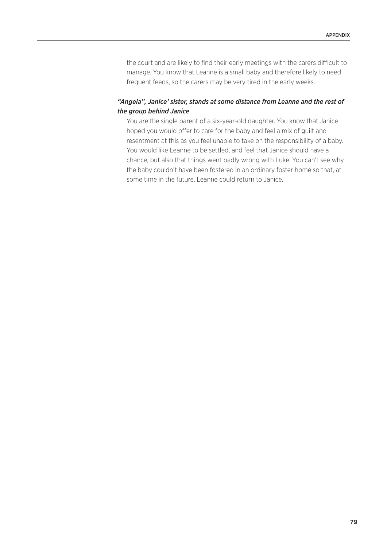the court and are likely to find their early meetings with the carers difficult to manage. You know that Leanne is a small baby and therefore likely to need frequent feeds, so the carers may be very tired in the early weeks.

# *"Angela", Janice' sister, stands at some distance from Leanne and the rest of the group behind Janice*

You are the single parent of a six-year-old daughter. You know that Janice hoped you would offer to care for the baby and feel a mix of guilt and resentment at this as you feel unable to take on the responsibility of a baby. You would like Leanne to be settled, and feel that Janice should have a chance, but also that things went badly wrong with Luke. You can't see why the baby couldn't have been fostered in an ordinary foster home so that, at some time in the future, Leanne could return to Janice.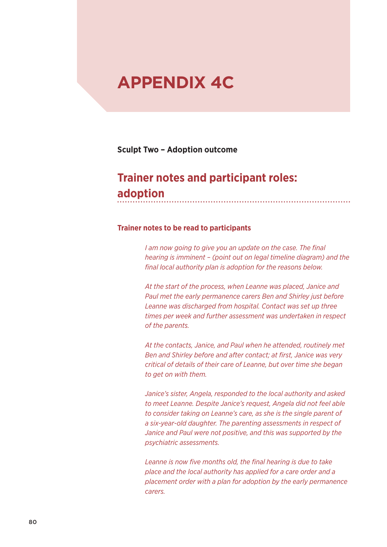# **APPENDIX 4C**

**Sculpt Two – Adoption outcome**

# **Trainer notes and participant roles: adoption**

# **Trainer notes to be read to participants**

*I am now going to give you an update on the case. The final hearing is imminent – (point out on legal timeline diagram) and the final local authority plan is adoption for the reasons below.*

*At the start of the process, when Leanne was placed, Janice and Paul met the early permanence carers Ben and Shirley just before Leanne was discharged from hospital. Contact was set up three times per week and further assessment was undertaken in respect of the parents.*

*At the contacts, Janice, and Paul when he attended, routinely met Ben and Shirley before and after contact; at first, Janice was very critical of details of their care of Leanne, but over time she began to get on with them.*

*Janice's sister, Angela, responded to the local authority and asked to meet Leanne. Despite Janice's request, Angela did not feel able to consider taking on Leanne's care, as she is the single parent of a six-year-old daughter. The parenting assessments in respect of Janice and Paul were not positive, and this was supported by the psychiatric assessments.* 

*Leanne is now five months old, the final hearing is due to take place and the local authority has applied for a care order and a placement order with a plan for adoption by the early permanence carers.*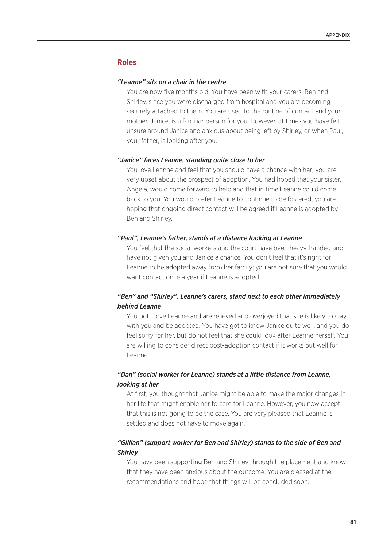# **Roles**

### *"Leanne" sits on a chair in the centre*

You are now five months old. You have been with your carers, Ben and Shirley, since you were discharged from hospital and you are becoming securely attached to them. You are used to the routine of contact and your mother, Janice, is a familiar person for you. However, at times you have felt unsure around Janice and anxious about being left by Shirley, or when Paul, your father, is looking after you.

### *"Janice" faces Leanne, standing quite close to her*

You love Leanne and feel that you should have a chance with her; you are very upset about the prospect of adoption. You had hoped that your sister, Angela, would come forward to help and that in time Leanne could come back to you. You would prefer Leanne to continue to be fostered; you are hoping that ongoing direct contact will be agreed if Leanne is adopted by Ben and Shirley.

### *"Paul", Leanne's father, stands at a distance looking at Leanne*

You feel that the social workers and the court have been heavy-handed and have not given you and Janice a chance. You don't feel that it's right for Leanne to be adopted away from her family; you are not sure that you would want contact once a year if Leanne is adopted.

# *"Ben" and "Shirley", Leanne's carers, stand next to each other immediately behind Leanne*

You both love Leanne and are relieved and overjoyed that she is likely to stay with you and be adopted. You have got to know Janice quite well, and you do feel sorry for her, but do not feel that she could look after Leanne herself. You are willing to consider direct post-adoption contact if it works out well for Leanne.

# *"Dan" (social worker for Leanne) stands at a little distance from Leanne, looking at her*

At first, you thought that Janice might be able to make the major changes in her life that might enable her to care for Leanne. However, you now accept that this is not going to be the case. You are very pleased that Leanne is settled and does not have to move again.

# *"Gillian" (support worker for Ben and Shirley) stands to the side of Ben and Shirley*

You have been supporting Ben and Shirley through the placement and know that they have been anxious about the outcome. You are pleased at the recommendations and hope that things will be concluded soon.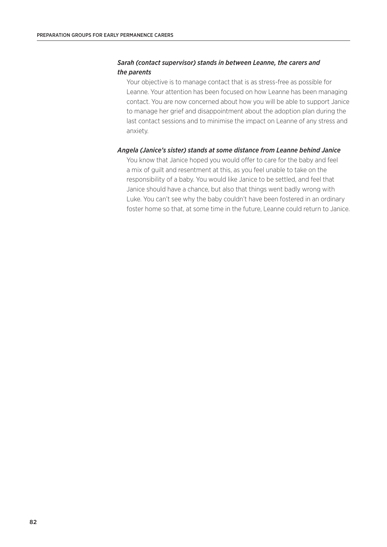# *Sarah (contact supervisor) stands in between Leanne, the carers and the parents*

Your objective is to manage contact that is as stress-free as possible for Leanne. Your attention has been focused on how Leanne has been managing contact. You are now concerned about how you will be able to support Janice to manage her grief and disappointment about the adoption plan during the last contact sessions and to minimise the impact on Leanne of any stress and anxiety.

### *Angela (Janice's sister) stands at some distance from Leanne behind Janice*

You know that Janice hoped you would offer to care for the baby and feel a mix of guilt and resentment at this, as you feel unable to take on the responsibility of a baby. You would like Janice to be settled, and feel that Janice should have a chance, but also that things went badly wrong with Luke. You can't see why the baby couldn't have been fostered in an ordinary foster home so that, at some time in the future, Leanne could return to Janice.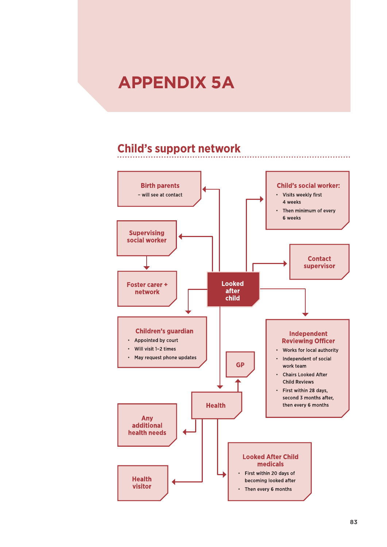# **APPENDIX 5A**

# **Child's support network**

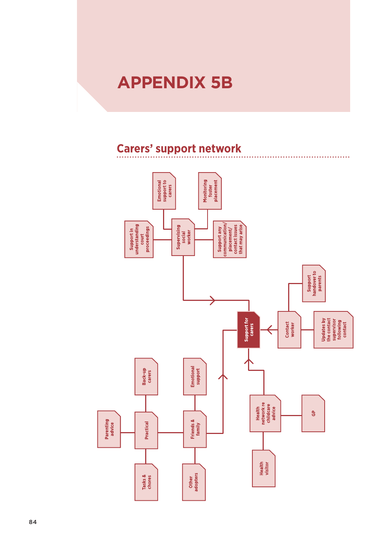# **APPENDIX 5B**

# **Carers' support network**

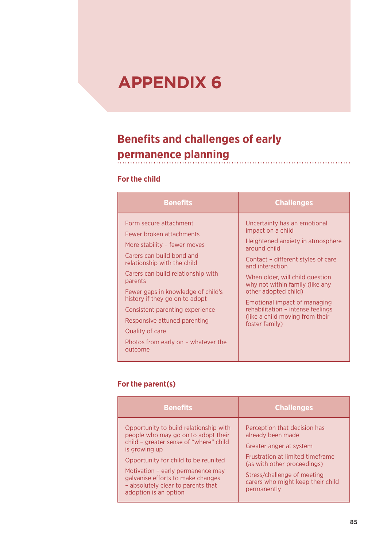# **APPENDIX 6**

# **Benefits and challenges of early permanence planning**

# **For the child**

| <b>Benefits</b>                                                                                                                                                                                                                                                                                                                                                                                                 | <b>Challenges</b>                                                                                                                                                                                                                                                                                                                                                                      |
|-----------------------------------------------------------------------------------------------------------------------------------------------------------------------------------------------------------------------------------------------------------------------------------------------------------------------------------------------------------------------------------------------------------------|----------------------------------------------------------------------------------------------------------------------------------------------------------------------------------------------------------------------------------------------------------------------------------------------------------------------------------------------------------------------------------------|
| Form secure attachment<br>Fewer broken attachments<br>More stability – fewer moves<br>Carers can build bond and<br>relationship with the child<br>Carers can build relationship with<br>parents<br>Fewer gaps in knowledge of child's<br>history if they go on to adopt<br>Consistent parenting experience<br>Responsive attuned parenting<br>Quality of care<br>Photos from early on - whatever the<br>outcome | Uncertainty has an emotional<br>impact on a child<br>Heightened anxiety in atmosphere<br>around child<br>Contact - different styles of care<br>and interaction<br>When older, will child question<br>why not within family (like any<br>other adopted child)<br>Emotional impact of managing<br>rehabilitation - intense feelings<br>(like a child moving from their<br>foster family) |

# **For the parent(s)**

| <b>Benefits</b>                                                                                                                                                                                                                                                                                                           | <b>Challenges</b>                                                                                                                                                                                                                         |
|---------------------------------------------------------------------------------------------------------------------------------------------------------------------------------------------------------------------------------------------------------------------------------------------------------------------------|-------------------------------------------------------------------------------------------------------------------------------------------------------------------------------------------------------------------------------------------|
| Opportunity to build relationship with<br>people who may go on to adopt their<br>child - greater sense of "where" child<br>is growing up<br>Opportunity for child to be reunited<br>Motivation - early permanence may<br>galvanise efforts to make changes<br>- absolutely clear to parents that<br>adoption is an option | Perception that decision has<br>already been made<br>Greater anger at system<br><b>Frustration at limited timeframe</b><br>(as with other proceedings)<br>Stress/challenge of meeting<br>carers who might keep their child<br>permanently |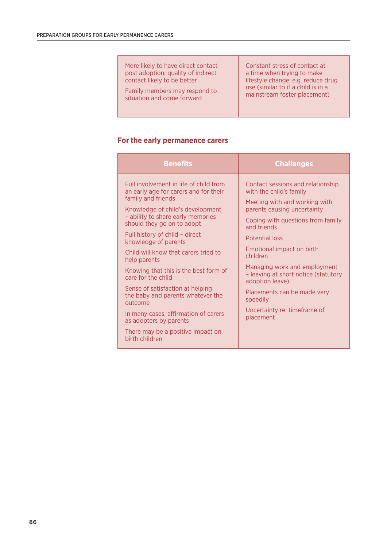More likely to have direct contact post adoption; quality of indirect contact likely to be better

Family members may respond to situation and come forward

Constant stress of contact at a time when trying to make lifestyle change, e.g. reduce drug use (similar to if a child is in a mainstream foster placement)

# **For the early permanence carers**

| <b>Benefits</b>                                                                                                                                                                                                                                                                                                                                                                                                                                                                                                                                                                                            | <b>Challenges</b>                                                                                                                                                                                                                                                                                                                                                                                                                     |
|------------------------------------------------------------------------------------------------------------------------------------------------------------------------------------------------------------------------------------------------------------------------------------------------------------------------------------------------------------------------------------------------------------------------------------------------------------------------------------------------------------------------------------------------------------------------------------------------------------|---------------------------------------------------------------------------------------------------------------------------------------------------------------------------------------------------------------------------------------------------------------------------------------------------------------------------------------------------------------------------------------------------------------------------------------|
| Full involvement in life of child from<br>an early age for carers and for their<br>family and friends<br>Knowledge of child's development<br>- ability to share early memories<br>should they go on to adopt<br>Full history of child - direct<br>knowledge of parents<br>Child will know that carers tried to<br>help parents<br>Knowing that this is the best form of<br>care for the child<br>Sense of satisfaction at helping<br>the baby and parents whatever the<br>outcome<br>In many cases, affirmation of carers<br>as adopters by parents<br>There may be a positive impact on<br>birth children | Contact sessions and relationship<br>with the child's family<br>Meeting with and working with<br>parents causing uncertainty<br>Coping with questions from family<br>and friends<br><b>Potential loss</b><br>Emotional impact on birth<br>children<br>Managing work and employment<br>- leaving at short notice (statutory<br>adoption leave)<br>Placements can be made very<br>speedily<br>Uncertainty re: timeframe of<br>placement |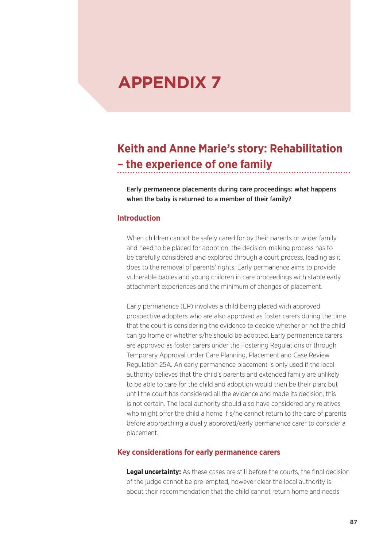# **APPENDIX 7**

# **Keith and Anne Marie's story: Rehabilitation – the experience of one family**

Early permanence placements during care proceedings: what happens when the baby is returned to a member of their family?

# **Introduction**

When children cannot be safely cared for by their parents or wider family and need to be placed for adoption, the decision-making process has to be carefully considered and explored through a court process, leading as it does to the removal of parents' rights. Early permanence aims to provide vulnerable babies and young children in care proceedings with stable early attachment experiences and the minimum of changes of placement.

Early permanence (EP) involves a child being placed with approved prospective adopters who are also approved as foster carers during the time that the court is considering the evidence to decide whether or not the child can go home or whether s/he should be adopted. Early permanence carers are approved as foster carers under the Fostering Regulations or through Temporary Approval under Care Planning, Placement and Case Review Regulation 25A. An early permanence placement is only used if the local authority believes that the child's parents and extended family are unlikely to be able to care for the child and adoption would then be their plan; but until the court has considered all the evidence and made its decision, this is not certain. The local authority should also have considered any relatives who might offer the child a home if s/he cannot return to the care of parents before approaching a dually approved/early permanence carer to consider a placement.

### **Key considerations for early permanence carers**

**Legal uncertainty:** As these cases are still before the courts, the final decision of the judge cannot be pre-empted, however clear the local authority is about their recommendation that the child cannot return home and needs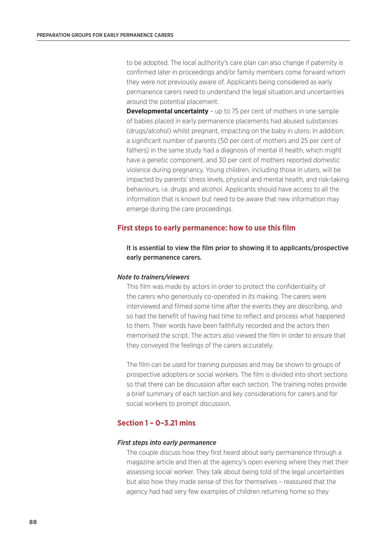to be adopted. The local authority's care plan can also change if paternity is confirmed later in proceedings and/or family members come forward whom they were not previously aware of. Applicants being considered as early permanence carers need to understand the legal situation and uncertainties around the potential placement.

**Developmental uncertainty** – up to 75 per cent of mothers in one sample of babies placed in early permanence placements had abused substances (drugs/alcohol) whilst pregnant, impacting on the baby in utero. In addition, a significant number of parents (50 per cent of mothers and 25 per cent of fathers) in the same study had a diagnosis of mental ill health, which might have a genetic component, and 30 per cent of mothers reported domestic violence during pregnancy. Young children, including those in utero, will be impacted by parents' stress levels, physical and mental health, and risk-taking behaviours, i.e. drugs and alcohol. Applicants should have access to all the information that is known but need to be aware that new information may emerge during the care proceedings.

## **First steps to early permanence: how to use this film**

# It is essential to view the film prior to showing it to applicants/prospective early permanence carers.

### *Note to trainers/viewers*

This film was made by actors in order to protect the confidentiality of the carers who generously co-operated in its making. The carers were interviewed and filmed some time after the events they are describing, and so had the benefit of having had time to reflect and process what happened to them. Their words have been faithfully recorded and the actors then memorised the script. The actors also viewed the film in order to ensure that they conveyed the feelings of the carers accurately.

The film can be used for training purposes and may be shown to groups of prospective adopters or social workers. The film is divided into short sections so that there can be discussion after each section. The training notes provide a brief summary of each section and key considerations for carers and for social workers to prompt discussion.

# **Section 1 – 0–3.21 mins**

### *First steps into early permanence*

The couple discuss how they first heard about early permanence through a magazine article and then at the agency's open evening where they met their assessing social worker. They talk about being told of the legal uncertainties but also how they made sense of this for themselves – reassured that the agency had had very few examples of children returning home so they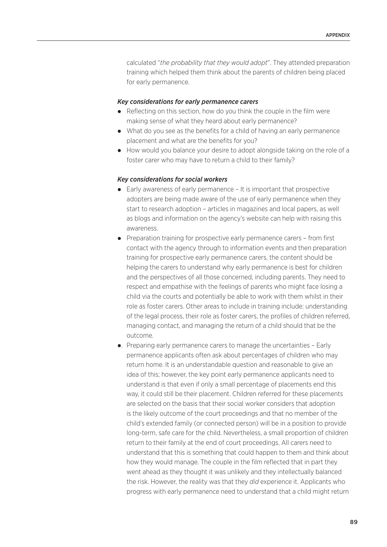calculated "*the probability that they would adopt*". They attended preparation training which helped them think about the parents of children being placed for early permanence.

### *Key considerations for early permanence carers*

- Reflecting on this section, how do you think the couple in the film were making sense of what they heard about early permanence?
- What do you see as the benefits for a child of having an early permanence placement and what are the benefits for you?
- How would you balance your desire to adopt alongside taking on the role of a foster carer who may have to return a child to their family?

### *Key considerations for social workers*

- Early awareness of early permanence It is important that prospective adopters are being made aware of the use of early permanence when they start to research adoption – articles in magazines and local papers, as well as blogs and information on the agency's website can help with raising this awareness.
- Preparation training for prospective early permanence carers from first contact with the agency through to information events and then preparation training for prospective early permanence carers, the content should be helping the carers to understand why early permanence is best for children and the perspectives of all those concerned, including parents. They need to respect and empathise with the feelings of parents who might face losing a child via the courts and potentially be able to work with them whilst in their role as foster carers. Other areas to include in training include: understanding of the legal process, their role as foster carers, the profiles of children referred, managing contact, and managing the return of a child should that be the outcome.
- . Preparing early permanence carers to manage the uncertainties Early permanence applicants often ask about percentages of children who may return home. It is an understandable question and reasonable to give an idea of this; however, the key point early permanence applicants need to understand is that even if only a small percentage of placements end this way, it could still be their placement. Children referred for these placements are selected on the basis that their social worker considers that adoption is the likely outcome of the court proceedings and that no member of the child's extended family (or connected person) will be in a position to provide long-term, safe care for the child. Nevertheless, a small proportion of children return to their family at the end of court proceedings. All carers need to understand that this is something that could happen to them and think about how they would manage. The couple in the film reflected that in part they went ahead as they thought it was unlikely and they intellectually balanced the risk. However, the reality was that they *did* experience it. Applicants who progress with early permanence need to understand that a child might return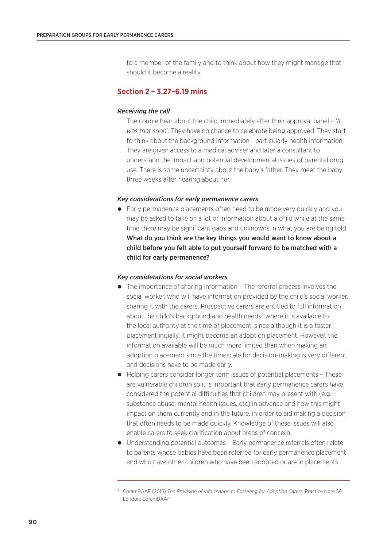to a member of the family and to think about how they might manage that should it become a reality.

# **Section 2 – 3.27–6.19 mins**

### *Receiving the call*

The couple hear about the child immediately after their approval panel – '*It was that soon*'. They have no chance to celebrate being approved. They start to think about the background information - particularly health information. They are given access to a medical adviser and later a consultant to understand the impact and potential developmental issues of parental drug use. There is some uncertainty about the baby's father. They meet the baby three weeks after hearing about her.

### *Key considerations for early permanence carers*

 Early permanence placements often need to be made very quickly and you may be asked to take on a lot of information about a child while at the same time there may be significant gaps and unknowns in what you are being told. What do you think are the key things you would want to know about a child before you felt able to put yourself forward to be matched with a child for early permanence?

### *Key considerations for social workers*

- The importance of sharing information The referral process involves the social worker, who will have information provided by the child's social worker, sharing it with the carers. Prospective carers are entitled to full information about the child's background and health needs $3$  where it is available to the local authority at the time of placement, since although it is a foster placement initially, it might become an adoption placement. However, the information available will be much more limited than when making an adoption placement since the timescale for decision-making is very different and decisions have to be made early.
- Helping carers consider longer term issues of potential placements These are vulnerable children so it is important that early permanence carers have considered the potential difficulties that children may present with (e.g. substance abuse, mental health issues, etc) in advance and how this might impact on them currently and in the future, in order to aid making a decision that often needs to be made quickly. Knowledge of these issues will also enable carers to seek clarification about areas of concern.
- Understanding potential outcomes Early permanence referrals often relate to parents whose babies have been referred for early permanence placement and who have other children who have been adopted or are in placements

³ CoramBAAF (2015) *The Provision of Information to Fostering for Adoption Carers*, Practice Note 59, London: CoramBAAF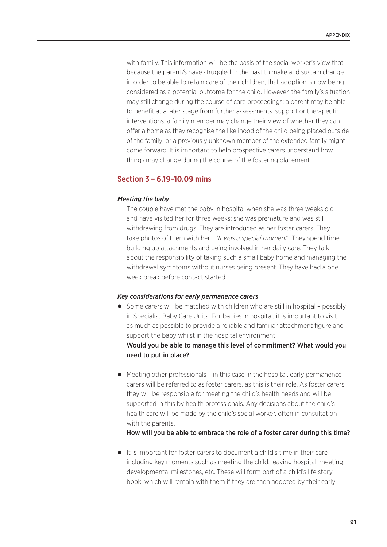with family. This information will be the basis of the social worker's view that because the parent/s have struggled in the past to make and sustain change in order to be able to retain care of their children, that adoption is now being considered as a potential outcome for the child. However, the family's situation may still change during the course of care proceedings; a parent may be able to benefit at a later stage from further assessments, support or therapeutic interventions; a family member may change their view of whether they can offer a home as they recognise the likelihood of the child being placed outside of the family; or a previously unknown member of the extended family might come forward. It is important to help prospective carers understand how things may change during the course of the fostering placement.

# **Section 3 – 6.19–10.09 mins**

### *Meeting the baby*

The couple have met the baby in hospital when she was three weeks old and have visited her for three weeks; she was premature and was still withdrawing from drugs. They are introduced as her foster carers. They take photos of them with her – '*It was a special moment*'. They spend time building up attachments and being involved in her daily care. They talk about the responsibility of taking such a small baby home and managing the withdrawal symptoms without nurses being present. They have had a one week break before contact started.

### *Key considerations for early permanence carers*

need to put in place?

- Some carers will be matched with children who are still in hospital possibly in Specialist Baby Care Units. For babies in hospital, it is important to visit as much as possible to provide a reliable and familiar attachment figure and support the baby whilst in the hospital environment. Would you be able to manage this level of commitment? What would you
- Meeting other professionals in this case in the hospital, early permanence carers will be referred to as foster carers, as this is their role. As foster carers, they will be responsible for meeting the child's health needs and will be supported in this by health professionals. Any decisions about the child's health care will be made by the child's social worker, often in consultation with the parents.

How will you be able to embrace the role of a foster carer during this time?

 $\bullet$  It is important for foster carers to document a child's time in their care – including key moments such as meeting the child, leaving hospital, meeting developmental milestones, etc. These will form part of a child's life story book, which will remain with them if they are then adopted by their early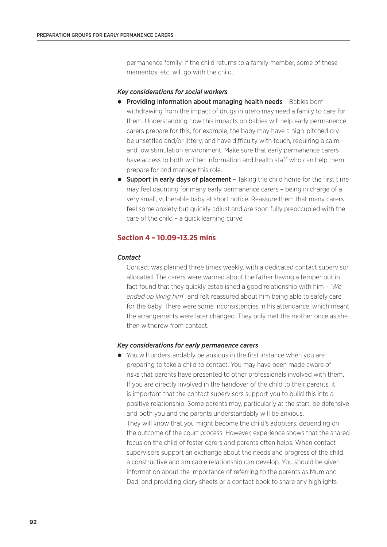permanence family. If the child returns to a family member, some of these mementos, etc, will go with the child.

### *Key considerations for social workers*

- **Providing information about managing health needs** Babies born withdrawing from the impact of drugs in utero may need a family to care for them. Understanding how this impacts on babies will help early permanence carers prepare for this, for example, the baby may have a high-pitched cry, be unsettled and/or jittery, and have difficulty with touch, requiring a calm and low stimulation environment. Make sure that early permanence carers have access to both written information and health staff who can help them prepare for and manage this role.
- **Support in early days of placement** Taking the child home for the first time may feel daunting for many early permanence carers – being in charge of a very small, vulnerable baby at short notice. Reassure them that many carers feel some anxiety but quickly adjust and are soon fully preoccupied with the care of the child – a quick learning curve.

# **Section 4 – 10.09–13.25 mins**

### *Contact*

Contact was planned three times weekly, with a dedicated contact supervisor allocated. The carers were warned about the father having a temper but in fact found that they quickly established a good relationship with him – '*We ended up liking him*', and felt reassured about him being able to safely care for the baby. There were some inconsistencies in his attendance, which meant the arrangements were later changed. They only met the mother once as she then withdrew from contact.

### *Key considerations for early permanence carers*

 You will understandably be anxious in the first instance when you are preparing to take a child to contact. You may have been made aware of risks that parents have presented to other professionals involved with them. If you are directly involved in the handover of the child to their parents, it is important that the contact supervisors support you to build this into a positive relationship. Some parents may, particularly at the start, be defensive and both you and the parents understandably will be anxious. They will know that you might become the child's adopters, depending on the outcome of the court process. However, experience shows that the shared focus on the child of foster carers and parents often helps. When contact supervisors support an exchange about the needs and progress of the child, a constructive and amicable relationship can develop. You should be given information about the importance of referring to the parents as Mum and Dad, and providing diary sheets or a contact book to share any highlights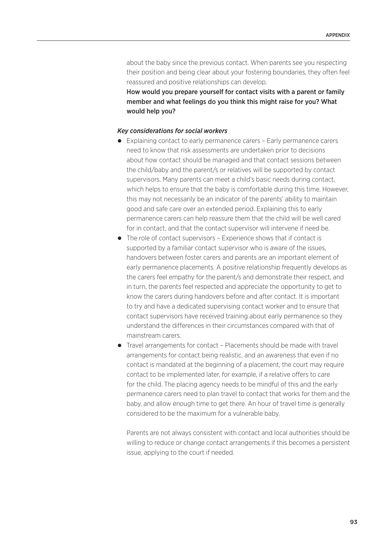about the baby since the previous contact. When parents see you respecting their position and being clear about your fostering boundaries, they often feel reassured and positive relationships can develop.

How would you prepare yourself for contact visits with a parent or family member and what feelings do you think this might raise for you? What would help you?

### *Key considerations for social workers*

- Explaining contact to early permanence carers Early permanence carers need to know that risk assessments are undertaken prior to decisions about how contact should be managed and that contact sessions between the child/baby and the parent/s or relatives will be supported by contact supervisors. Many parents can meet a child's basic needs during contact, which helps to ensure that the baby is comfortable during this time. However, this may not necessarily be an indicator of the parents' ability to maintain good and safe care over an extended period. Explaining this to early permanence carers can help reassure them that the child will be well cared for in contact, and that the contact supervisor will intervene if need be.
- The role of contact supervisors Experience shows that if contact is supported by a familiar contact supervisor who is aware of the issues, handovers between foster carers and parents are an important element of early permanence placements. A positive relationship frequently develops as the carers feel empathy for the parent/s and demonstrate their respect, and in turn, the parents feel respected and appreciate the opportunity to get to know the carers during handovers before and after contact. It is important to try and have a dedicated supervising contact worker and to ensure that contact supervisors have received training about early permanence so they understand the differences in their circumstances compared with that of mainstream carers.
- Travel arrangements for contact Placements should be made with travel arrangements for contact being realistic, and an awareness that even if no contact is mandated at the beginning of a placement, the court may require contact to be implemented later, for example, if a relative offers to care for the child. The placing agency needs to be mindful of this and the early permanence carers need to plan travel to contact that works for them and the baby, and allow enough time to get there. An hour of travel time is generally considered to be the maximum for a vulnerable baby.

Parents are not always consistent with contact and local authorities should be willing to reduce or change contact arrangements if this becomes a persistent issue, applying to the court if needed.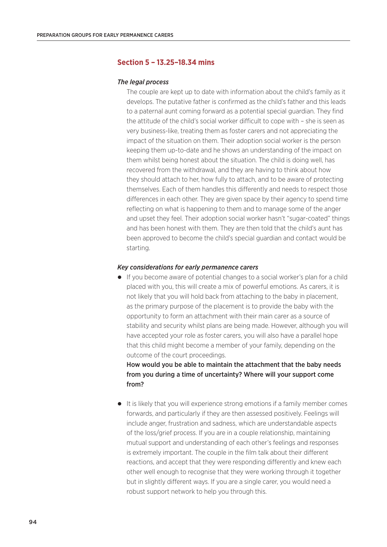# **Section 5 – 13.25–18.34 mins**

### *The legal process*

The couple are kept up to date with information about the child's family as it develops. The putative father is confirmed as the child's father and this leads to a paternal aunt coming forward as a potential special guardian. They find the attitude of the child's social worker difficult to cope with – she is seen as very business-like, treating them as foster carers and not appreciating the impact of the situation on them. Their adoption social worker is the person keeping them up-to-date and he shows an understanding of the impact on them whilst being honest about the situation. The child is doing well, has recovered from the withdrawal, and they are having to think about how they should attach to her, how fully to attach, and to be aware of protecting themselves. Each of them handles this differently and needs to respect those differences in each other. They are given space by their agency to spend time reflecting on what is happening to them and to manage some of the anger and upset they feel. Their adoption social worker hasn't "sugar-coated" things and has been honest with them. They are then told that the child's aunt has been approved to become the child's special guardian and contact would be starting.

### *Key considerations for early permanence carers*

 If you become aware of potential changes to a social worker's plan for a child placed with you, this will create a mix of powerful emotions. As carers, it is not likely that you will hold back from attaching to the baby in placement, as the primary purpose of the placement is to provide the baby with the opportunity to form an attachment with their main carer as a source of stability and security whilst plans are being made. However, although you will have accepted your role as foster carers, you will also have a parallel hope that this child might become a member of your family, depending on the outcome of the court proceedings.

# How would you be able to maintain the attachment that the baby needs from you during a time of uncertainty? Where will your support come from?

 It is likely that you will experience strong emotions if a family member comes forwards, and particularly if they are then assessed positively. Feelings will include anger, frustration and sadness, which are understandable aspects of the loss/grief process. If you are in a couple relationship, maintaining mutual support and understanding of each other's feelings and responses is extremely important. The couple in the film talk about their different reactions, and accept that they were responding differently and knew each other well enough to recognise that they were working through it together but in slightly different ways. If you are a single carer, you would need a robust support network to help you through this.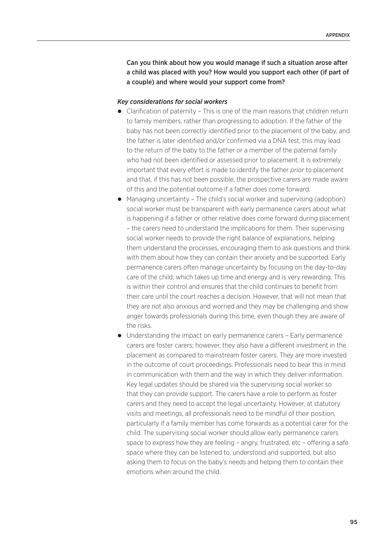Can you think about how you would manage if such a situation arose after a child was placed with you? How would you support each other (if part of a couple) and where would your support come from?

### *Key considerations for social workers*

- Clarification of paternity This is one of the main reasons that children return to family members, rather than progressing to adoption. If the father of the baby has not been correctly identified prior to the placement of the baby, and the father is later identified and/or confirmed via a DNA test, this may lead to the return of the baby to the father or a member of the paternal family who had not been identified or assessed prior to placement. It is extremely important that every effort is made to identify the father *prior* to placement and that, if this has not been possible, the prospective carers are made aware of this and the potential outcome if a father does come forward.
- Managing uncertainty The child's social worker and supervising (adoption) social worker must be transparent with early permanence carers about what is happening if a father or other relative does come forward during placement – the carers need to understand the implications for them. Their supervising social worker needs to provide the right balance of explanations, helping them understand the processes, encouraging them to ask questions and think with them about how they can contain their anxiety and be supported. Early permanence carers often manage uncertainty by focusing on the day-to-day care of the child, which takes up time and energy and is very rewarding. This is within their control and ensures that the child continues to benefit from their care until the court reaches a decision. However, that will not mean that they are not also anxious and worried and they may be challenging and show anger towards professionals during this time, even though they are aware of the risks.
- Understanding the impact on early permanence carers Early permanence carers are foster carers; however, they also have a different investment in the placement as compared to mainstream foster carers. They are more invested in the outcome of court proceedings. Professionals need to bear this in mind in communication with them and the way in which they deliver information. Key legal updates should be shared via the supervising social worker so that they can provide support. The carers have a role to perform as foster carers and they need to accept the legal uncertainty. However, at statutory visits and meetings, all professionals need to be mindful of their position, particularly if a family member has come forwards as a potential carer for the child. The supervising social worker should allow early permanence carers space to express how they are feeling – angry, frustrated, etc – offering a safe space where they can be listened to, understood and supported, but also asking them to focus on the baby's needs and helping them to contain their emotions when around the child.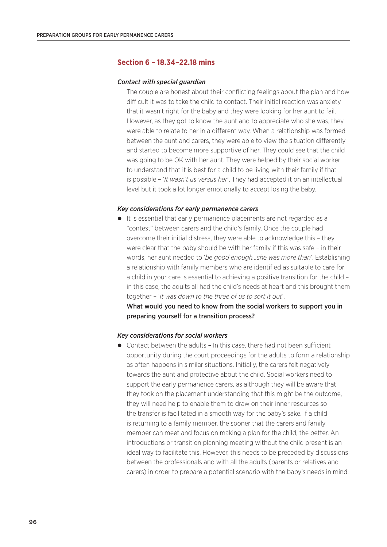# **Section 6 – 18.34–22.18 mins**

### *Contact with special guardian*

The couple are honest about their conflicting feelings about the plan and how difficult it was to take the child to contact. Their initial reaction was anxiety that it wasn't right for the baby and they were looking for her aunt to fail. However, as they got to know the aunt and to appreciate who she was, they were able to relate to her in a different way. When a relationship was formed between the aunt and carers, they were able to view the situation differently and started to become more supportive of her. They could see that the child was going to be OK with her aunt. They were helped by their social worker to understand that it is best for a child to be living with their family if that is possible – '*It wasn't us versus her*'. They had accepted it on an intellectual level but it took a lot longer emotionally to accept losing the baby.

### *Key considerations for early permanence carers*

• It is essential that early permanence placements are not regarded as a "contest" between carers and the child's family. Once the couple had overcome their initial distress, they were able to acknowledge this – they were clear that the baby should be with her family if this was safe – in their words, her aunt needed to '*be good enough…she was more than*'. Establishing a relationship with family members who are identified as suitable to care for a child in your care is essential to achieving a positive transition for the child – in this case, the adults all had the child's needs at heart and this brought them together – '*It was down to the three of us to sort it out*'.

What would you need to know from the social workers to support you in preparing yourself for a transition process?

### *Key considerations for social workers*

 Contact between the adults – In this case, there had not been sufficient opportunity during the court proceedings for the adults to form a relationship as often happens in similar situations. Initially, the carers felt negatively towards the aunt and protective about the child. Social workers need to support the early permanence carers, as although they will be aware that they took on the placement understanding that this might be the outcome, they will need help to enable them to draw on their inner resources so the transfer is facilitated in a smooth way for the baby's sake. If a child is returning to a family member, the sooner that the carers and family member can meet and focus on making a plan for the child, the better. An introductions or transition planning meeting without the child present is an ideal way to facilitate this. However, this needs to be preceded by discussions between the professionals and with all the adults (parents or relatives and carers) in order to prepare a potential scenario with the baby's needs in mind.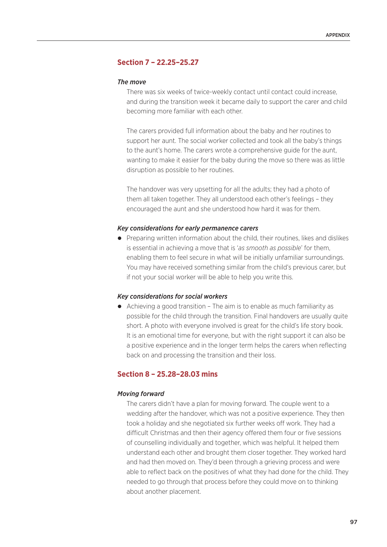# **Section 7 – 22.25–25.27**

### *The move*

There was six weeks of twice-weekly contact until contact could increase, and during the transition week it became daily to support the carer and child becoming more familiar with each other.

The carers provided full information about the baby and her routines to support her aunt. The social worker collected and took all the baby's things to the aunt's home. The carers wrote a comprehensive guide for the aunt, wanting to make it easier for the baby during the move so there was as little disruption as possible to her routines.

The handover was very upsetting for all the adults; they had a photo of them all taken together. They all understood each other's feelings – they encouraged the aunt and she understood how hard it was for them.

### *Key considerations for early permanence carers*

• Preparing written information about the child, their routines, likes and dislikes is essential in achieving a move that is '*as smooth as possible*' for them, enabling them to feel secure in what will be initially unfamiliar surroundings. You may have received something similar from the child's previous carer, but if not your social worker will be able to help you write this.

### *Key considerations for social workers*

 Achieving a good transition – The aim is to enable as much familiarity as possible for the child through the transition. Final handovers are usually quite short. A photo with everyone involved is great for the child's life story book. It is an emotional time for everyone, but with the right support it can also be a positive experience and in the longer term helps the carers when reflecting back on and processing the transition and their loss.

## **Section 8 – 25.28–28.03 mins**

### *Moving forward*

The carers didn't have a plan for moving forward. The couple went to a wedding after the handover, which was not a positive experience. They then took a holiday and she negotiated six further weeks off work. They had a difficult Christmas and then their agency offered them four or five sessions of counselling individually and together, which was helpful. It helped them understand each other and brought them closer together. They worked hard and had then moved on. They'd been through a grieving process and were able to reflect back on the positives of what they had done for the child. They needed to go through that process before they could move on to thinking about another placement.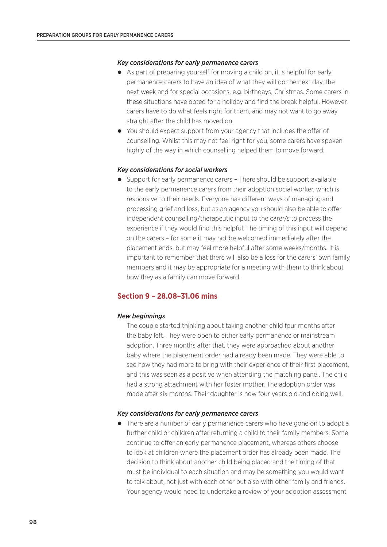### *Key considerations for early permanence carers*

- As part of preparing yourself for moving a child on, it is helpful for early permanence carers to have an idea of what they will do the next day, the next week and for special occasions, e.g. birthdays, Christmas. Some carers in these situations have opted for a holiday and find the break helpful. However, carers have to do what feels right for them, and may not want to go away straight after the child has moved on.
- You should expect support from your agency that includes the offer of counselling. Whilst this may not feel right for you, some carers have spoken highly of the way in which counselling helped them to move forward.

### *Key considerations for social workers*

 Support for early permanence carers – There should be support available to the early permanence carers from their adoption social worker, which is responsive to their needs. Everyone has different ways of managing and processing grief and loss, but as an agency you should also be able to offer independent counselling/therapeutic input to the carer/s to process the experience if they would find this helpful. The timing of this input will depend on the carers – for some it may not be welcomed immediately after the placement ends, but may feel more helpful after some weeks/months. It is important to remember that there will also be a loss for the carers' own family members and it may be appropriate for a meeting with them to think about how they as a family can move forward.

# **Section 9 – 28.08–31.06 mins**

### *New beginnings*

The couple started thinking about taking another child four months after the baby left. They were open to either early permanence or mainstream adoption. Three months after that, they were approached about another baby where the placement order had already been made. They were able to see how they had more to bring with their experience of their first placement, and this was seen as a positive when attending the matching panel. The child had a strong attachment with her foster mother. The adoption order was made after six months. Their daughter is now four years old and doing well.

#### *Key considerations for early permanence carers*

 There are a number of early permanence carers who have gone on to adopt a further child or children after returning a child to their family members. Some continue to offer an early permanence placement, whereas others choose to look at children where the placement order has already been made. The decision to think about another child being placed and the timing of that must be individual to each situation and may be something you would want to talk about, not just with each other but also with other family and friends. Your agency would need to undertake a review of your adoption assessment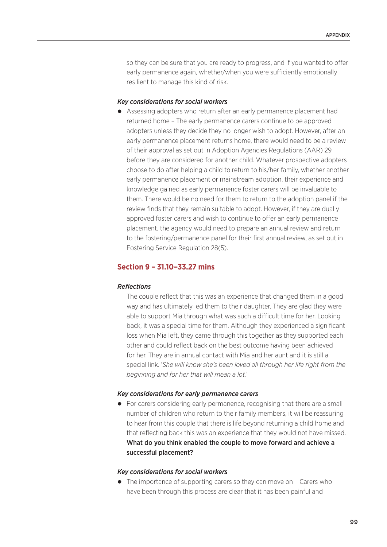so they can be sure that you are ready to progress, and if you wanted to offer early permanence again, whether/when you were sufficiently emotionally resilient to manage this kind of risk.

### *Key considerations for social workers*

 Assessing adopters who return after an early permanence placement had returned home – The early permanence carers continue to be approved adopters unless they decide they no longer wish to adopt. However, after an early permanence placement returns home, there would need to be a review of their approval as set out in Adoption Agencies Regulations (AAR) 29 before they are considered for another child. Whatever prospective adopters choose to do after helping a child to return to his/her family, whether another early permanence placement or mainstream adoption, their experience and knowledge gained as early permanence foster carers will be invaluable to them. There would be no need for them to return to the adoption panel if the review finds that they remain suitable to adopt. However, if they are dually approved foster carers and wish to continue to offer an early permanence placement, the agency would need to prepare an annual review and return to the fostering/permanence panel for their first annual review, as set out in Fostering Service Regulation 28(5).

# **Section 9 – 31.10–33.27 mins**

### *Reflections*

The couple reflect that this was an experience that changed them in a good way and has ultimately led them to their daughter. They are glad they were able to support Mia through what was such a difficult time for her. Looking back, it was a special time for them. Although they experienced a significant loss when Mia left, they came through this together as they supported each other and could reflect back on the best outcome having been achieved for her. They are in annual contact with Mia and her aunt and it is still a special link. '*She will know she's been loved all through her life right from the beginning and for her that will mean a lot.*'

### *Key considerations for early permanence carers*

• For carers considering early permanence, recognising that there are a small number of children who return to their family members, it will be reassuring to hear from this couple that there is life beyond returning a child home and that reflecting back this was an experience that they would not have missed. What do you think enabled the couple to move forward and achieve a successful placement?

### *Key considerations for social workers*

• The importance of supporting carers so they can move on - Carers who have been through this process are clear that it has been painful and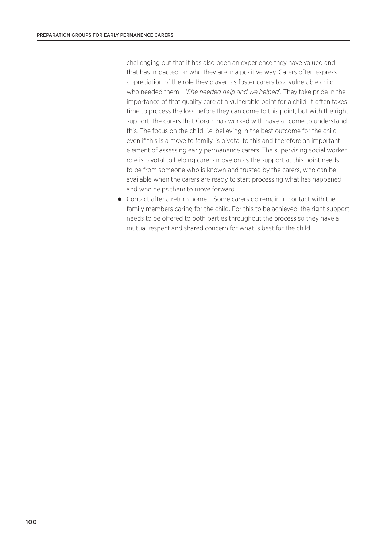challenging but that it has also been an experience they have valued and that has impacted on who they are in a positive way. Carers often express appreciation of the role they played as foster carers to a vulnerable child who needed them – '*She needed help and we helped*'. They take pride in the importance of that quality care at a vulnerable point for a child. It often takes time to process the loss before they can come to this point, but with the right support, the carers that Coram has worked with have all come to understand this. The focus on the child, i.e. believing in the best outcome for the child even if this is a move to family, is pivotal to this and therefore an important element of assessing early permanence carers. The supervising social worker role is pivotal to helping carers move on as the support at this point needs to be from someone who is known and trusted by the carers, who can be available when the carers are ready to start processing what has happened and who helps them to move forward.

 Contact after a return home – Some carers do remain in contact with the family members caring for the child. For this to be achieved, the right support needs to be offered to both parties throughout the process so they have a mutual respect and shared concern for what is best for the child.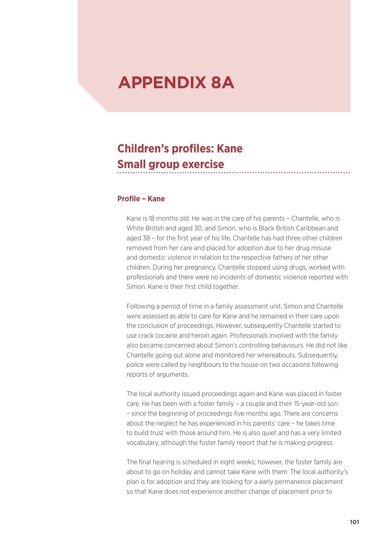# **APPENDIX 8A**

### **Children's profiles: Kane Small group exercise**

#### **Profile – Kane**

Kane is 18 months old. He was in the care of his parents – Chantelle, who is White British and aged 30, and Simon, who is Black British Caribbean and aged 38 – for the first year of his life. Chantelle has had three other children removed from her care and placed for adoption due to her drug misuse and domestic violence in relation to the respective fathers of her other children. During her pregnancy, Chantelle stopped using drugs, worked with professionals and there were no incidents of domestic violence reported with Simon. Kane is their first child together.

Following a period of time in a family assessment unit, Simon and Chantelle were assessed as able to care for Kane and he remained in their care upon the conclusion of proceedings. However, subsequently Chantelle started to use crack cocaine and heroin again. Professionals involved with the family also became concerned about Simon's controlling behaviours. He did not like Chantelle going out alone and monitored her whereabouts. Subsequently, police were called by neighbours to the house on two occasions following reports of arguments.

The local authority issued proceedings again and Kane was placed in foster care. He has been with a foster family – a couple and their 15-year-old son – since the beginning of proceedings five months ago. There are concerns about the neglect he has experienced in his parents' care – he takes time to build trust with those around him. He is also quiet and has a very limited vocabulary, although the foster family report that he is making progress.

The final hearing is scheduled in eight weeks; however, the foster family are about to go on holiday and cannot take Kane with them. The local authority's plan is for adoption and they are looking for a early permanence placement so that Kane does not experience another change of placement prior to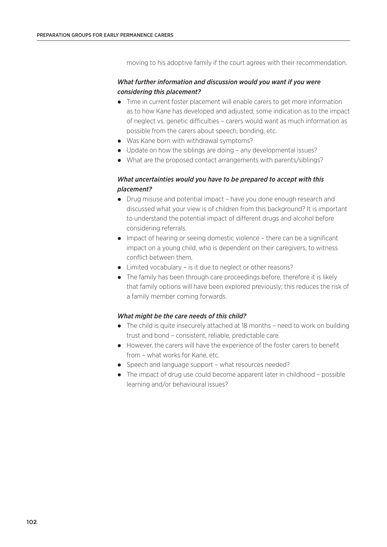moving to his adoptive family if the court agrees with their recommendation.

#### *What further information and discussion would you want if you were considering this placement?*

- Time in current foster placement will enable carers to get more information as to how Kane has developed and adjusted; some indication as to the impact of neglect vs. genetic difficulties – carers would want as much information as possible from the carers about speech, bonding, etc.
- Was Kane born with withdrawal symptoms?
- Update on how the siblings are doing any developmental issues?
- What are the proposed contact arrangements with parents/siblings?

#### *What uncertainties would you have to be prepared to accept with this placement?*

- Drug misuse and potential impact have you done enough research and discussed what your view is of children from this background? It is important to understand the potential impact of different drugs and alcohol before considering referrals.
- Impact of hearing or seeing domestic violence there can be a significant impact on a young child, who is dependent on their caregivers, to witness conflict between them.
- Limited vocabulary is it due to neglect or other reasons?
- The family has been through care proceedings before, therefore it is likely that family options will have been explored previously; this reduces the risk of a family member coming forwards.

#### *What might be the care needs of this child?*

- The child is quite insecurely attached at 18 months need to work on building trust and bond – consistent, reliable, predictable care.
- However, the carers will have the experience of the foster carers to benefit from – what works for Kane, etc.
- Speech and language support what resources needed?
- The impact of drug use could become apparent later in childhood possible learning and/or behavioural issues?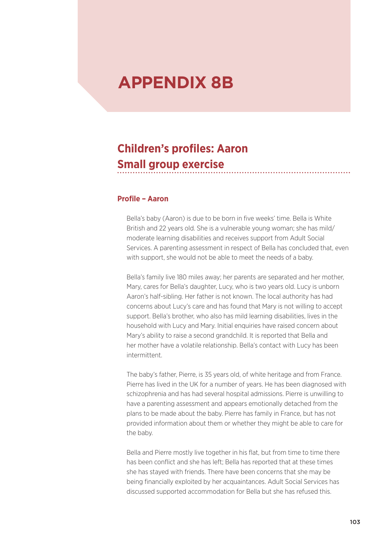# **APPENDIX 8B**

### **Children's profiles: Aaron Small group exercise**

#### **Profile – Aaron**

Bella's baby (Aaron) is due to be born in five weeks' time. Bella is White British and 22 years old. She is a vulnerable young woman; she has mild/ moderate learning disabilities and receives support from Adult Social Services. A parenting assessment in respect of Bella has concluded that, even with support, she would not be able to meet the needs of a baby.

Bella's family live 180 miles away; her parents are separated and her mother, Mary, cares for Bella's daughter, Lucy, who is two years old. Lucy is unborn Aaron's half-sibling. Her father is not known. The local authority has had concerns about Lucy's care and has found that Mary is not willing to accept support. Bella's brother, who also has mild learning disabilities, lives in the household with Lucy and Mary. Initial enquiries have raised concern about Mary's ability to raise a second grandchild. It is reported that Bella and her mother have a volatile relationship. Bella's contact with Lucy has been intermittent.

The baby's father, Pierre, is 35 years old, of white heritage and from France. Pierre has lived in the UK for a number of years. He has been diagnosed with schizophrenia and has had several hospital admissions. Pierre is unwilling to have a parenting assessment and appears emotionally detached from the plans to be made about the baby. Pierre has family in France, but has not provided information about them or whether they might be able to care for the baby.

Bella and Pierre mostly live together in his flat, but from time to time there has been conflict and she has left; Bella has reported that at these times she has stayed with friends. There have been concerns that she may be being financially exploited by her acquaintances. Adult Social Services has discussed supported accommodation for Bella but she has refused this.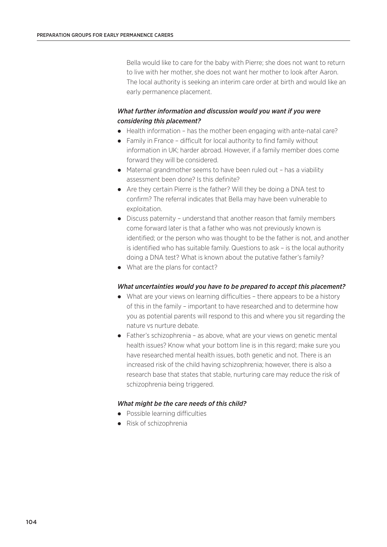Bella would like to care for the baby with Pierre; she does not want to return to live with her mother, she does not want her mother to look after Aaron. The local authority is seeking an interim care order at birth and would like an early permanence placement.

#### *What further information and discussion would you want if you were considering this placement?*

- Health information has the mother been engaging with ante-natal care?
- Family in France difficult for local authority to find family without information in UK; harder abroad. However, if a family member does come forward they will be considered.
- Maternal grandmother seems to have been ruled out has a viability assessment been done? Is this definite?
- Are they certain Pierre is the father? Will they be doing a DNA test to confirm? The referral indicates that Bella may have been vulnerable to exploitation.
- Discuss paternity understand that another reason that family members come forward later is that a father who was not previously known is identified; or the person who was thought to be the father is not, and another is identified who has suitable family. Questions to ask – is the local authority doing a DNA test? What is known about the putative father's family?
- What are the plans for contact?

#### *What uncertainties would you have to be prepared to accept this placement?*

- What are your views on learning difficulties there appears to be a history of this in the family – important to have researched and to determine how you as potential parents will respond to this and where you sit regarding the nature vs nurture debate.
- Father's schizophrenia as above, what are your views on genetic mental health issues? Know what your bottom line is in this regard; make sure you have researched mental health issues, both genetic and not. There is an increased risk of the child having schizophrenia; however, there is also a research base that states that stable, nurturing care may reduce the risk of schizophrenia being triggered.

#### *What might be the care needs of this child?*

- Possible learning difficulties
- Risk of schizophrenia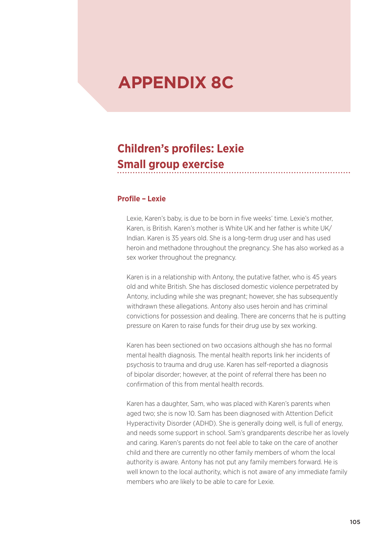# **APPENDIX 8C**

### **Children's profiles: Lexie Small group exercise**

#### **Profile – Lexie**

Lexie, Karen's baby, is due to be born in five weeks' time. Lexie's mother, Karen, is British. Karen's mother is White UK and her father is white UK/ Indian. Karen is 35 years old. She is a long-term drug user and has used heroin and methadone throughout the pregnancy. She has also worked as a sex worker throughout the pregnancy.

Karen is in a relationship with Antony, the putative father, who is 45 years old and white British. She has disclosed domestic violence perpetrated by Antony, including while she was pregnant; however, she has subsequently withdrawn these allegations. Antony also uses heroin and has criminal convictions for possession and dealing. There are concerns that he is putting pressure on Karen to raise funds for their drug use by sex working.

Karen has been sectioned on two occasions although she has no formal mental health diagnosis. The mental health reports link her incidents of psychosis to trauma and drug use. Karen has self-reported a diagnosis of bipolar disorder; however, at the point of referral there has been no confirmation of this from mental health records.

Karen has a daughter, Sam, who was placed with Karen's parents when aged two; she is now 10. Sam has been diagnosed with Attention Deficit Hyperactivity Disorder (ADHD). She is generally doing well, is full of energy, and needs some support in school. Sam's grandparents describe her as lovely and caring. Karen's parents do not feel able to take on the care of another child and there are currently no other family members of whom the local authority is aware. Antony has not put any family members forward. He is well known to the local authority, which is not aware of any immediate family members who are likely to be able to care for Lexie.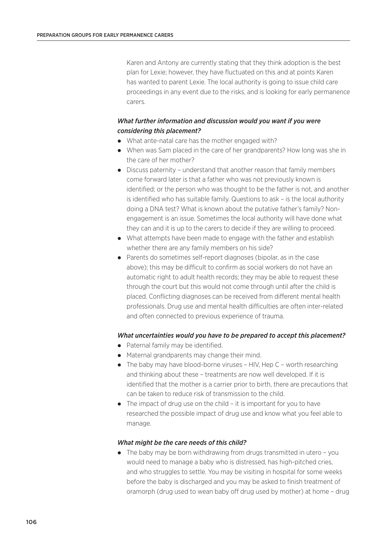Karen and Antony are currently stating that they think adoption is the best plan for Lexie; however, they have fluctuated on this and at points Karen has wanted to parent Lexie. The local authority is going to issue child care proceedings in any event due to the risks, and is looking for early permanence carers.

#### *What further information and discussion would you want if you were considering this placement?*

- What ante-natal care has the mother engaged with?
- When was Sam placed in the care of her grandparents? How long was she in the care of her mother?
- Discuss paternity understand that another reason that family members come forward later is that a father who was not previously known is identified; or the person who was thought to be the father is not, and another is identified who has suitable family. Questions to ask – is the local authority doing a DNA test? What is known about the putative father's family? Nonengagement is an issue. Sometimes the local authority will have done what they can and it is up to the carers to decide if they are willing to proceed.
- What attempts have been made to engage with the father and establish whether there are any family members on his side?
- Parents do sometimes self-report diagnoses (bipolar, as in the case above); this may be difficult to confirm as social workers do not have an automatic right to adult health records; they may be able to request these through the court but this would not come through until after the child is placed. Conflicting diagnoses can be received from different mental health professionals. Drug use and mental health difficulties are often inter-related and often connected to previous experience of trauma.

#### *What uncertainties would you have to be prepared to accept this placement?*

- Paternal family may be identified.
- Maternal grandparents may change their mind.
- The baby may have blood-borne viruses HIV, Hep C worth researching and thinking about these – treatments are now well developed. If it is identified that the mother is a carrier prior to birth, there are precautions that can be taken to reduce risk of transmission to the child.
- The impact of drug use on the child it is important for you to have researched the possible impact of drug use and know what you feel able to manage.

#### *What might be the care needs of this child?*

• The baby may be born withdrawing from drugs transmitted in utero - you would need to manage a baby who is distressed, has high-pitched cries, and who struggles to settle. You may be visiting in hospital for some weeks before the baby is discharged and you may be asked to finish treatment of oramorph (drug used to wean baby off drug used by mother) at home – drug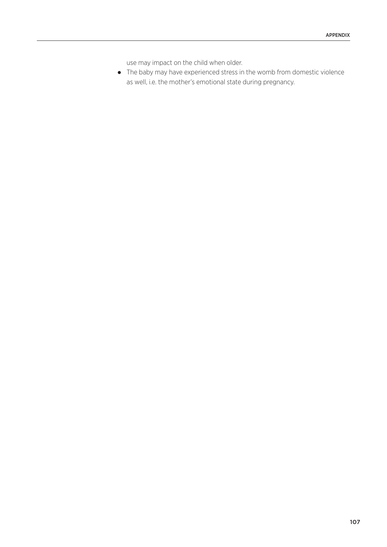use may impact on the child when older.

 The baby may have experienced stress in the womb from domestic violence as well, i.e. the mother's emotional state during pregnancy.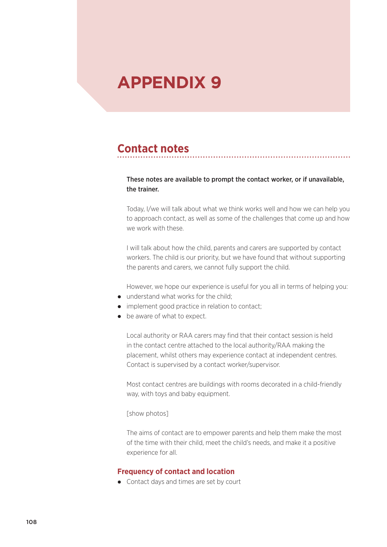# **APPENDIX 9**

### **Contact notes**

#### These notes are available to prompt the contact worker, or if unavailable, the trainer.

Today, I/we will talk about what we think works well and how we can help you to approach contact, as well as some of the challenges that come up and how we work with these.

I will talk about how the child, parents and carers are supported by contact workers. The child is our priority, but we have found that without supporting the parents and carers, we cannot fully support the child.

However, we hope our experience is useful for you all in terms of helping you:

- understand what works for the child;
- implement good practice in relation to contact;
- be aware of what to expect.

Local authority or RAA carers may find that their contact session is held in the contact centre attached to the local authority/RAA making the placement, whilst others may experience contact at independent centres. Contact is supervised by a contact worker/supervisor.

Most contact centres are buildings with rooms decorated in a child-friendly way, with toys and baby equipment.

#### [show photos]

The aims of contact are to empower parents and help them make the most of the time with their child, meet the child's needs, and make it a positive experience for all.

#### **Frequency of contact and location**

Contact days and times are set by court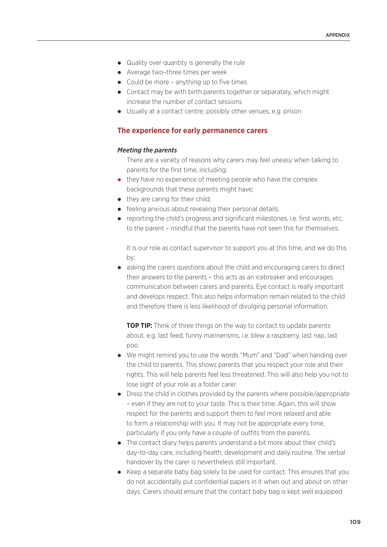- Quality over quantity is generally the rule
- Average two–three times per week
- Could be more anything up to five times
- Contact may be with birth parents together or separately, which might increase the number of contact sessions
- Usually at a contact centre; possibly other venues, e.g. prison

#### **The experience for early permanence carers**

#### *Meeting the parents*

There are a variety of reasons why carers may feel uneasy when talking to parents for the first time, including:

- they have no experience of meeting people who have the complex backgrounds that these parents might have;
- they are caring for their child;
- feeling anxious about revealing their personal details;
- $\bullet$  reporting the child's progress and significant milestones, i.e. first words, etc. to the parent – mindful that the parents have not seen this for themselves.

It is our role as contact supervisor to support you at this time, and we do this by:

 asking the carers questions about the child and encouraging carers to direct their answers to the parents – this acts as an icebreaker and encourages communication between carers and parents. Eye contact is really important and develops respect. This also helps information remain related to the child and therefore there is less likelihood of divulging personal information.

**TOP TIP:** Think of three things on the way to contact to update parents about, e.g. last feed, funny mannerisms, i.e. blew a raspberry, last nap, last poo.

- We might remind you to use the words "Mum" and "Dad" when handing over the child to parents. This shows parents that you respect your role and their rights. This will help parents feel less threatened. This will also help you not to lose sight of your role as a foster carer.
- Dress the child in clothes provided by the parents where possible/appropriate – even if they are not to your taste. This is their time. Again, this will show respect for the parents and support them to feel more relaxed and able to form a relationship with you. It may not be appropriate every time, particularly if you only have a couple of outfits from the parents.
- The contact diary helps parents understand a bit more about their child's day-to-day care, including health, development and daily routine. The verbal handover by the carer is nevertheless still important.
- Keep a separate baby bag solely to be used for contact. This ensures that you do not accidentally put confidential papers in it when out and about on other days. Carers should ensure that the contact baby bag is kept well equipped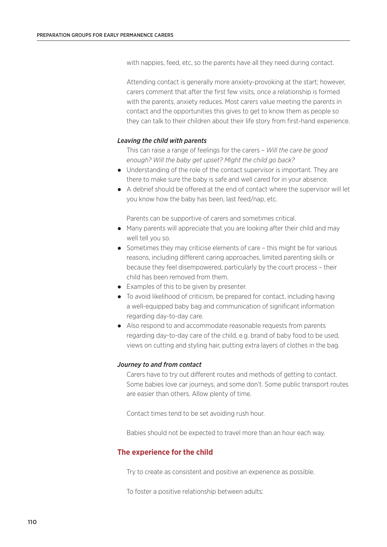with nappies, feed, etc, so the parents have all they need during contact.

Attending contact is generally more anxiety-provoking at the start; however, carers comment that after the first few visits, once a relationship is formed with the parents, anxiety reduces. Most carers value meeting the parents in contact and the opportunities this gives to get to know them as people so they can talk to their children about their life story from first-hand experience.

#### *Leaving the child with parents*

This can raise a range of feelings for the carers – *Will the care be good enough? Will the baby get upset? Might the child go back?*

- Understanding of the role of the contact supervisor is important. They are there to make sure the baby is safe and well cared for in your absence.
- A debrief should be offered at the end of contact where the supervisor will let you know how the baby has been, last feed/nap, etc.

Parents can be supportive of carers and sometimes critical.

- Many parents will appreciate that you are looking after their child and may well tell you so.
- Sometimes they may criticise elements of care this might be for various reasons, including different caring approaches, limited parenting skills or because they feel disempowered, particularly by the court process – their child has been removed from them.
- Examples of this to be given by presenter.
- To avoid likelihood of criticism, be prepared for contact, including having a well-equipped baby bag and communication of significant information regarding day-to-day care.
- Also respond to and accommodate reasonable requests from parents regarding day-to-day care of the child, e.g. brand of baby food to be used, views on cutting and styling hair, putting extra layers of clothes in the bag.

#### *Journey to and from contact*

Carers have to try out different routes and methods of getting to contact. Some babies love car journeys, and some don't. Some public transport routes are easier than others. Allow plenty of time.

Contact times tend to be set avoiding rush hour.

Babies should not be expected to travel more than an hour each way.

#### **The experience for the child**

Try to create as consistent and positive an experience as possible.

To foster a positive relationship between adults: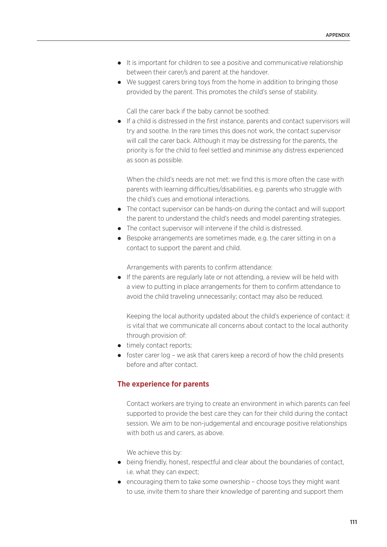- It is important for children to see a positive and communicative relationship between their carer/s and parent at the handover.
- We suggest carers bring toys from the home in addition to bringing those provided by the parent. This promotes the child's sense of stability.

Call the carer back if the baby cannot be soothed:

 If a child is distressed in the first instance, parents and contact supervisors will try and soothe. In the rare times this does not work, the contact supervisor will call the carer back. Although it may be distressing for the parents, the priority is for the child to feel settled and minimise any distress experienced as soon as possible.

When the child's needs are not met: we find this is more often the case with parents with learning difficulties/disabilities, e.g. parents who struggle with the child's cues and emotional interactions.

- The contact supervisor can be hands-on during the contact and will support the parent to understand the child's needs and model parenting strategies.
- The contact supervisor will intervene if the child is distressed.
- Bespoke arrangements are sometimes made, e.g. the carer sitting in on a contact to support the parent and child.

Arrangements with parents to confirm attendance:

 If the parents are regularly late or not attending, a review will be held with a view to putting in place arrangements for them to confirm attendance to avoid the child traveling unnecessarily; contact may also be reduced.

Keeping the local authority updated about the child's experience of contact: it is vital that we communicate all concerns about contact to the local authority through provision of:

- timely contact reports;
- foster carer log we ask that carers keep a record of how the child presents before and after contact.

#### **The experience for parents**

Contact workers are trying to create an environment in which parents can feel supported to provide the best care they can for their child during the contact session. We aim to be non-judgemental and encourage positive relationships with both us and carers, as above.

We achieve this by:

- being friendly, honest, respectful and clear about the boundaries of contact, i.e. what they can expect;
- encouraging them to take some ownership choose toys they might want to use, invite them to share their knowledge of parenting and support them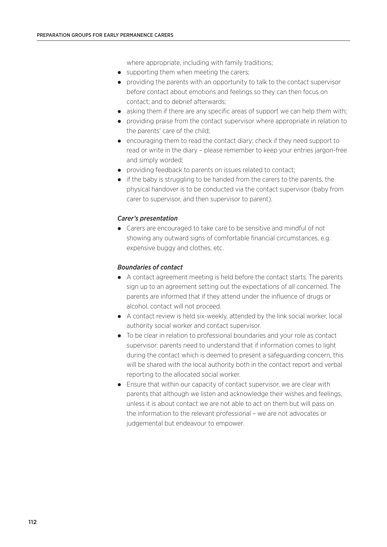where appropriate, including with family traditions;

- supporting them when meeting the carers:
- providing the parents with an opportunity to talk to the contact supervisor before contact about emotions and feelings so they can then focus on contact; and to debrief afterwards;
- $\bullet$  asking them if there are any specific areas of support we can help them with:
- providing praise from the contact supervisor where appropriate in relation to the parents' care of the child;
- encouraging them to read the contact diary; check if they need support to read or write in the diary – please remember to keep your entries jargon-free and simply worded;
- providing feedback to parents on issues related to contact;
- if the baby is struggling to be handed from the carers to the parents, the physical handover is to be conducted via the contact supervisor (baby from carer to supervisor, and then supervisor to parent).

#### *Carer's presentation*

 Carers are encouraged to take care to be sensitive and mindful of not showing any outward signs of comfortable financial circumstances, e.g. expensive buggy and clothes, etc.

#### *Boundaries of contact*

- A contact agreement meeting is held before the contact starts. The parents sign up to an agreement setting out the expectations of all concerned. The parents are informed that if they attend under the influence of drugs or alcohol, contact will not proceed.
- A contact review is held six-weekly, attended by the link social worker, local authority social worker and contact supervisor.
- To be clear in relation to professional boundaries and your role as contact supervisor: parents need to understand that if information comes to light during the contact which is deemed to present a safeguarding concern, this will be shared with the local authority both in the contact report and verbal reporting to the allocated social worker.
- Ensure that within our capacity of contact supervisor, we are clear with parents that although we listen and acknowledge their wishes and feelings, unless it is about contact we are not able to act on them but will pass on the information to the relevant professional – we are not advocates or judgemental but endeavour to empower.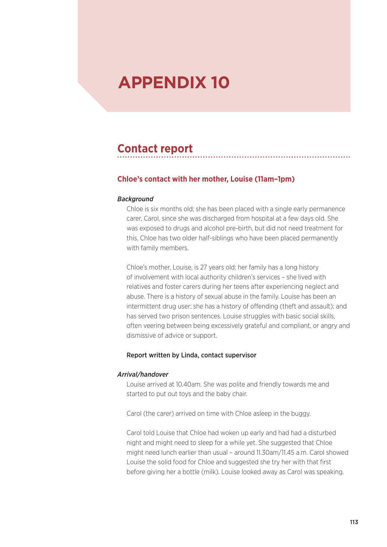# **APPENDIX 10**

### **Contact report**

#### **Chloe's contact with her mother, Louise (11am–1pm)**

#### *Background*

Chloe is six months old; she has been placed with a single early permanence carer, Carol, since she was discharged from hospital at a few days old. She was exposed to drugs and alcohol pre-birth, but did not need treatment for this. Chloe has two older half-siblings who have been placed permanently with family members.

Chloe's mother, Louise, is 27 years old; her family has a long history of involvement with local authority children's services – she lived with relatives and foster carers during her teens after experiencing neglect and abuse. There is a history of sexual abuse in the family. Louise has been an intermittent drug user; she has a history of offending (theft and assault); and has served two prison sentences. Louise struggles with basic social skills, often veering between being excessively grateful and compliant, or angry and dismissive of advice or support.

#### Report written by Linda, contact supervisor

#### *Arrival/handover*

Louise arrived at 10.40am. She was polite and friendly towards me and started to put out toys and the baby chair.

Carol (the carer) arrived on time with Chloe asleep in the buggy.

Carol told Louise that Chloe had woken up early and had had a disturbed night and might need to sleep for a while yet. She suggested that Chloe might need lunch earlier than usual – around 11.30am/11.45 a.m. Carol showed Louise the solid food for Chloe and suggested she try her with that first before giving her a bottle (milk). Louise looked away as Carol was speaking.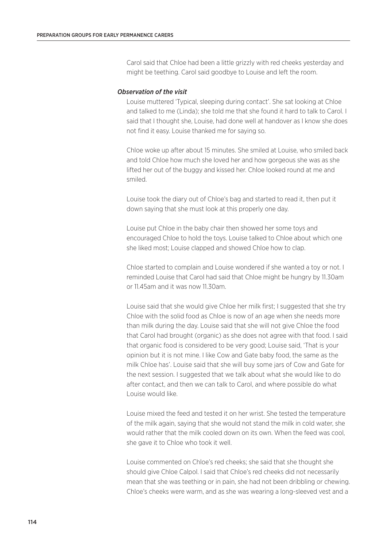Carol said that Chloe had been a little grizzly with red cheeks yesterday and might be teething. Carol said goodbye to Louise and left the room.

#### *Observation of the visit*

Louise muttered 'Typical, sleeping during contact'. She sat looking at Chloe and talked to me (Linda); she told me that she found it hard to talk to Carol. I said that I thought she, Louise, had done well at handover as I know she does not find it easy. Louise thanked me for saying so.

Chloe woke up after about 15 minutes. She smiled at Louise, who smiled back and told Chloe how much she loved her and how gorgeous she was as she lifted her out of the buggy and kissed her. Chloe looked round at me and smiled.

Louise took the diary out of Chloe's bag and started to read it, then put it down saying that she must look at this properly one day.

Louise put Chloe in the baby chair then showed her some toys and encouraged Chloe to hold the toys. Louise talked to Chloe about which one she liked most; Louise clapped and showed Chloe how to clap.

Chloe started to complain and Louise wondered if she wanted a toy or not. I reminded Louise that Carol had said that Chloe might be hungry by 11.30am or 11.45am and it was now 11.30am.

Louise said that she would give Chloe her milk first; I suggested that she try Chloe with the solid food as Chloe is now of an age when she needs more than milk during the day. Louise said that she will not give Chloe the food that Carol had brought (organic) as she does not agree with that food. I said that organic food is considered to be very good; Louise said, 'That is your opinion but it is not mine. I like Cow and Gate baby food, the same as the milk Chloe has'. Louise said that she will buy some jars of Cow and Gate for the next session. I suggested that we talk about what she would like to do after contact, and then we can talk to Carol, and where possible do what Louise would like.

Louise mixed the feed and tested it on her wrist. She tested the temperature of the milk again, saying that she would not stand the milk in cold water, she would rather that the milk cooled down on its own. When the feed was cool, she gave it to Chloe who took it well.

Louise commented on Chloe's red cheeks; she said that she thought she should give Chloe Calpol. I said that Chloe's red cheeks did not necessarily mean that she was teething or in pain, she had not been dribbling or chewing. Chloe's cheeks were warm, and as she was wearing a long-sleeved vest and a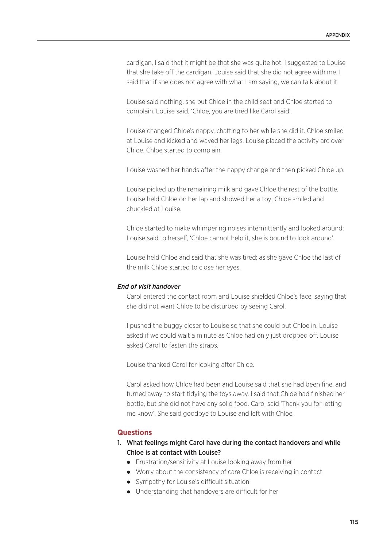cardigan, I said that it might be that she was quite hot. I suggested to Louise that she take off the cardigan. Louise said that she did not agree with me. I said that if she does not agree with what I am saying, we can talk about it.

Louise said nothing, she put Chloe in the child seat and Chloe started to complain. Louise said, 'Chloe, you are tired like Carol said'.

Louise changed Chloe's nappy, chatting to her while she did it. Chloe smiled at Louise and kicked and waved her legs. Louise placed the activity arc over Chloe. Chloe started to complain.

Louise washed her hands after the nappy change and then picked Chloe up.

Louise picked up the remaining milk and gave Chloe the rest of the bottle. Louise held Chloe on her lap and showed her a toy; Chloe smiled and chuckled at Louise.

Chloe started to make whimpering noises intermittently and looked around; Louise said to herself, 'Chloe cannot help it, she is bound to look around'.

Louise held Chloe and said that she was tired; as she gave Chloe the last of the milk Chloe started to close her eyes.

#### *End of visit handover*

Carol entered the contact room and Louise shielded Chloe's face, saying that she did not want Chloe to be disturbed by seeing Carol.

I pushed the buggy closer to Louise so that she could put Chloe in. Louise asked if we could wait a minute as Chloe had only just dropped off. Louise asked Carol to fasten the straps.

Louise thanked Carol for looking after Chloe.

Carol asked how Chloe had been and Louise said that she had been fine, and turned away to start tidying the toys away. I said that Chloe had finished her bottle, but she did not have any solid food. Carol said 'Thank you for letting me know'. She said goodbye to Louise and left with Chloe.

#### **Questions**

#### 1. What feelings might Carol have during the contact handovers and while Chloe is at contact with Louise?

- Frustration/sensitivity at Louise looking away from her
- Worry about the consistency of care Chloe is receiving in contact
- Sympathy for Louise's difficult situation
- Understanding that handovers are difficult for her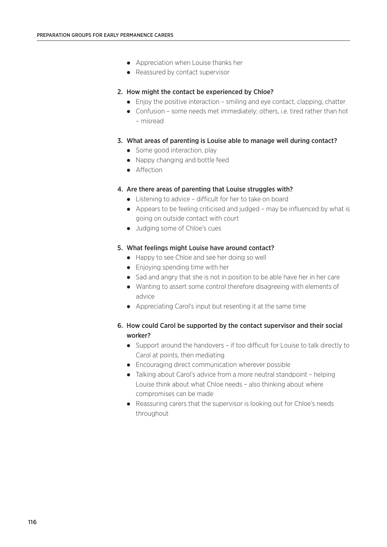- Appreciation when Louise thanks her
- Reassured by contact supervisor

#### 2. How might the contact be experienced by Chloe?

- Enjoy the positive interaction smiling and eye contact, clapping, chatter
- Confusion some needs met immediately; others, i.e. tired rather than hot – misread

#### 3. What areas of parenting is Louise able to manage well during contact?

- Some good interaction, play
- Nappy changing and bottle feed
- Affection

#### 4. Are there areas of parenting that Louise struggles with?

- Listening to advice difficult for her to take on board
- Appears to be feeling criticised and judged may be influenced by what is going on outside contact with court
- Judging some of Chloe's cues

#### 5. What feelings might Louise have around contact?

- Happy to see Chloe and see her doing so well
- Enjoying spending time with her
- Sad and angry that she is not in position to be able have her in her care
- Wanting to assert some control therefore disagreeing with elements of advice
- Appreciating Carol's input but resenting it at the same time

#### 6. How could Carol be supported by the contact supervisor and their social worker?

- Support around the handovers if too difficult for Louise to talk directly to Carol at points, then mediating
- **•** Encouraging direct communication wherever possible
- Talking about Carol's advice from a more neutral standpoint helping Louise think about what Chloe needs – also thinking about where compromises can be made
- Reassuring carers that the supervisor is looking out for Chloe's needs throughout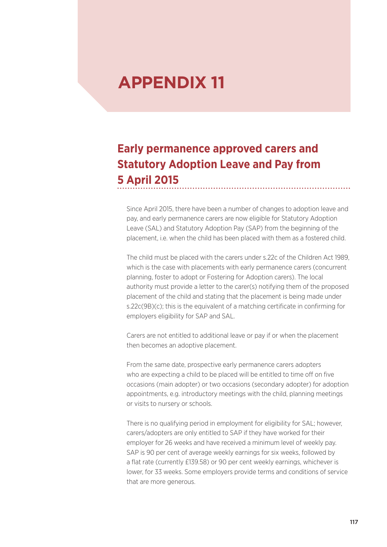# **APPENDIX 11**

### **Early permanence approved carers and Statutory Adoption Leave and Pay from 5 April 2015**

Since April 2015, there have been a number of changes to adoption leave and pay, and early permanence carers are now eligible for Statutory Adoption Leave (SAL) and Statutory Adoption Pay (SAP) from the beginning of the placement, i.e. when the child has been placed with them as a fostered child.

The child must be placed with the carers under s.22c of the Children Act 1989, which is the case with placements with early permanence carers (concurrent planning, foster to adopt or Fostering for Adoption carers). The local authority must provide a letter to the carer(s) notifying them of the proposed placement of the child and stating that the placement is being made under s.22c(9B)(c); this is the equivalent of a matching certificate in confirming for employers eligibility for SAP and SAL.

Carers are not entitled to additional leave or pay if or when the placement then becomes an adoptive placement.

From the same date, prospective early permanence carers adopters who are expecting a child to be placed will be entitled to time off on five occasions (main adopter) or two occasions (secondary adopter) for adoption appointments, e.g. introductory meetings with the child, planning meetings or visits to nursery or schools.

There is no qualifying period in employment for eligibility for SAL; however, carers/adopters are only entitled to SAP if they have worked for their employer for 26 weeks and have received a minimum level of weekly pay. SAP is 90 per cent of average weekly earnings for six weeks, followed by a flat rate (currently £139.58) or 90 per cent weekly earnings, whichever is lower, for 33 weeks. Some employers provide terms and conditions of service that are more generous.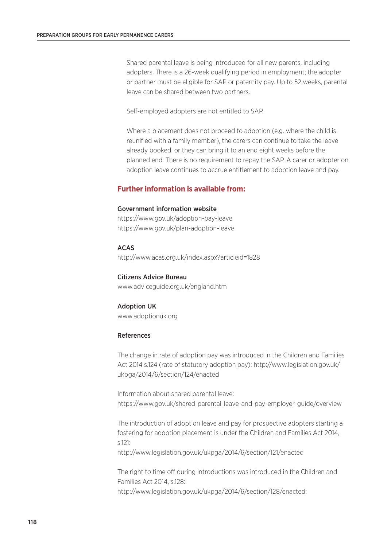Shared parental leave is being introduced for all new parents, including adopters. There is a 26-week qualifying period in employment; the adopter or partner must be eligible for SAP or paternity pay. Up to 52 weeks, parental leave can be shared between two partners.

Self-employed adopters are not entitled to SAP.

Where a placement does not proceed to adoption (e.g. where the child is reunified with a family member), the carers can continue to take the leave already booked, or they can bring it to an end eight weeks before the planned end. There is no requirement to repay the SAP. A carer or adopter on adoption leave continues to accrue entitlement to adoption leave and pay.

#### **Further information is available from:**

#### Government information website

https://www.gov.uk/adoption-pay-leave https://www.gov.uk/plan-adoption-leave

ACAS

http://www.acas.org.uk/index.aspx?articleid=1828

Citizens Advice Bureau www.adviceguide.org.uk/england.htm

#### Adoption UK

www.adoptionuk.org

#### References

The change in rate of adoption pay was introduced in the Children and Families Act 2014 s.124 (rate of statutory adoption pay): http://www.legislation.gov.uk/ ukpga/2014/6/section/124/enacted

Information about shared parental leave: https://www.gov.uk/shared-parental-leave-and-pay-employer-guide/overview

The introduction of adoption leave and pay for prospective adopters starting a fostering for adoption placement is under the Children and Families Act 2014, s.121:

http://www.legislation.gov.uk/ukpga/2014/6/section/121/enacted

The right to time off during introductions was introduced in the Children and Families Act 2014, s.128: http://www.legislation.gov.uk/ukpga/2014/6/section/128/enacted: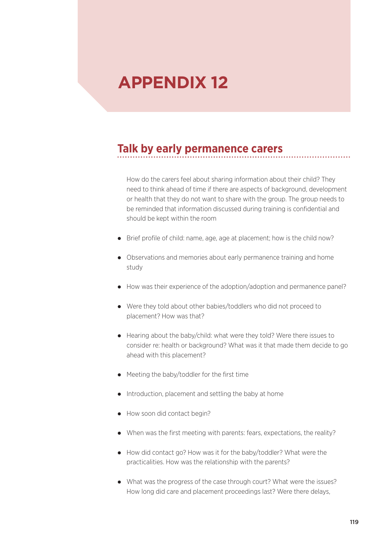# **APPENDIX 12**

### **Talk by early permanence carers**

How do the carers feel about sharing information about their child? They need to think ahead of time if there are aspects of background, development or health that they do not want to share with the group. The group needs to be reminded that information discussed during training is confidential and should be kept within the room

- Brief profile of child: name, age, age at placement; how is the child now?
- Observations and memories about early permanence training and home study
- How was their experience of the adoption/adoption and permanence panel?
- Were they told about other babies/toddlers who did not proceed to placement? How was that?
- Hearing about the baby/child: what were they told? Were there issues to consider re: health or background? What was it that made them decide to go ahead with this placement?
- Meeting the baby/toddler for the first time
- Introduction, placement and settling the baby at home
- How soon did contact begin?
- When was the first meeting with parents: fears, expectations, the reality?
- How did contact go? How was it for the baby/toddler? What were the practicalities. How was the relationship with the parents?
- What was the progress of the case through court? What were the issues? How long did care and placement proceedings last? Were there delays,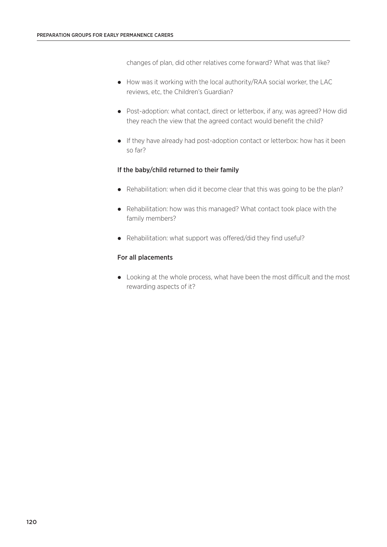changes of plan, did other relatives come forward? What was that like?

- How was it working with the local authority/RAA social worker, the LAC reviews, etc, the Children's Guardian?
- Post-adoption: what contact, direct or letterbox, if any, was agreed? How did they reach the view that the agreed contact would benefit the child?
- If they have already had post-adoption contact or letterbox: how has it been so far?

#### If the baby/child returned to their family

- Rehabilitation: when did it become clear that this was going to be the plan?
- Rehabilitation: how was this managed? What contact took place with the family members?
- Rehabilitation: what support was offered/did they find useful?

#### For all placements

 Looking at the whole process, what have been the most difficult and the most rewarding aspects of it?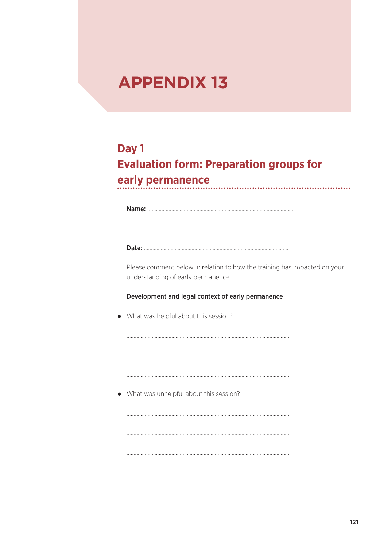# **APPENDIX 13**

### **Day 1 Evaluation form: Preparation groups for early permanence**

Name: ………………..…………………………...……………………………………………

Date: ………………..…………………………...……………………………………………

Please comment below in relation to how the training has impacted on your understanding of early permanence.

#### Development and legal context of early permanence

………………………………………………………………………………………………………

………………………………………………………………………………………………………

………………………………………………………………………………………………………

………………………………………………………………………………………………………

………………………………………………………………………………………………………

………………………………………………………………………………………………………

• What was helpful about this session?

What was unhelpful about this session?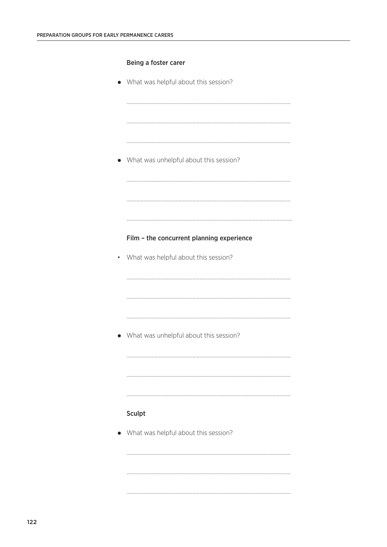#### Being a foster carer

• What was helpful about this session?

………………………………………………………………………………………………………

………………………………………………………………………………………………………

………………………………………………………………………………………………………

………………………………………………………………………………………………………

………………………………………………………………………………………………………

……………………………………………………………………………………………………….

………………………………………………………………………………………………………

………………………………………………………………………………………………………

………………………………………………………………………………………………………

………………………………………………………………………………………………………

………………………………………………………………………………………………………

………………………………………………………………………………………………………

………………………………………………………………………………………………………

………………………………………………………………………………………………………

………………………………………………………………………………………………………

What was unhelpful about this session?

#### Film – the concurrent planning experience

• What was helpful about this session?

What was unhelpful about this session?

#### Sculpt

• What was helpful about this session?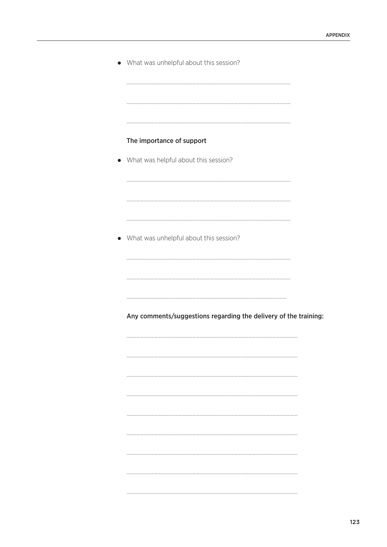| • What was unhelpful about this session?                         |
|------------------------------------------------------------------|
|                                                                  |
| The importance of support                                        |
| What was helpful about this session?                             |
|                                                                  |
|                                                                  |
|                                                                  |
| What was unhelpful about this session?                           |
|                                                                  |
|                                                                  |
|                                                                  |
| Any comments/suggestions regarding the delivery of the training: |
|                                                                  |
|                                                                  |
|                                                                  |
|                                                                  |
|                                                                  |
|                                                                  |
|                                                                  |
|                                                                  |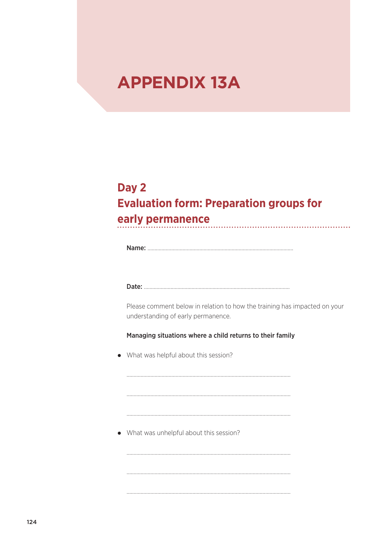# **APPENDIX 13A**

### **Day 2 Evaluation form: Preparation groups for early permanence**

Name: ………………..…………………………...……………………………………………

Date: ………………..…………………………...……………………………………………

Please comment below in relation to how the training has impacted on your understanding of early permanence.

Managing situations where a child returns to their family

………………………………………………………………………………………………………

………………………………………………………………………………………………………

………………………………………………………………………………………………………

………………………………………………………………………………………………………

………………………………………………………………………………………………………

………………………………………………………………………………………………………

• What was helpful about this session?

What was unhelpful about this session?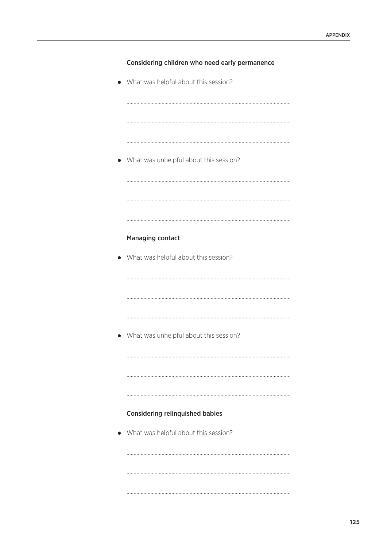| Considering children who need early permanence |  |  |  |  |  |  |
|------------------------------------------------|--|--|--|--|--|--|
|------------------------------------------------|--|--|--|--|--|--|

• What was helpful about this session?

• What was unhelpful about this session?

#### **Managing contact**

• What was helpful about this session?

• What was unhelpful about this session?

#### **Considering relinquished babies**

• What was helpful about this session?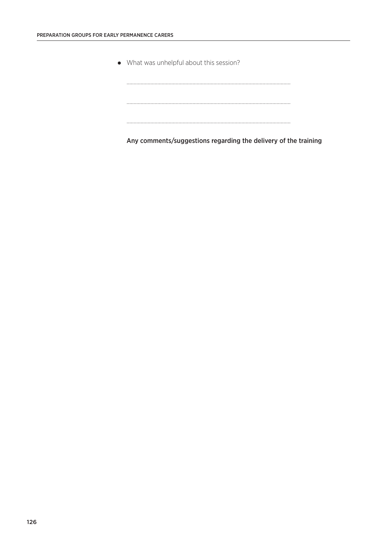What was unhelpful about this session?

Any comments/suggestions regarding the delivery of the training

………………………………………………………………………………………………………

………………………………………………………………………………………………………

………………………………………………………………………………………………………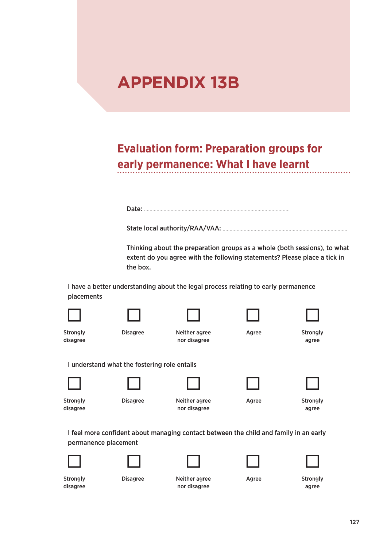# **APPENDIX 13B**

### **Evaluation form: Preparation groups for early permanence: What I have learnt**

Date: ………………..…………………………...……………………………………………

State local authority/RAA/VAA: ………………..…………………………...………………………………

Thinking about the preparation groups as a whole (both sessions), to what extent do you agree with the following statements? Please place a tick in the box.

I have a better understanding about the legal process relating to early permanence placements







Agree



**Strongly** disagree Disagree

Neither agree nor disagree



**Strongly** agree

#### I understand what the fostering role entails



**Strongly** disagree



Neither agree nor disagree



**Strongly** agree

I feel more confident about managing contact between the child and family in an early permanence placement







Agree



**Strongly** disagree

Disagree

Neither agree nor disagree

**Strongly** agree